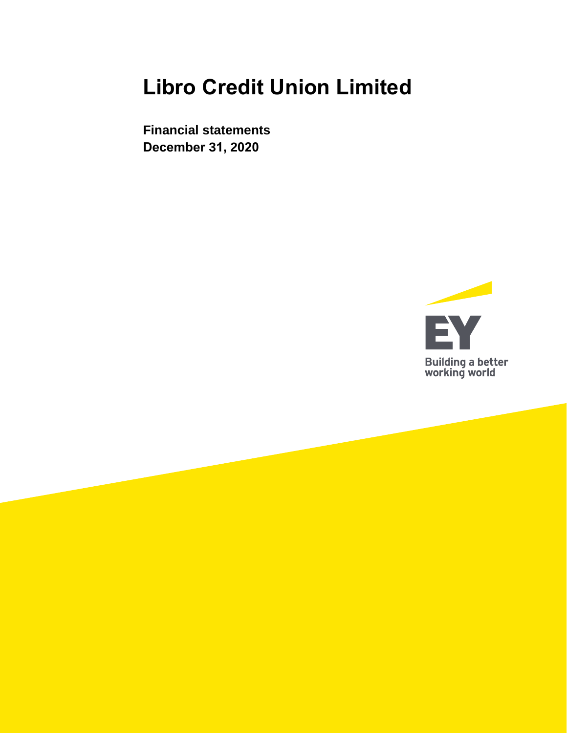**Financial statements December 31, 2020**

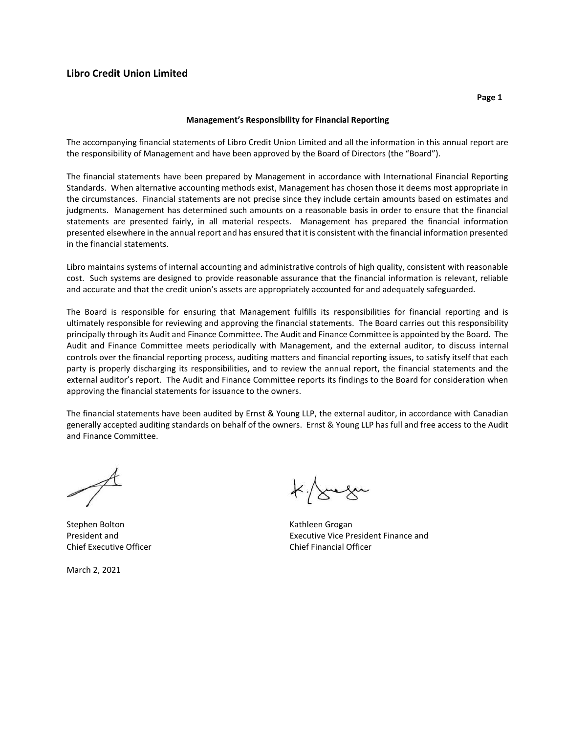### Management's Responsibility for Financial Reporting

The accompanying financial statements of Libro Credit Union Limited and all the information in this annual report are the responsibility of Management and have been approved by the Board of Directors (the "Board").

The financial statements have been prepared by Management in accordance with International Financial Reporting Standards. When alternative accounting methods exist, Management has chosen those it deems most appropriate in the circumstances. Financial statements are not precise since they include certain amounts based on estimates and judgments. Management has determined such amounts on a reasonable basis in order to ensure that the financial statements are presented fairly, in all material respects. Management has prepared the financial information presented elsewhere in the annual report and has ensured that it is consistent with the financial information presented in the financial statements.

Libro maintains systems of internal accounting and administrative controls of high quality, consistent with reasonable cost. Such systems are designed to provide reasonable assurance that the financial information is relevant, reliable and accurate and that the credit union's assets are appropriately accounted for and adequately safeguarded.

The Board is responsible for ensuring that Management fulfills its responsibilities for financial reporting and is ultimately responsible for reviewing and approving the financial statements. The Board carries out this responsibility principally through its Audit and Finance Committee. The Audit and Finance Committee is appointed by the Board. The Audit and Finance Committee meets periodically with Management, and the external auditor, to discuss internal controls over the financial reporting process, auditing matters and financial reporting issues, to satisfy itself that each party is properly discharging its responsibilities, and to review the annual report, the financial statements and the external auditor's report. The Audit and Finance Committee reports its findings to the Board for consideration when approving the financial statements for issuance to the owners.

The financial statements have been audited by Ernst & Young LLP, the external auditor, in accordance with Canadian generally accepted auditing standards on behalf of the owners. Ernst & Young LLP has full and free access to the Audit and Finance Committee.

Stephen Bolton **Kathleen Grogan** Kathleen Grogan

March 2, 2021

President and Executive Vice President Finance and Chief Executive Officer Chief Financial Officer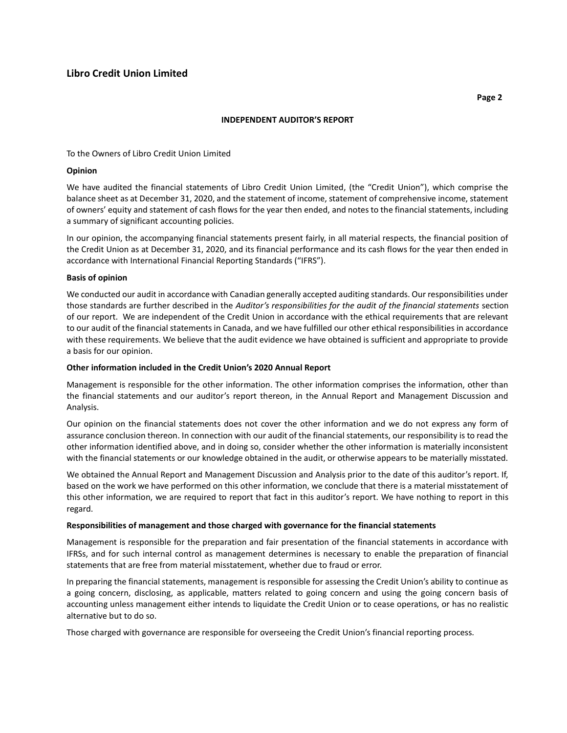### INDEPENDENT AUDITOR'S REPORT

To the Owners of Libro Credit Union Limited

# Opinion

We have audited the financial statements of Libro Credit Union Limited, (the "Credit Union"), which comprise the balance sheet as at December 31, 2020, and the statement of income, statement of comprehensive income, statement of owners' equity and statement of cash flows for the year then ended, and notes to the financial statements, including a summary of significant accounting policies.

In our opinion, the accompanying financial statements present fairly, in all material respects, the financial position of the Credit Union as at December 31, 2020, and its financial performance and its cash flows for the year then ended in accordance with International Financial Reporting Standards ("IFRS").

# Basis of opinion

We conducted our audit in accordance with Canadian generally accepted auditing standards. Our responsibilities under those standards are further described in the Auditor's responsibilities for the audit of the financial statements section of our report. We are independent of the Credit Union in accordance with the ethical requirements that are relevant to our audit of the financial statements in Canada, and we have fulfilled our other ethical responsibilities in accordance with these requirements. We believe that the audit evidence we have obtained is sufficient and appropriate to provide a basis for our opinion.

# Other information included in the Credit Union's 2020 Annual Report

Management is responsible for the other information. The other information comprises the information, other than the financial statements and our auditor's report thereon, in the Annual Report and Management Discussion and Analysis.

Our opinion on the financial statements does not cover the other information and we do not express any form of assurance conclusion thereon. In connection with our audit of the financial statements, our responsibility is to read the other information identified above, and in doing so, consider whether the other information is materially inconsistent with the financial statements or our knowledge obtained in the audit, or otherwise appears to be materially misstated.

We obtained the Annual Report and Management Discussion and Analysis prior to the date of this auditor's report. If, based on the work we have performed on this other information, we conclude that there is a material misstatement of this other information, we are required to report that fact in this auditor's report. We have nothing to report in this regard.

# Responsibilities of management and those charged with governance for the financial statements

Management is responsible for the preparation and fair presentation of the financial statements in accordance with IFRSs, and for such internal control as management determines is necessary to enable the preparation of financial statements that are free from material misstatement, whether due to fraud or error.

In preparing the financial statements, management is responsible for assessing the Credit Union's ability to continue as a going concern, disclosing, as applicable, matters related to going concern and using the going concern basis of accounting unless management either intends to liquidate the Credit Union or to cease operations, or has no realistic alternative but to do so.

Those charged with governance are responsible for overseeing the Credit Union's financial reporting process.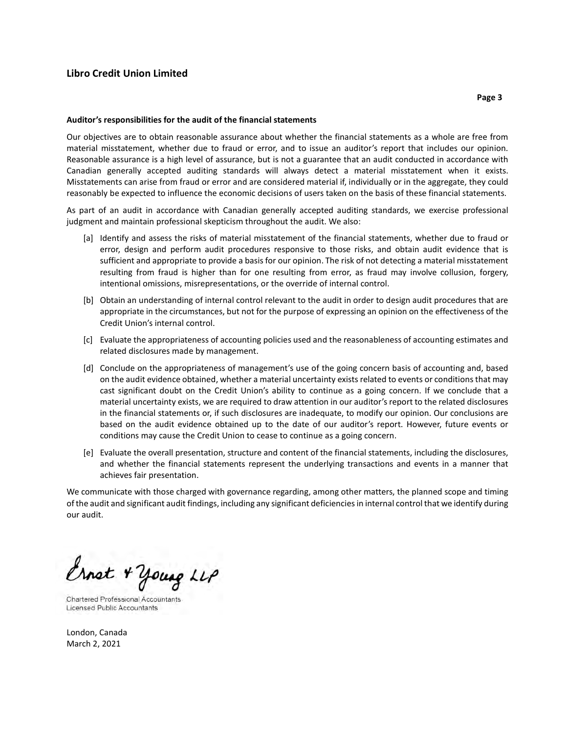#### Auditor's responsibilities for the audit of the financial statements

Our objectives are to obtain reasonable assurance about whether the financial statements as a whole are free from material misstatement, whether due to fraud or error, and to issue an auditor's report that includes our opinion. Reasonable assurance is a high level of assurance, but is not a guarantee that an audit conducted in accordance with Canadian generally accepted auditing standards will always detect a material misstatement when it exists. Misstatements can arise from fraud or error and are considered material if, individually or in the aggregate, they could reasonably be expected to influence the economic decisions of users taken on the basis of these financial statements.

As part of an audit in accordance with Canadian generally accepted auditing standards, we exercise professional judgment and maintain professional skepticism throughout the audit. We also:

- [a] Identify and assess the risks of material misstatement of the financial statements, whether due to fraud or error, design and perform audit procedures responsive to those risks, and obtain audit evidence that is sufficient and appropriate to provide a basis for our opinion. The risk of not detecting a material misstatement resulting from fraud is higher than for one resulting from error, as fraud may involve collusion, forgery, intentional omissions, misrepresentations, or the override of internal control.
- [b] Obtain an understanding of internal control relevant to the audit in order to design audit procedures that are appropriate in the circumstances, but not for the purpose of expressing an opinion on the effectiveness of the Credit Union's internal control.
- [c] Evaluate the appropriateness of accounting policies used and the reasonableness of accounting estimates and related disclosures made by management.
- [d] Conclude on the appropriateness of management's use of the going concern basis of accounting and, based on the audit evidence obtained, whether a material uncertainty exists related to events or conditions that may cast significant doubt on the Credit Union's ability to continue as a going concern. If we conclude that a material uncertainty exists, we are required to draw attention in our auditor's report to the related disclosures in the financial statements or, if such disclosures are inadequate, to modify our opinion. Our conclusions are based on the audit evidence obtained up to the date of our auditor's report. However, future events or conditions may cause the Credit Union to cease to continue as a going concern.
- [e] Evaluate the overall presentation, structure and content of the financial statements, including the disclosures, and whether the financial statements represent the underlying transactions and events in a manner that achieves fair presentation.

We communicate with those charged with governance regarding, among other matters, the planned scope and timing of the audit and significant audit findings, including any significant deficiencies in internal control that we identify during our audit.

Ernet + young LLP

Chartered Professional Accountants Licensed Public Accountants

London, Canada March 2, 2021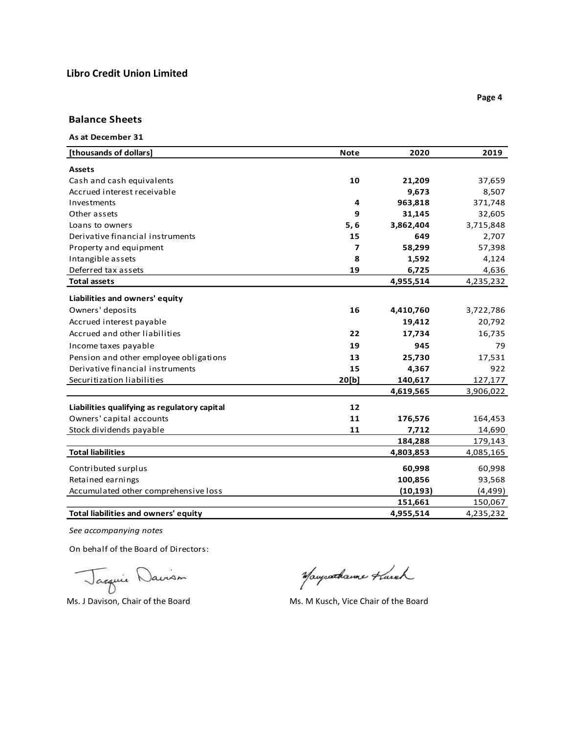# Balance Sheets

| <b>Libro Credit Union Limited</b>            |                         |                  |           |
|----------------------------------------------|-------------------------|------------------|-----------|
|                                              |                         |                  |           |
|                                              |                         |                  | Page 4    |
| <b>Balance Sheets</b>                        |                         |                  |           |
| As at December 31                            |                         |                  |           |
| [thousands of dollars]                       | <b>Note</b>             | 2020             | 2019      |
|                                              |                         |                  |           |
| <b>Assets</b>                                |                         |                  |           |
| Cash and cash equivalents                    | 10                      | 21,209           | 37,659    |
| Accrued interest receivable                  |                         | 9,673            | 8,507     |
| Investments                                  | 4                       | 963,818          | 371,748   |
| Other assets                                 | 9                       | 31,145           | 32,605    |
| Loans to owners                              | 5,6<br>15               | 3,862,404<br>649 | 3,715,848 |
| Derivative financial instruments             |                         |                  | 2,707     |
| Property and equipment                       | $\overline{\mathbf{z}}$ | 58,299           | 57,398    |
| Intangible assets                            | 8                       | 1,592            | 4,124     |
| Deferred tax assets                          | 19                      | 6,725            | 4,636     |
| <b>Total assets</b>                          |                         | 4,955,514        | 4,235,232 |
| Liabilities and owners' equity               |                         |                  |           |
| Owners' deposits                             | 16                      | 4,410,760        | 3,722,786 |
| Accrued interest payable                     |                         | 19,412           | 20,792    |
| Accrued and other liabilities                | 22                      | 17,734           | 16,735    |
| Income taxes payable                         | 19                      | 945              | 79        |
| Pension and other employee obligations       | 13                      | 25,730           | 17,531    |
| Derivative financial instruments             | 15                      | 4,367            | 922       |
| Securitization liabilities                   | 20[b]                   | 140,617          | 127,177   |
|                                              |                         | 4,619,565        | 3,906,022 |
| Liabilities qualifying as regulatory capital | 12                      |                  |           |
| Owners' capital accounts                     | 11                      | 176,576          | 164,453   |
| Stock dividends payable                      | 11                      | 7,712            | 14,690    |
|                                              |                         | 184,288          | 179,143   |
| <b>Total liabilities</b>                     |                         | 4,803,853        | 4,085,165 |
| Contributed surplus                          |                         | 60,998           | 60,998    |
| Retained earnings                            |                         | 100,856          | 93,568    |
| Accumulated other comprehensive loss         |                         | (10, 193)        | (4, 499)  |
|                                              |                         | 151,661          | 150,067   |
| Total liabilities and owners' equity         |                         | 4,955,514        | 4,235,232 |
|                                              |                         |                  |           |

See accompanying notes

On behalf of the Board of Directors:

Jacquie Davism

Maycachaine Kurch

Ms. J Davison, Chair of the Board Ms. M Kusch, Vice Chair of the Board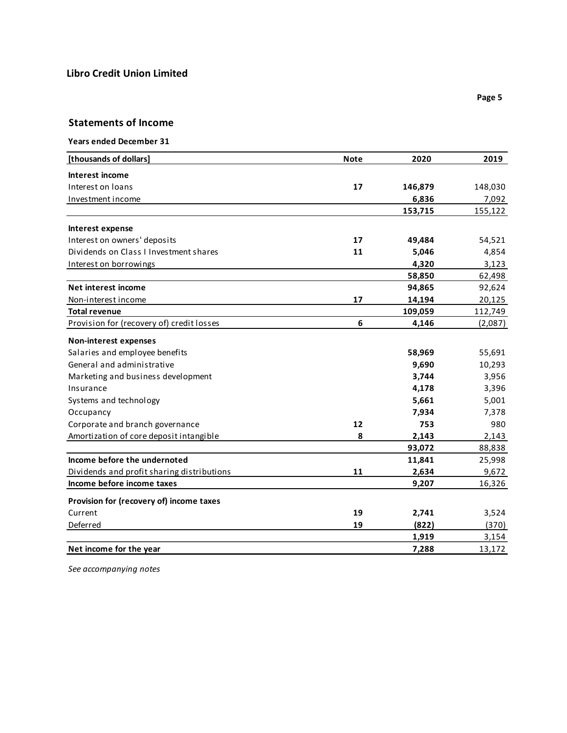# Statements of Income

| <b>Libro Credit Union Limited</b><br><b>Statements of Income</b><br>2020<br>[thousands of dollars]<br><b>Note</b><br>17<br>Interest on loans<br>146,879<br>6,836<br>Investment income<br>153,715<br>Interest on owners' deposits<br>17<br>49,484<br>Dividends on Class I Investment shares<br>5,046<br>11<br>Interest on borrowings<br>4,320<br>58,850<br>94,865<br>Non-interest income<br>17<br>14,194<br>109,059<br>Provision for (recovery of) credit losses<br>6<br>4,146<br>58,969<br>9,690<br>General and administrative<br>Marketing and business development<br>3,744<br>4,178<br>Insurance<br>5,661<br>Systems and technology<br>Occupancy<br>7,934<br>Corporate and branch governance<br>12<br>753<br>Amortization of core deposit intangible<br>8<br>2,143<br>93,072<br>88,838<br>Income before the undernoted<br>11,841<br>25,998<br>2,634<br>Dividends and profit sharing distributions<br>11<br>9,672<br>Income before income taxes<br>9,207<br>16,326<br>Provision for (recovery of) income taxes<br>19<br>2,741<br>Current<br>3,524<br>Deferred<br>19<br>(822)<br>1,919<br>3,154 |                                |       |         |
|--------------------------------------------------------------------------------------------------------------------------------------------------------------------------------------------------------------------------------------------------------------------------------------------------------------------------------------------------------------------------------------------------------------------------------------------------------------------------------------------------------------------------------------------------------------------------------------------------------------------------------------------------------------------------------------------------------------------------------------------------------------------------------------------------------------------------------------------------------------------------------------------------------------------------------------------------------------------------------------------------------------------------------------------------------------------------------------------------|--------------------------------|-------|---------|
|                                                                                                                                                                                                                                                                                                                                                                                                                                                                                                                                                                                                                                                                                                                                                                                                                                                                                                                                                                                                                                                                                                  |                                |       |         |
|                                                                                                                                                                                                                                                                                                                                                                                                                                                                                                                                                                                                                                                                                                                                                                                                                                                                                                                                                                                                                                                                                                  |                                |       |         |
|                                                                                                                                                                                                                                                                                                                                                                                                                                                                                                                                                                                                                                                                                                                                                                                                                                                                                                                                                                                                                                                                                                  |                                |       |         |
|                                                                                                                                                                                                                                                                                                                                                                                                                                                                                                                                                                                                                                                                                                                                                                                                                                                                                                                                                                                                                                                                                                  |                                |       |         |
|                                                                                                                                                                                                                                                                                                                                                                                                                                                                                                                                                                                                                                                                                                                                                                                                                                                                                                                                                                                                                                                                                                  |                                |       |         |
|                                                                                                                                                                                                                                                                                                                                                                                                                                                                                                                                                                                                                                                                                                                                                                                                                                                                                                                                                                                                                                                                                                  |                                |       |         |
|                                                                                                                                                                                                                                                                                                                                                                                                                                                                                                                                                                                                                                                                                                                                                                                                                                                                                                                                                                                                                                                                                                  |                                |       |         |
|                                                                                                                                                                                                                                                                                                                                                                                                                                                                                                                                                                                                                                                                                                                                                                                                                                                                                                                                                                                                                                                                                                  |                                |       | Page 5  |
|                                                                                                                                                                                                                                                                                                                                                                                                                                                                                                                                                                                                                                                                                                                                                                                                                                                                                                                                                                                                                                                                                                  |                                |       |         |
|                                                                                                                                                                                                                                                                                                                                                                                                                                                                                                                                                                                                                                                                                                                                                                                                                                                                                                                                                                                                                                                                                                  | <b>Years ended December 31</b> |       |         |
|                                                                                                                                                                                                                                                                                                                                                                                                                                                                                                                                                                                                                                                                                                                                                                                                                                                                                                                                                                                                                                                                                                  |                                |       | 2019    |
|                                                                                                                                                                                                                                                                                                                                                                                                                                                                                                                                                                                                                                                                                                                                                                                                                                                                                                                                                                                                                                                                                                  | Interest income                |       |         |
|                                                                                                                                                                                                                                                                                                                                                                                                                                                                                                                                                                                                                                                                                                                                                                                                                                                                                                                                                                                                                                                                                                  |                                |       | 148,030 |
|                                                                                                                                                                                                                                                                                                                                                                                                                                                                                                                                                                                                                                                                                                                                                                                                                                                                                                                                                                                                                                                                                                  |                                |       | 7,092   |
|                                                                                                                                                                                                                                                                                                                                                                                                                                                                                                                                                                                                                                                                                                                                                                                                                                                                                                                                                                                                                                                                                                  |                                |       | 155,122 |
|                                                                                                                                                                                                                                                                                                                                                                                                                                                                                                                                                                                                                                                                                                                                                                                                                                                                                                                                                                                                                                                                                                  | Interest expense               |       |         |
|                                                                                                                                                                                                                                                                                                                                                                                                                                                                                                                                                                                                                                                                                                                                                                                                                                                                                                                                                                                                                                                                                                  |                                |       | 54,521  |
|                                                                                                                                                                                                                                                                                                                                                                                                                                                                                                                                                                                                                                                                                                                                                                                                                                                                                                                                                                                                                                                                                                  |                                |       | 4,854   |
|                                                                                                                                                                                                                                                                                                                                                                                                                                                                                                                                                                                                                                                                                                                                                                                                                                                                                                                                                                                                                                                                                                  |                                |       | 3,123   |
|                                                                                                                                                                                                                                                                                                                                                                                                                                                                                                                                                                                                                                                                                                                                                                                                                                                                                                                                                                                                                                                                                                  |                                |       | 62,498  |
|                                                                                                                                                                                                                                                                                                                                                                                                                                                                                                                                                                                                                                                                                                                                                                                                                                                                                                                                                                                                                                                                                                  | Net interest income            |       | 92,624  |
|                                                                                                                                                                                                                                                                                                                                                                                                                                                                                                                                                                                                                                                                                                                                                                                                                                                                                                                                                                                                                                                                                                  |                                |       | 20,125  |
|                                                                                                                                                                                                                                                                                                                                                                                                                                                                                                                                                                                                                                                                                                                                                                                                                                                                                                                                                                                                                                                                                                  | <b>Total revenue</b>           |       | 112,749 |
|                                                                                                                                                                                                                                                                                                                                                                                                                                                                                                                                                                                                                                                                                                                                                                                                                                                                                                                                                                                                                                                                                                  |                                |       | (2,087) |
|                                                                                                                                                                                                                                                                                                                                                                                                                                                                                                                                                                                                                                                                                                                                                                                                                                                                                                                                                                                                                                                                                                  | Non-interest expenses          |       |         |
|                                                                                                                                                                                                                                                                                                                                                                                                                                                                                                                                                                                                                                                                                                                                                                                                                                                                                                                                                                                                                                                                                                  | Salaries and employee benefits |       | 55,691  |
|                                                                                                                                                                                                                                                                                                                                                                                                                                                                                                                                                                                                                                                                                                                                                                                                                                                                                                                                                                                                                                                                                                  |                                |       | 10,293  |
|                                                                                                                                                                                                                                                                                                                                                                                                                                                                                                                                                                                                                                                                                                                                                                                                                                                                                                                                                                                                                                                                                                  |                                |       | 3,956   |
|                                                                                                                                                                                                                                                                                                                                                                                                                                                                                                                                                                                                                                                                                                                                                                                                                                                                                                                                                                                                                                                                                                  |                                |       | 3,396   |
|                                                                                                                                                                                                                                                                                                                                                                                                                                                                                                                                                                                                                                                                                                                                                                                                                                                                                                                                                                                                                                                                                                  |                                |       | 5,001   |
|                                                                                                                                                                                                                                                                                                                                                                                                                                                                                                                                                                                                                                                                                                                                                                                                                                                                                                                                                                                                                                                                                                  |                                |       | 7,378   |
|                                                                                                                                                                                                                                                                                                                                                                                                                                                                                                                                                                                                                                                                                                                                                                                                                                                                                                                                                                                                                                                                                                  |                                |       | 980     |
|                                                                                                                                                                                                                                                                                                                                                                                                                                                                                                                                                                                                                                                                                                                                                                                                                                                                                                                                                                                                                                                                                                  |                                |       | 2,143   |
|                                                                                                                                                                                                                                                                                                                                                                                                                                                                                                                                                                                                                                                                                                                                                                                                                                                                                                                                                                                                                                                                                                  |                                |       |         |
|                                                                                                                                                                                                                                                                                                                                                                                                                                                                                                                                                                                                                                                                                                                                                                                                                                                                                                                                                                                                                                                                                                  |                                |       |         |
|                                                                                                                                                                                                                                                                                                                                                                                                                                                                                                                                                                                                                                                                                                                                                                                                                                                                                                                                                                                                                                                                                                  |                                |       |         |
|                                                                                                                                                                                                                                                                                                                                                                                                                                                                                                                                                                                                                                                                                                                                                                                                                                                                                                                                                                                                                                                                                                  |                                |       |         |
|                                                                                                                                                                                                                                                                                                                                                                                                                                                                                                                                                                                                                                                                                                                                                                                                                                                                                                                                                                                                                                                                                                  |                                |       |         |
|                                                                                                                                                                                                                                                                                                                                                                                                                                                                                                                                                                                                                                                                                                                                                                                                                                                                                                                                                                                                                                                                                                  |                                |       | (370)   |
|                                                                                                                                                                                                                                                                                                                                                                                                                                                                                                                                                                                                                                                                                                                                                                                                                                                                                                                                                                                                                                                                                                  |                                |       |         |
|                                                                                                                                                                                                                                                                                                                                                                                                                                                                                                                                                                                                                                                                                                                                                                                                                                                                                                                                                                                                                                                                                                  | Net income for the year        | 7,288 | 13,172  |

See accompanying notes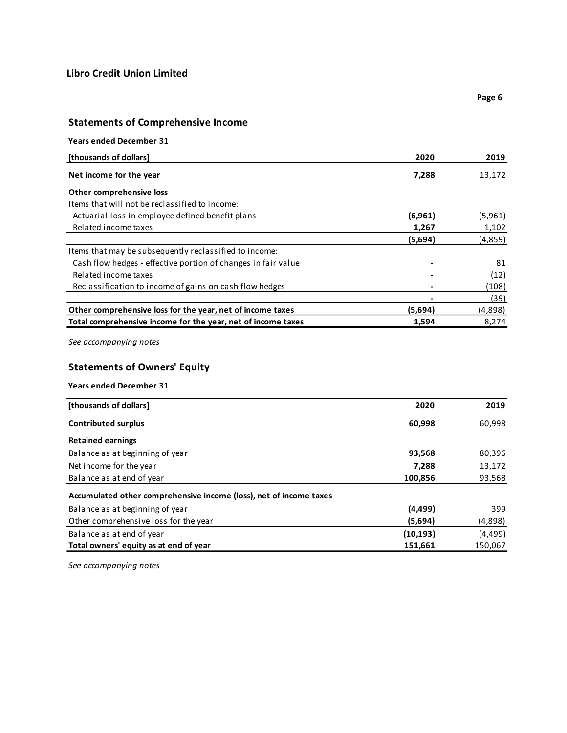# Statements of Comprehensive Income

# Years ended December 31 [thousands of dollars] 2020 2019 Net income for the year 13,172 Other comprehensive loss Items that will not be reclassified to income: Actuarial loss in employee defined benefit plans (6,961) (5,961) (5,961) Related income taxes 1,102 (5,694) (4,859) Items that may be subsequently reclassified to income: Cash flow hedges - effective portion of changes in fair value  $\sim$  81 Related income taxes (12) (and the contract of the contract of the contract of the contract of the contract of the contract of the contract of the contract of the contract of the contract of the contract of the contract of Reclassification to income of gains on cash flow hedges and the control of the control of the control of the control of the control of the control of the control of the control of the control of the control of the control - (39) Other comprehensive loss for the year, net of income taxes (5,694) (4,898) Total comprehensive income for the year, net of income taxes 1,594 8,274

See accompanying notes

# Statements of Owners' Equity

### Years ended December 31

| [thousands of dollars]                                             | 2020      | 2019    |
|--------------------------------------------------------------------|-----------|---------|
| <b>Contributed surplus</b>                                         | 60,998    | 60,998  |
| <b>Retained earnings</b>                                           |           |         |
| Balance as at beginning of year                                    | 93,568    | 80,396  |
| Net income for the year                                            | 7,288     | 13,172  |
| Balance as at end of year                                          | 100,856   | 93,568  |
| Accumulated other comprehensive income (loss), net of income taxes |           |         |
| Balance as at beginning of year                                    | (4,499)   | 399     |
| Other comprehensive loss for the year                              | (5,694)   | (4,898) |
| Balance as at end of year                                          | (10, 193) | (4,499) |
| Total owners' equity as at end of year                             | 151,661   | 150,067 |

See accompanying notes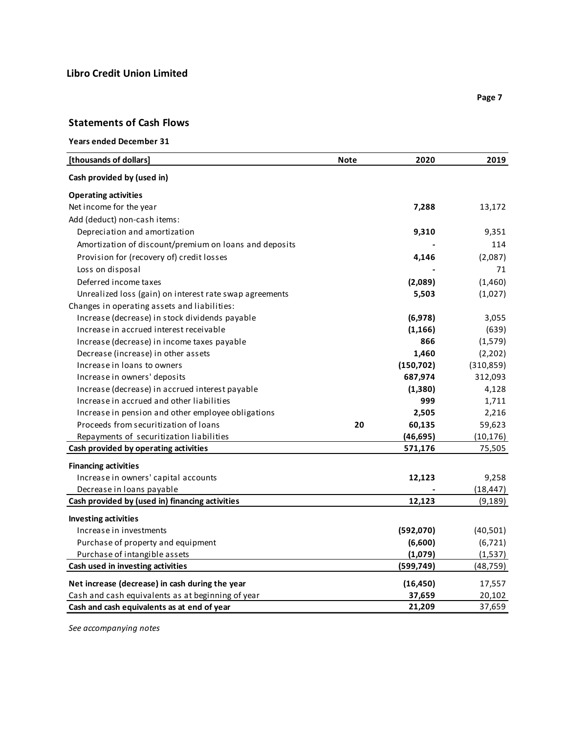# Statements of Cash Flows

Years ended December 31

| [thousands of dollars]                                  | <b>Note</b> | 2020       | 2019       |
|---------------------------------------------------------|-------------|------------|------------|
| Cash provided by (used in)                              |             |            |            |
| <b>Operating activities</b>                             |             |            |            |
| Net income for the year                                 |             | 7,288      | 13,172     |
| Add (deduct) non-cash items:                            |             |            |            |
| Depreciation and amortization                           |             | 9,310      | 9,351      |
| Amortization of discount/premium on loans and deposits  |             |            | 114        |
| Provision for (recovery of) credit losses               |             | 4,146      | (2,087)    |
| Loss on disposal                                        |             |            | 71         |
| Deferred income taxes                                   |             | (2,089)    | (1,460)    |
| Unrealized loss (gain) on interest rate swap agreements |             | 5,503      | (1,027)    |
| Changes in operating assets and liabilities:            |             |            |            |
| Increase (decrease) in stock dividends payable          |             | (6,978)    | 3,055      |
| Increase in accrued interest receivable                 |             | (1, 166)   | (639)      |
| Increase (decrease) in income taxes payable             |             | 866        | (1,579)    |
| Decrease (increase) in other assets                     |             | 1,460      | (2, 202)   |
| Increase in loans to owners                             |             | (150, 702) | (310, 859) |
| Increase in owners' deposits                            |             | 687,974    | 312,093    |
| Increase (decrease) in accrued interest payable         |             | (1, 380)   | 4,128      |
| Increase in accrued and other liabilities               |             | 999        | 1,711      |
| Increase in pension and other employee obligations      |             | 2,505      | 2,216      |
| Proceeds from securitization of loans                   | 20          | 60,135     | 59,623     |
| Repayments of securitization liabilities                |             | (46, 695)  | (10, 176)  |
| Cash provided by operating activities                   |             | 571,176    | 75,505     |
| <b>Financing activities</b>                             |             |            |            |
| Increase in owners' capital accounts                    |             | 12,123     | 9,258      |
| Decrease in loans payable                               |             |            | (18, 447)  |
| Cash provided by (used in) financing activities         |             | 12,123     | (9, 189)   |
| <b>Investing activities</b>                             |             |            |            |
| Increase in investments                                 |             | (592,070)  | (40, 501)  |
| Purchase of property and equipment                      |             | (6,600)    | (6, 721)   |
| Purchase of intangible assets                           |             | (1,079)    | (1,537)    |
| Cash used in investing activities                       |             | (599, 749) | (48, 759)  |
| Net increase (decrease) in cash during the year         |             | (16, 450)  | 17,557     |
| Cash and cash equivalents as at beginning of year       |             | 37,659     | 20,102     |
| Cash and cash equivalents as at end of year             |             | 21,209     | 37,659     |

See accompanying notes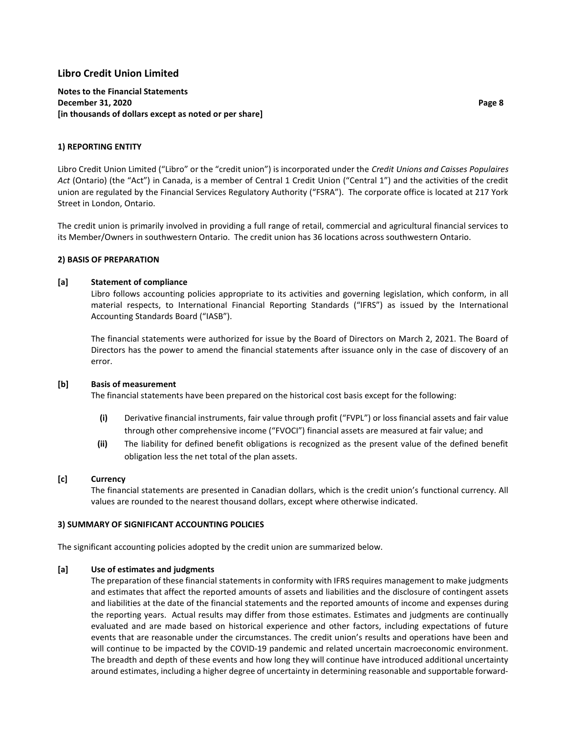# Notes to the Financial Statements December 31, 2020 Page 8 [in thousands of dollars except as noted or per share]

### 1) REPORTING ENTITY

Libro Credit Union Limited ("Libro" or the "credit union") is incorporated under the Credit Unions and Caisses Populaires Act (Ontario) (the "Act") in Canada, is a member of Central 1 Credit Union ("Central 1") and the activities of the credit union are regulated by the Financial Services Regulatory Authority ("FSRA"). The corporate office is located at 217 York Street in London, Ontario.

The credit union is primarily involved in providing a full range of retail, commercial and agricultural financial services to its Member/Owners in southwestern Ontario. The credit union has 36 locations across southwestern Ontario.

### 2) BASIS OF PREPARATION

### [a] Statement of compliance

Libro follows accounting policies appropriate to its activities and governing legislation, which conform, in all material respects, to International Financial Reporting Standards ("IFRS") as issued by the International Accounting Standards Board ("IASB").

The financial statements were authorized for issue by the Board of Directors on March 2, 2021. The Board of Directors has the power to amend the financial statements after issuance only in the case of discovery of an error.

### [b] Basis of measurement

The financial statements have been prepared on the historical cost basis except for the following:

- (i) Derivative financial instruments, fair value through profit ("FVPL") or loss financial assets and fair value through other comprehensive income ("FVOCI") financial assets are measured at fair value; and
- (ii) The liability for defined benefit obligations is recognized as the present value of the defined benefit obligation less the net total of the plan assets.

### [c] Currency

The financial statements are presented in Canadian dollars, which is the credit union's functional currency. All values are rounded to the nearest thousand dollars, except where otherwise indicated.

### 3) SUMMARY OF SIGNIFICANT ACCOUNTING POLICIES

The significant accounting policies adopted by the credit union are summarized below.

### [a] Use of estimates and judgments

The preparation of these financial statements in conformity with IFRS requires management to make judgments and estimates that affect the reported amounts of assets and liabilities and the disclosure of contingent assets and liabilities at the date of the financial statements and the reported amounts of income and expenses during the reporting years. Actual results may differ from those estimates. Estimates and judgments are continually evaluated and are made based on historical experience and other factors, including expectations of future events that are reasonable under the circumstances. The credit union's results and operations have been and will continue to be impacted by the COVID-19 pandemic and related uncertain macroeconomic environment. The breadth and depth of these events and how long they will continue have introduced additional uncertainty around estimates, including a higher degree of uncertainty in determining reasonable and supportable forward-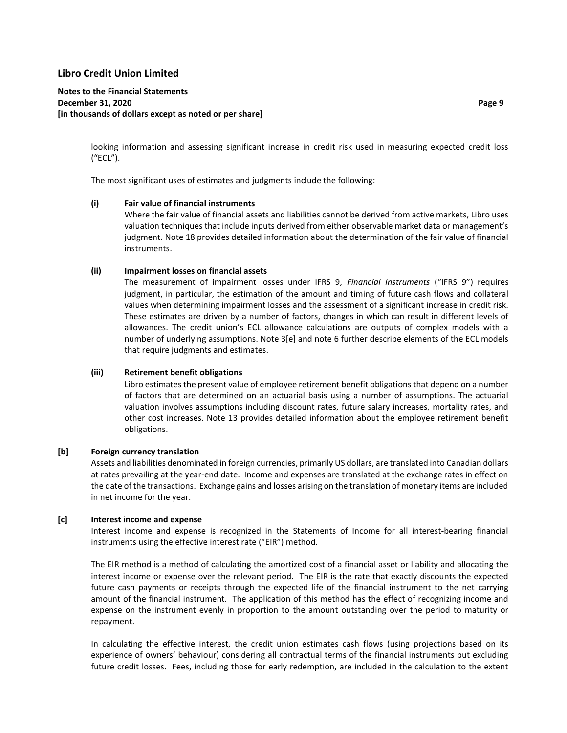# Notes to the Financial Statements December 31, 2020 Page 9 [in thousands of dollars except as noted or per share]

looking information and assessing significant increase in credit risk used in measuring expected credit loss ("ECL").

The most significant uses of estimates and judgments include the following:

### (i) Fair value of financial instruments

Where the fair value of financial assets and liabilities cannot be derived from active markets, Libro uses valuation techniques that include inputs derived from either observable market data or management's judgment. Note 18 provides detailed information about the determination of the fair value of financial instruments.

### (ii) Impairment losses on financial assets

The measurement of impairment losses under IFRS 9, Financial Instruments ("IFRS 9") requires judgment, in particular, the estimation of the amount and timing of future cash flows and collateral values when determining impairment losses and the assessment of a significant increase in credit risk. These estimates are driven by a number of factors, changes in which can result in different levels of allowances. The credit union's ECL allowance calculations are outputs of complex models with a number of underlying assumptions. Note 3[e] and note 6 further describe elements of the ECL models that require judgments and estimates.

# (iii) Retirement benefit obligations

Libro estimates the present value of employee retirement benefit obligations that depend on a number of factors that are determined on an actuarial basis using a number of assumptions. The actuarial valuation involves assumptions including discount rates, future salary increases, mortality rates, and other cost increases. Note 13 provides detailed information about the employee retirement benefit obligations.

### [b] Foreign currency translation

Assets and liabilities denominated in foreign currencies, primarily US dollars, are translated into Canadian dollars at rates prevailing at the year-end date. Income and expenses are translated at the exchange rates in effect on the date of the transactions. Exchange gains and losses arising on the translation of monetary items are included in net income for the year.

### [c] Interest income and expense

Interest income and expense is recognized in the Statements of Income for all interest-bearing financial instruments using the effective interest rate ("EIR") method.

The EIR method is a method of calculating the amortized cost of a financial asset or liability and allocating the interest income or expense over the relevant period. The EIR is the rate that exactly discounts the expected future cash payments or receipts through the expected life of the financial instrument to the net carrying amount of the financial instrument. The application of this method has the effect of recognizing income and expense on the instrument evenly in proportion to the amount outstanding over the period to maturity or repayment.

In calculating the effective interest, the credit union estimates cash flows (using projections based on its experience of owners' behaviour) considering all contractual terms of the financial instruments but excluding future credit losses. Fees, including those for early redemption, are included in the calculation to the extent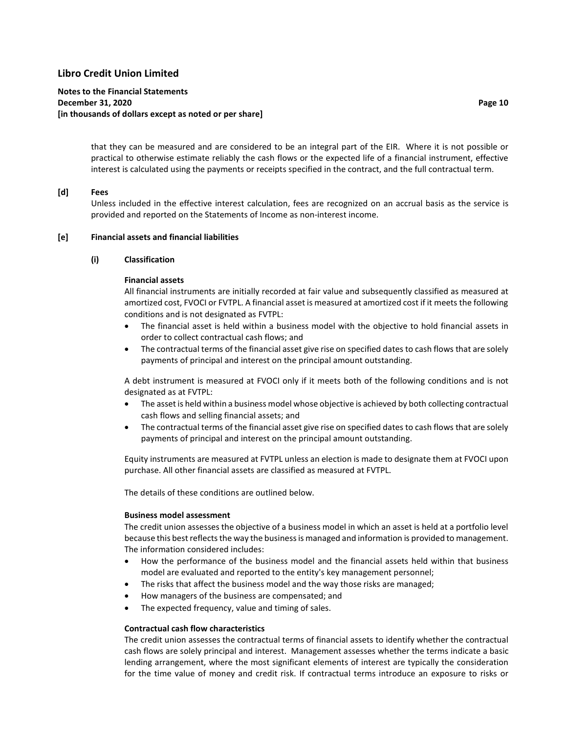# Notes to the Financial Statements December 31, 2020 Page 10 [in thousands of dollars except as noted or per share]

that they can be measured and are considered to be an integral part of the EIR. Where it is not possible or practical to otherwise estimate reliably the cash flows or the expected life of a financial instrument, effective interest is calculated using the payments or receipts specified in the contract, and the full contractual term.

### [d] Fees

Unless included in the effective interest calculation, fees are recognized on an accrual basis as the service is provided and reported on the Statements of Income as non-interest income.

### [e] Financial assets and financial liabilities

### (i) Classification

#### Financial assets

All financial instruments are initially recorded at fair value and subsequently classified as measured at amortized cost, FVOCI or FVTPL. A financial asset is measured at amortized cost if it meets the following conditions and is not designated as FVTPL:

- The financial asset is held within a business model with the objective to hold financial assets in order to collect contractual cash flows; and
- The contractual terms of the financial asset give rise on specified dates to cash flows that are solely payments of principal and interest on the principal amount outstanding.

A debt instrument is measured at FVOCI only if it meets both of the following conditions and is not designated as at FVTPL:

- The asset is held within a business model whose objective is achieved by both collecting contractual cash flows and selling financial assets; and
- The contractual terms of the financial asset give rise on specified dates to cash flows that are solely payments of principal and interest on the principal amount outstanding.

Equity instruments are measured at FVTPL unless an election is made to designate them at FVOCI upon purchase. All other financial assets are classified as measured at FVTPL.

The details of these conditions are outlined below.

#### Business model assessment

The credit union assesses the objective of a business model in which an asset is held at a portfolio level because this best reflects the way the business is managed and information is provided to management. The information considered includes:

- How the performance of the business model and the financial assets held within that business model are evaluated and reported to the entity's key management personnel;
- The risks that affect the business model and the way those risks are managed;
- How managers of the business are compensated; and
- The expected frequency, value and timing of sales.

### Contractual cash flow characteristics

The credit union assesses the contractual terms of financial assets to identify whether the contractual cash flows are solely principal and interest. Management assesses whether the terms indicate a basic lending arrangement, where the most significant elements of interest are typically the consideration for the time value of money and credit risk. If contractual terms introduce an exposure to risks or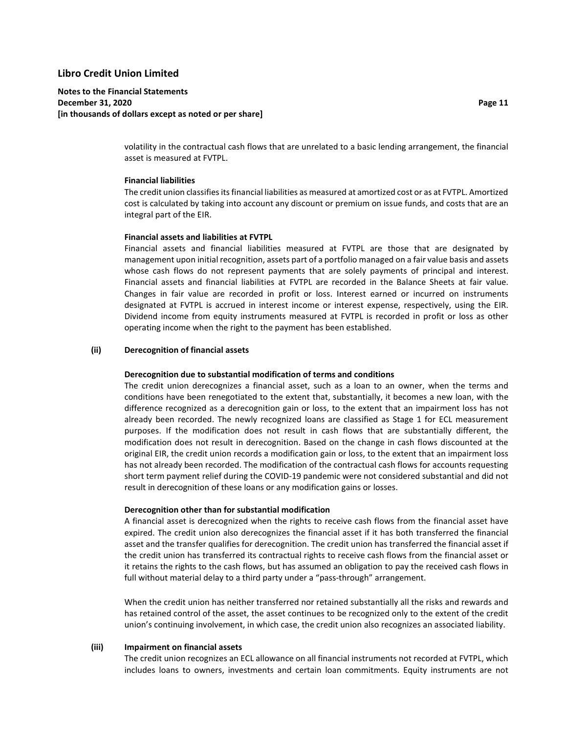# Notes to the Financial Statements December 31, 2020 Page 11 [in thousands of dollars except as noted or per share]

volatility in the contractual cash flows that are unrelated to a basic lending arrangement, the financial asset is measured at FVTPL.

#### Financial liabilities

The credit union classifies its financial liabilities as measured at amortized cost or as at FVTPL. Amortized cost is calculated by taking into account any discount or premium on issue funds, and costs that are an integral part of the EIR.

#### Financial assets and liabilities at FVTPL

Financial assets and financial liabilities measured at FVTPL are those that are designated by management upon initial recognition, assets part of a portfolio managed on a fair value basis and assets whose cash flows do not represent payments that are solely payments of principal and interest. Financial assets and financial liabilities at FVTPL are recorded in the Balance Sheets at fair value. Changes in fair value are recorded in profit or loss. Interest earned or incurred on instruments designated at FVTPL is accrued in interest income or interest expense, respectively, using the EIR. Dividend income from equity instruments measured at FVTPL is recorded in profit or loss as other operating income when the right to the payment has been established.

### (ii) Derecognition of financial assets

#### Derecognition due to substantial modification of terms and conditions

The credit union derecognizes a financial asset, such as a loan to an owner, when the terms and conditions have been renegotiated to the extent that, substantially, it becomes a new loan, with the difference recognized as a derecognition gain or loss, to the extent that an impairment loss has not already been recorded. The newly recognized loans are classified as Stage 1 for ECL measurement purposes. If the modification does not result in cash flows that are substantially different, the modification does not result in derecognition. Based on the change in cash flows discounted at the original EIR, the credit union records a modification gain or loss, to the extent that an impairment loss has not already been recorded. The modification of the contractual cash flows for accounts requesting short term payment relief during the COVID-19 pandemic were not considered substantial and did not result in derecognition of these loans or any modification gains or losses.

#### Derecognition other than for substantial modification

A financial asset is derecognized when the rights to receive cash flows from the financial asset have expired. The credit union also derecognizes the financial asset if it has both transferred the financial asset and the transfer qualifies for derecognition. The credit union has transferred the financial asset if the credit union has transferred its contractual rights to receive cash flows from the financial asset or it retains the rights to the cash flows, but has assumed an obligation to pay the received cash flows in full without material delay to a third party under a "pass-through" arrangement.

When the credit union has neither transferred nor retained substantially all the risks and rewards and has retained control of the asset, the asset continues to be recognized only to the extent of the credit union's continuing involvement, in which case, the credit union also recognizes an associated liability.

### (iii) Impairment on financial assets

The credit union recognizes an ECL allowance on all financial instruments not recorded at FVTPL, which includes loans to owners, investments and certain loan commitments. Equity instruments are not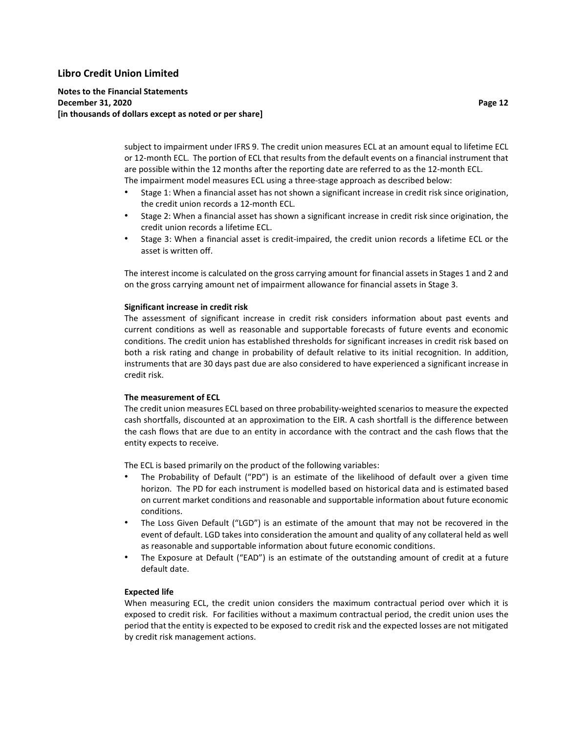# Notes to the Financial Statements December 31, 2020 Page 12 [in thousands of dollars except as noted or per share]

subject to impairment under IFRS 9. The credit union measures ECL at an amount equal to lifetime ECL or 12-month ECL. The portion of ECL that results from the default events on a financial instrument that are possible within the 12 months after the reporting date are referred to as the 12-month ECL. The impairment model measures ECL using a three-stage approach as described below:

- Stage 1: When a financial asset has not shown a significant increase in credit risk since origination, the credit union records a 12-month ECL.
- Stage 2: When a financial asset has shown a significant increase in credit risk since origination, the credit union records a lifetime ECL.
- Stage 3: When a financial asset is credit-impaired, the credit union records a lifetime ECL or the asset is written off.

The interest income is calculated on the gross carrying amount for financial assets in Stages 1 and 2 and on the gross carrying amount net of impairment allowance for financial assets in Stage 3.

### Significant increase in credit risk

The assessment of significant increase in credit risk considers information about past events and current conditions as well as reasonable and supportable forecasts of future events and economic conditions. The credit union has established thresholds for significant increases in credit risk based on both a risk rating and change in probability of default relative to its initial recognition. In addition, instruments that are 30 days past due are also considered to have experienced a significant increase in credit risk.

# The measurement of ECL

The credit union measures ECL based on three probability-weighted scenarios to measure the expected cash shortfalls, discounted at an approximation to the EIR. A cash shortfall is the difference between the cash flows that are due to an entity in accordance with the contract and the cash flows that the entity expects to receive.

The ECL is based primarily on the product of the following variables:

- The Probability of Default ("PD") is an estimate of the likelihood of default over a given time horizon. The PD for each instrument is modelled based on historical data and is estimated based on current market conditions and reasonable and supportable information about future economic conditions.
- The Loss Given Default ("LGD") is an estimate of the amount that may not be recovered in the event of default. LGD takes into consideration the amount and quality of any collateral held as well as reasonable and supportable information about future economic conditions.
- The Exposure at Default ("EAD") is an estimate of the outstanding amount of credit at a future default date.

### Expected life

When measuring ECL, the credit union considers the maximum contractual period over which it is exposed to credit risk. For facilities without a maximum contractual period, the credit union uses the period that the entity is expected to be exposed to credit risk and the expected losses are not mitigated by credit risk management actions.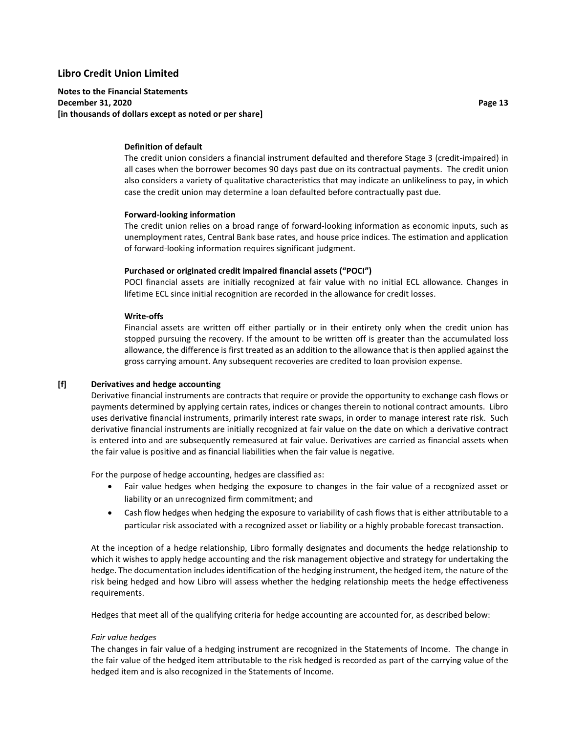Notes to the Financial Statements December 31, 2020 Page 13 [in thousands of dollars except as noted or per share]

### Definition of default

The credit union considers a financial instrument defaulted and therefore Stage 3 (credit-impaired) in all cases when the borrower becomes 90 days past due on its contractual payments. The credit union also considers a variety of qualitative characteristics that may indicate an unlikeliness to pay, in which case the credit union may determine a loan defaulted before contractually past due.

#### Forward-looking information

The credit union relies on a broad range of forward-looking information as economic inputs, such as unemployment rates, Central Bank base rates, and house price indices. The estimation and application of forward-looking information requires significant judgment.

#### Purchased or originated credit impaired financial assets ("POCI")

POCI financial assets are initially recognized at fair value with no initial ECL allowance. Changes in lifetime ECL since initial recognition are recorded in the allowance for credit losses.

### Write-offs

Financial assets are written off either partially or in their entirety only when the credit union has stopped pursuing the recovery. If the amount to be written off is greater than the accumulated loss allowance, the difference is first treated as an addition to the allowance that is then applied against the gross carrying amount. Any subsequent recoveries are credited to loan provision expense.

### [f] Derivatives and hedge accounting

Derivative financial instruments are contracts that require or provide the opportunity to exchange cash flows or payments determined by applying certain rates, indices or changes therein to notional contract amounts. Libro uses derivative financial instruments, primarily interest rate swaps, in order to manage interest rate risk. Such derivative financial instruments are initially recognized at fair value on the date on which a derivative contract is entered into and are subsequently remeasured at fair value. Derivatives are carried as financial assets when the fair value is positive and as financial liabilities when the fair value is negative.

For the purpose of hedge accounting, hedges are classified as:

- Fair value hedges when hedging the exposure to changes in the fair value of a recognized asset or liability or an unrecognized firm commitment; and
- Cash flow hedges when hedging the exposure to variability of cash flows that is either attributable to a particular risk associated with a recognized asset or liability or a highly probable forecast transaction.

At the inception of a hedge relationship, Libro formally designates and documents the hedge relationship to which it wishes to apply hedge accounting and the risk management objective and strategy for undertaking the hedge. The documentation includes identification of the hedging instrument, the hedged item, the nature of the risk being hedged and how Libro will assess whether the hedging relationship meets the hedge effectiveness requirements.

Hedges that meet all of the qualifying criteria for hedge accounting are accounted for, as described below:

### Fair value hedges

The changes in fair value of a hedging instrument are recognized in the Statements of Income. The change in the fair value of the hedged item attributable to the risk hedged is recorded as part of the carrying value of the hedged item and is also recognized in the Statements of Income.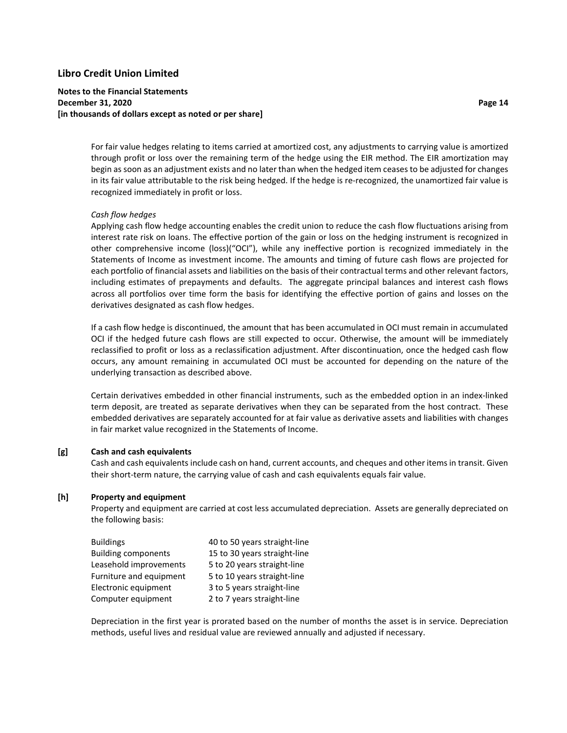# Notes to the Financial Statements December 31, 2020 Page 14 [in thousands of dollars except as noted or per share]

For fair value hedges relating to items carried at amortized cost, any adjustments to carrying value is amortized through profit or loss over the remaining term of the hedge using the EIR method. The EIR amortization may begin as soon as an adjustment exists and no later than when the hedged item ceases to be adjusted for changes in its fair value attributable to the risk being hedged. If the hedge is re-recognized, the unamortized fair value is recognized immediately in profit or loss.

### Cash flow hedges

Applying cash flow hedge accounting enables the credit union to reduce the cash flow fluctuations arising from interest rate risk on loans. The effective portion of the gain or loss on the hedging instrument is recognized in other comprehensive income (loss)("OCI"), while any ineffective portion is recognized immediately in the Statements of Income as investment income. The amounts and timing of future cash flows are projected for each portfolio of financial assets and liabilities on the basis of their contractual terms and other relevant factors, including estimates of prepayments and defaults. The aggregate principal balances and interest cash flows across all portfolios over time form the basis for identifying the effective portion of gains and losses on the derivatives designated as cash flow hedges.

If a cash flow hedge is discontinued, the amount that has been accumulated in OCI must remain in accumulated OCI if the hedged future cash flows are still expected to occur. Otherwise, the amount will be immediately reclassified to profit or loss as a reclassification adjustment. After discontinuation, once the hedged cash flow occurs, any amount remaining in accumulated OCI must be accounted for depending on the nature of the underlying transaction as described above.

Certain derivatives embedded in other financial instruments, such as the embedded option in an index-linked term deposit, are treated as separate derivatives when they can be separated from the host contract. These embedded derivatives are separately accounted for at fair value as derivative assets and liabilities with changes in fair market value recognized in the Statements of Income.

### [g] Cash and cash equivalents

Cash and cash equivalents include cash on hand, current accounts, and cheques and other items in transit. Given their short-term nature, the carrying value of cash and cash equivalents equals fair value.

### [h] Property and equipment

Property and equipment are carried at cost less accumulated depreciation. Assets are generally depreciated on the following basis:

| <b>Buildings</b>           | 40 to 50 years straight-line |
|----------------------------|------------------------------|
| <b>Building components</b> | 15 to 30 years straight-line |
| Leasehold improvements     | 5 to 20 years straight-line  |
| Furniture and equipment    | 5 to 10 years straight-line  |
| Electronic equipment       | 3 to 5 years straight-line   |
| Computer equipment         | 2 to 7 years straight-line   |

Depreciation in the first year is prorated based on the number of months the asset is in service. Depreciation methods, useful lives and residual value are reviewed annually and adjusted if necessary.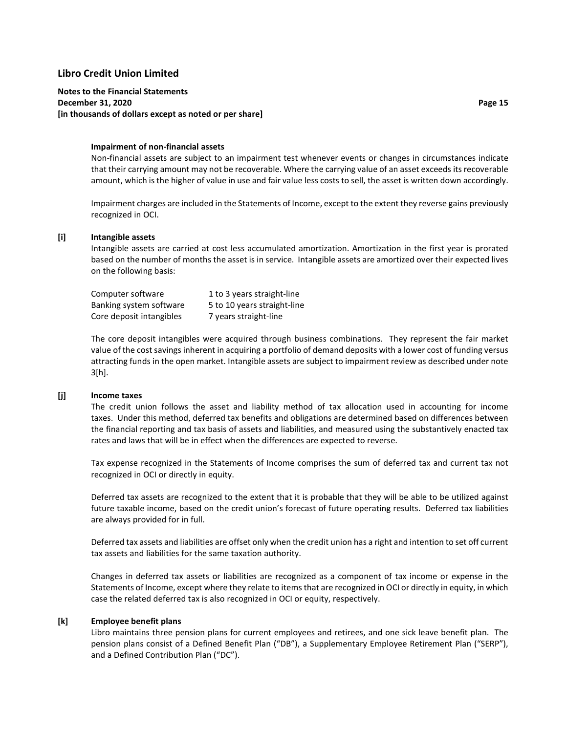# Notes to the Financial Statements December 31, 2020 Page 15 [in thousands of dollars except as noted or per share]

### Impairment of non-financial assets

Non-financial assets are subject to an impairment test whenever events or changes in circumstances indicate that their carrying amount may not be recoverable. Where the carrying value of an asset exceeds its recoverable amount, which is the higher of value in use and fair value less costs to sell, the asset is written down accordingly.

Impairment charges are included in the Statements of Income, except to the extent they reverse gains previously recognized in OCI.

### [i] Intangible assets

Intangible assets are carried at cost less accumulated amortization. Amortization in the first year is prorated based on the number of months the asset is in service. Intangible assets are amortized over their expected lives on the following basis:

| Computer software        | 1 to 3 years straight-line  |
|--------------------------|-----------------------------|
| Banking system software  | 5 to 10 years straight-line |
| Core deposit intangibles | 7 years straight-line       |

The core deposit intangibles were acquired through business combinations. They represent the fair market value of the cost savings inherent in acquiring a portfolio of demand deposits with a lower cost of funding versus attracting funds in the open market. Intangible assets are subject to impairment review as described under note 3[h].

#### [j] Income taxes

The credit union follows the asset and liability method of tax allocation used in accounting for income taxes. Under this method, deferred tax benefits and obligations are determined based on differences between the financial reporting and tax basis of assets and liabilities, and measured using the substantively enacted tax rates and laws that will be in effect when the differences are expected to reverse.

Tax expense recognized in the Statements of Income comprises the sum of deferred tax and current tax not recognized in OCI or directly in equity.

Deferred tax assets are recognized to the extent that it is probable that they will be able to be utilized against future taxable income, based on the credit union's forecast of future operating results. Deferred tax liabilities are always provided for in full.

Deferred tax assets and liabilities are offset only when the credit union has a right and intention to set off current tax assets and liabilities for the same taxation authority.

Changes in deferred tax assets or liabilities are recognized as a component of tax income or expense in the Statements of Income, except where they relate to items that are recognized in OCI or directly in equity, in which case the related deferred tax is also recognized in OCI or equity, respectively.

### [k] Employee benefit plans

Libro maintains three pension plans for current employees and retirees, and one sick leave benefit plan. The pension plans consist of a Defined Benefit Plan ("DB"), a Supplementary Employee Retirement Plan ("SERP"), and a Defined Contribution Plan ("DC").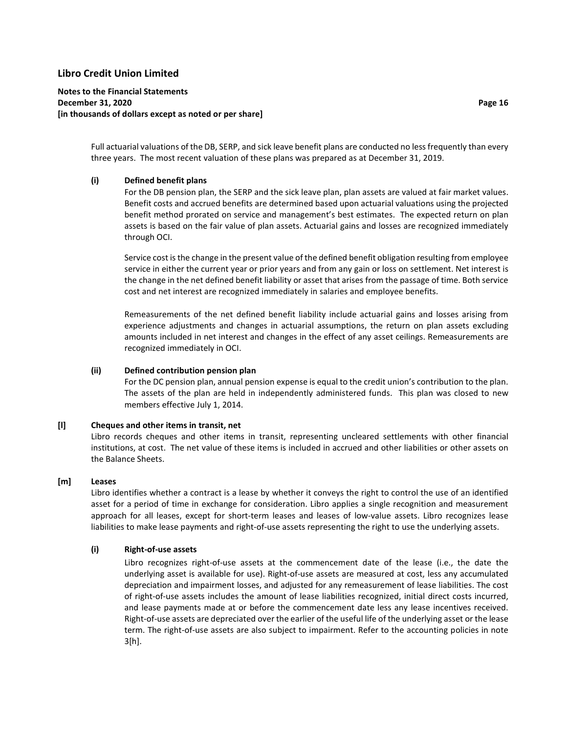# Notes to the Financial Statements December 31, 2020 Page 16 [in thousands of dollars except as noted or per share]

Full actuarial valuations of the DB, SERP, and sick leave benefit plans are conducted no less frequently than every three years. The most recent valuation of these plans was prepared as at December 31, 2019.

### (i) Defined benefit plans

For the DB pension plan, the SERP and the sick leave plan, plan assets are valued at fair market values. Benefit costs and accrued benefits are determined based upon actuarial valuations using the projected benefit method prorated on service and management's best estimates. The expected return on plan assets is based on the fair value of plan assets. Actuarial gains and losses are recognized immediately through OCI.

Service cost is the change in the present value of the defined benefit obligation resulting from employee service in either the current year or prior years and from any gain or loss on settlement. Net interest is the change in the net defined benefit liability or asset that arises from the passage of time. Both service cost and net interest are recognized immediately in salaries and employee benefits.

Remeasurements of the net defined benefit liability include actuarial gains and losses arising from experience adjustments and changes in actuarial assumptions, the return on plan assets excluding amounts included in net interest and changes in the effect of any asset ceilings. Remeasurements are recognized immediately in OCI.

### (ii) Defined contribution pension plan

For the DC pension plan, annual pension expense is equal to the credit union's contribution to the plan. The assets of the plan are held in independently administered funds. This plan was closed to new members effective July 1, 2014.

### [l] Cheques and other items in transit, net

Libro records cheques and other items in transit, representing uncleared settlements with other financial institutions, at cost. The net value of these items is included in accrued and other liabilities or other assets on the Balance Sheets.

### [m] Leases

Libro identifies whether a contract is a lease by whether it conveys the right to control the use of an identified asset for a period of time in exchange for consideration. Libro applies a single recognition and measurement approach for all leases, except for short-term leases and leases of low-value assets. Libro recognizes lease liabilities to make lease payments and right-of-use assets representing the right to use the underlying assets.

# (i) Right-of-use assets

Libro recognizes right-of-use assets at the commencement date of the lease (i.e., the date the underlying asset is available for use). Right-of-use assets are measured at cost, less any accumulated depreciation and impairment losses, and adjusted for any remeasurement of lease liabilities. The cost of right-of-use assets includes the amount of lease liabilities recognized, initial direct costs incurred, and lease payments made at or before the commencement date less any lease incentives received. Right-of-use assets are depreciated over the earlier of the useful life of the underlying asset or the lease term. The right-of-use assets are also subject to impairment. Refer to the accounting policies in note 3[h].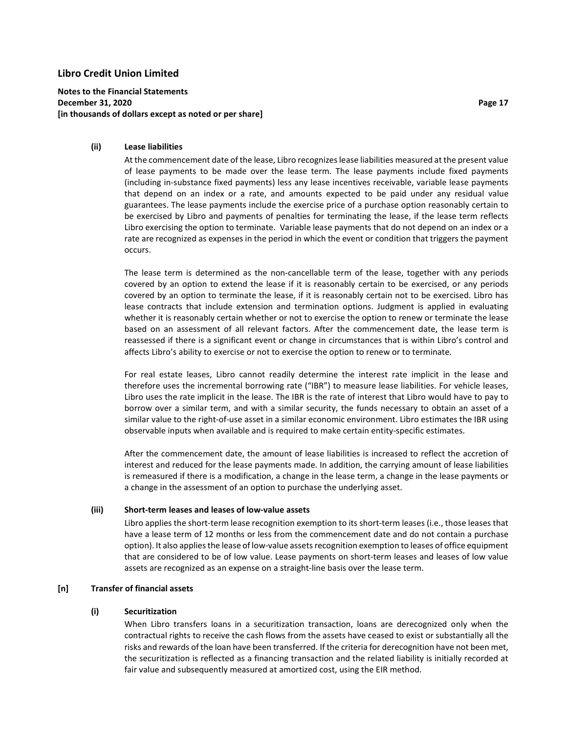Notes to the Financial Statements December 31, 2020 Page 17 [in thousands of dollars except as noted or per share]

### (ii) Lease liabilities

At the commencement date of the lease, Libro recognizes lease liabilities measured at the present value of lease payments to be made over the lease term. The lease payments include fixed payments (including in-substance fixed payments) less any lease incentives receivable, variable lease payments that depend on an index or a rate, and amounts expected to be paid under any residual value guarantees. The lease payments include the exercise price of a purchase option reasonably certain to be exercised by Libro and payments of penalties for terminating the lease, if the lease term reflects Libro exercising the option to terminate. Variable lease payments that do not depend on an index or a rate are recognized as expenses in the period in which the event or condition that triggers the payment occurs.

The lease term is determined as the non-cancellable term of the lease, together with any periods covered by an option to extend the lease if it is reasonably certain to be exercised, or any periods covered by an option to terminate the lease, if it is reasonably certain not to be exercised. Libro has lease contracts that include extension and termination options. Judgment is applied in evaluating whether it is reasonably certain whether or not to exercise the option to renew or terminate the lease based on an assessment of all relevant factors. After the commencement date, the lease term is reassessed if there is a significant event or change in circumstances that is within Libro's control and affects Libro's ability to exercise or not to exercise the option to renew or to terminate.

For real estate leases, Libro cannot readily determine the interest rate implicit in the lease and therefore uses the incremental borrowing rate ("IBR") to measure lease liabilities. For vehicle leases, Libro uses the rate implicit in the lease. The IBR is the rate of interest that Libro would have to pay to borrow over a similar term, and with a similar security, the funds necessary to obtain an asset of a similar value to the right-of-use asset in a similar economic environment. Libro estimates the IBR using observable inputs when available and is required to make certain entity-specific estimates.

After the commencement date, the amount of lease liabilities is increased to reflect the accretion of interest and reduced for the lease payments made. In addition, the carrying amount of lease liabilities is remeasured if there is a modification, a change in the lease term, a change in the lease payments or a change in the assessment of an option to purchase the underlying asset.

### (iii) Short-term leases and leases of low-value assets

Libro applies the short-term lease recognition exemption to its short-term leases (i.e., those leases that have a lease term of 12 months or less from the commencement date and do not contain a purchase option). It also applies the lease of low-value assets recognition exemption to leases of office equipment that are considered to be of low value. Lease payments on short-term leases and leases of low value assets are recognized as an expense on a straight-line basis over the lease term.

### [n] Transfer of financial assets

### (i) Securitization

When Libro transfers loans in a securitization transaction, loans are derecognized only when the contractual rights to receive the cash flows from the assets have ceased to exist or substantially all the risks and rewards of the loan have been transferred. If the criteria for derecognition have not been met, the securitization is reflected as a financing transaction and the related liability is initially recorded at fair value and subsequently measured at amortized cost, using the EIR method.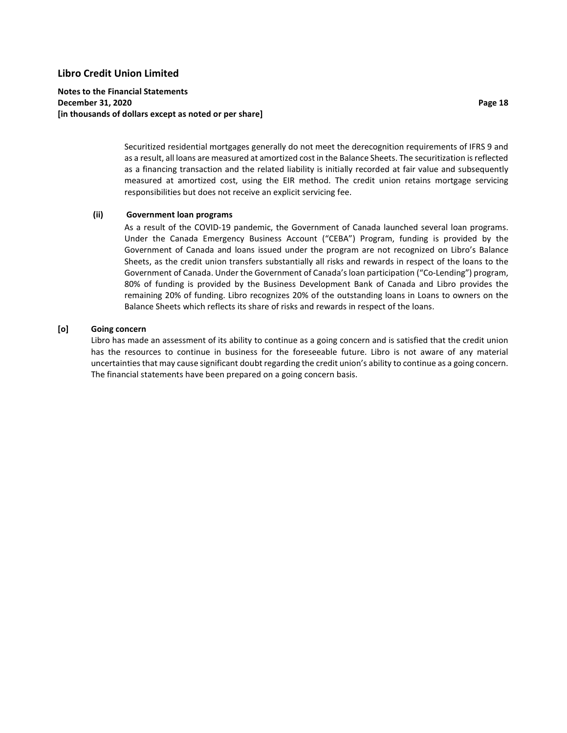# Notes to the Financial Statements December 31, 2020 Page 18 [in thousands of dollars except as noted or per share]

Securitized residential mortgages generally do not meet the derecognition requirements of IFRS 9 and as a result, all loans are measured at amortized cost in the Balance Sheets. The securitization is reflected as a financing transaction and the related liability is initially recorded at fair value and subsequently measured at amortized cost, using the EIR method. The credit union retains mortgage servicing responsibilities but does not receive an explicit servicing fee.

### (ii) Government loan programs

As a result of the COVID-19 pandemic, the Government of Canada launched several loan programs. Under the Canada Emergency Business Account ("CEBA") Program, funding is provided by the Government of Canada and loans issued under the program are not recognized on Libro's Balance Sheets, as the credit union transfers substantially all risks and rewards in respect of the loans to the Government of Canada. Under the Government of Canada's loan participation ("Co-Lending") program, 80% of funding is provided by the Business Development Bank of Canada and Libro provides the remaining 20% of funding. Libro recognizes 20% of the outstanding loans in Loans to owners on the Balance Sheets which reflects its share of risks and rewards in respect of the loans.

### [o] Going concern

Libro has made an assessment of its ability to continue as a going concern and is satisfied that the credit union has the resources to continue in business for the foreseeable future. Libro is not aware of any material uncertainties that may cause significant doubt regarding the credit union's ability to continue as a going concern. The financial statements have been prepared on a going concern basis.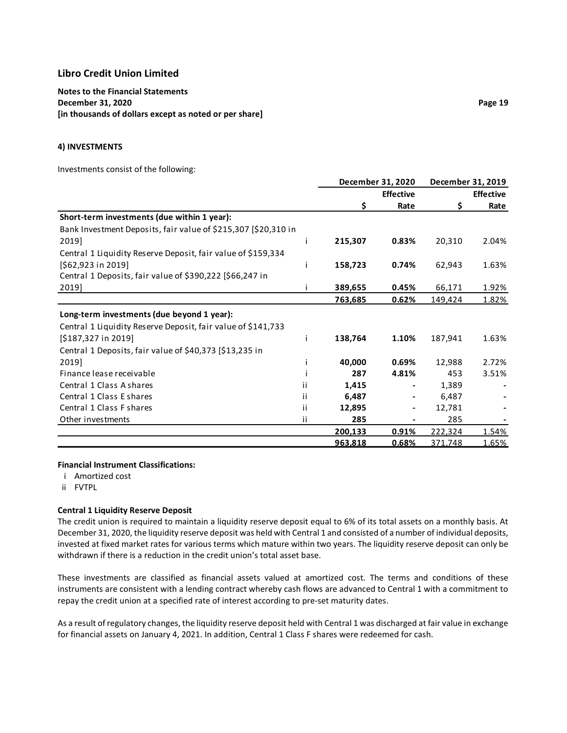Notes to the Financial Statements December 31, 2020 Page 19 [in thousands of dollars except as noted or per share]

### 4) INVESTMENTS

Investments consist of the following:

|                                                                |     | December 31, 2020 |                          | December 31, 2019 |                  |
|----------------------------------------------------------------|-----|-------------------|--------------------------|-------------------|------------------|
|                                                                |     |                   | <b>Effective</b>         |                   | <b>Effective</b> |
|                                                                |     | Ś.                | Rate                     | Ś.                | Rate             |
| Short-term investments (due within 1 year):                    |     |                   |                          |                   |                  |
| Bank Investment Deposits, fair value of \$215,307 [\$20,310 in |     |                   |                          |                   |                  |
| 2019]                                                          |     | 215,307           | 0.83%                    | 20,310            | 2.04%            |
| Central 1 Liquidity Reserve Deposit, fair value of \$159,334   |     |                   |                          |                   |                  |
| [\$62,923 in 2019]                                             |     | 158,723           | 0.74%                    | 62,943            | 1.63%            |
| Central 1 Deposits, fair value of \$390,222 [\$66,247 in       |     |                   |                          |                   |                  |
| 2019]                                                          |     | 389,655           | 0.45%                    | 66,171            | 1.92%            |
|                                                                |     | 763,685           | 0.62%                    | 149,424           | 1.82%            |
| Long-term investments (due beyond 1 year):                     |     |                   |                          |                   |                  |
| Central 1 Liquidity Reserve Deposit, fair value of \$141,733   |     |                   |                          |                   |                  |
| [\$187,327 in 2019]                                            |     | 138,764           | 1.10%                    | 187,941           | 1.63%            |
| Central 1 Deposits, fair value of \$40,373 [\$13,235 in        |     |                   |                          |                   |                  |
| 2019]                                                          |     | 40,000            | 0.69%                    | 12,988            | 2.72%            |
| Finance lease receivable                                       |     | 287               | 4.81%                    | 453               | 3.51%            |
| Central 1 Class A shares                                       | ii. | 1,415             | $\overline{\phantom{a}}$ | 1,389             |                  |
| Central 1 Class E shares                                       | ii. | 6,487             | $\overline{\phantom{a}}$ | 6,487             |                  |
| Central 1 Class F shares                                       | ii. | 12,895            | $\overline{\phantom{a}}$ | 12,781            |                  |
| Other investments                                              | ii  | 285               |                          | 285               |                  |
|                                                                |     | 200,133           | 0.91%                    | 222,324           | 1.54%            |
|                                                                |     | 963,818           | 0.68%                    | 371,748           | 1.65%            |

# Financial Instrument Classifications:

i Amortized cost

ii FVTPL

### Central 1 Liquidity Reserve Deposit

The credit union is required to maintain a liquidity reserve deposit equal to 6% of its total assets on a monthly basis. At December 31, 2020, the liquidity reserve deposit was held with Central 1 and consisted of a number of individual deposits, invested at fixed market rates for various terms which mature within two years. The liquidity reserve deposit can only be withdrawn if there is a reduction in the credit union's total asset base.

These investments are classified as financial assets valued at amortized cost. The terms and conditions of these instruments are consistent with a lending contract whereby cash flows are advanced to Central 1 with a commitment to repay the credit union at a specified rate of interest according to pre-set maturity dates.

As a result of regulatory changes, the liquidity reserve deposit held with Central 1 was discharged at fair value in exchange for financial assets on January 4, 2021. In addition, Central 1 Class F shares were redeemed for cash.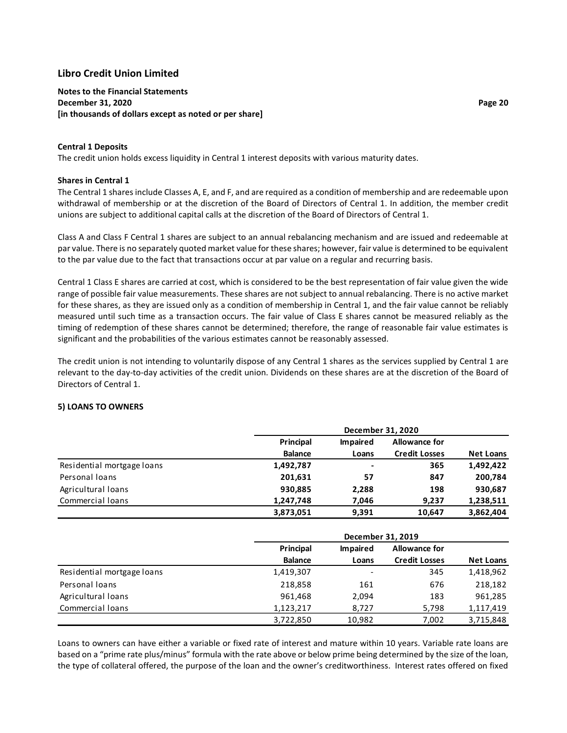Notes to the Financial Statements December 31, 2020 Page 20 [in thousands of dollars except as noted or per share]

### Central 1 Deposits

The credit union holds excess liquidity in Central 1 interest deposits with various maturity dates.

### Shares in Central 1

The Central 1 shares include Classes A, E, and F, and are required as a condition of membership and are redeemable upon withdrawal of membership or at the discretion of the Board of Directors of Central 1. In addition, the member credit unions are subject to additional capital calls at the discretion of the Board of Directors of Central 1.

Class A and Class F Central 1 shares are subject to an annual rebalancing mechanism and are issued and redeemable at par value. There is no separately quoted market value for these shares; however, fair value is determined to be equivalent to the par value due to the fact that transactions occur at par value on a regular and recurring basis.

Central 1 Class E shares are carried at cost, which is considered to be the best representation of fair value given the wide range of possible fair value measurements. These shares are not subject to annual rebalancing. There is no active market for these shares, as they are issued only as a condition of membership in Central 1, and the fair value cannot be reliably measured until such time as a transaction occurs. The fair value of Class E shares cannot be measured reliably as the timing of redemption of these shares cannot be determined; therefore, the range of reasonable fair value estimates is significant and the probabilities of the various estimates cannot be reasonably assessed.

The credit union is not intending to voluntarily dispose of any Central 1 shares as the services supplied by Central 1 are relevant to the day-to-day activities of the credit union. Dividends on these shares are at the discretion of the Board of Directors of Central 1.

# 5) LOANS TO OWNERS

|                            |                | December 31, 2020        |                      |                  |
|----------------------------|----------------|--------------------------|----------------------|------------------|
|                            | Principal      | Impaired                 | Allowance for        |                  |
|                            | <b>Balance</b> | Loans                    | <b>Credit Losses</b> | <b>Net Loans</b> |
| Residential mortgage loans | 1,492,787      | $\overline{\phantom{0}}$ | 365                  | 1,492,422        |
| Personal loans             | 201,631        | 57                       | 847                  | 200,784          |
| Agricultural loans         | 930,885        | 2,288                    | 198                  | 930,687          |
| Commercial loans           | 1,247,748      | 7,046                    | 9,237                | 1,238,511        |
|                            | 3,873,051      | 9,391                    | 10,647               | 3,862,404        |

|                            |                | December 31, 2019        |                      |                  |
|----------------------------|----------------|--------------------------|----------------------|------------------|
|                            | Principal      | <b>Impaired</b>          | Allowance for        |                  |
|                            | <b>Balance</b> | Loans                    | <b>Credit Losses</b> | <b>Net Loans</b> |
| Residential mortgage loans | 1,419,307      | $\overline{\phantom{a}}$ | 345                  | 1,418,962        |
| Personal loans             | 218,858        | 161                      | 676                  | 218,182          |
| Agricultural loans         | 961,468        | 2,094                    | 183                  | 961,285          |
| Commercial loans           | 1,123,217      | 8,727                    | 5,798                | 1,117,419        |
|                            | 3,722,850      | 10,982                   | 7,002                | 3,715,848        |

Loans to owners can have either a variable or fixed rate of interest and mature within 10 years. Variable rate loans are based on a "prime rate plus/minus" formula with the rate above or below prime being determined by the size of the loan, the type of collateral offered, the purpose of the loan and the owner's creditworthiness. Interest rates offered on fixed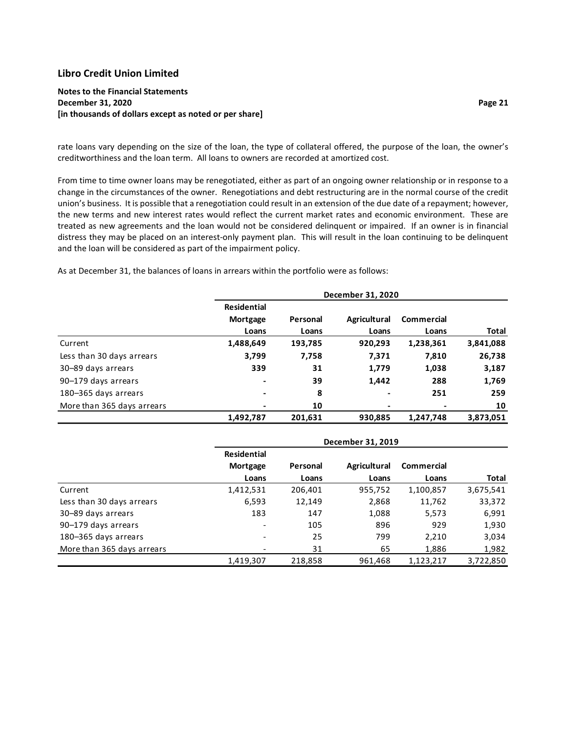# Notes to the Financial Statements December 31, 2020 Page 21 [in thousands of dollars except as noted or per share]

rate loans vary depending on the size of the loan, the type of collateral offered, the purpose of the loan, the owner's creditworthiness and the loan term. All loans to owners are recorded at amortized cost.

From time to time owner loans may be renegotiated, either as part of an ongoing owner relationship or in response to a change in the circumstances of the owner. Renegotiations and debt restructuring are in the normal course of the credit union's business. It is possible that a renegotiation could result in an extension of the due date of a repayment; however, the new terms and new interest rates would reflect the current market rates and economic environment. These are treated as new agreements and the loan would not be considered delinquent or impaired. If an owner is in financial distress they may be placed on an interest-only payment plan. This will result in the loan continuing to be delinquent and the loan will be considered as part of the impairment policy.

As at December 31, the balances of loans in arrears within the portfolio were as follows:

|                            |                    |          | December 31, 2020 |                   |           |
|----------------------------|--------------------|----------|-------------------|-------------------|-----------|
|                            | <b>Residential</b> |          |                   |                   |           |
|                            | Mortgage           | Personal | Agricultural      | <b>Commercial</b> |           |
|                            | Loans              | Loans    | Loans             | Loans             | Total     |
| Current                    | 1,488,649          | 193,785  | 920,293           | 1,238,361         | 3,841,088 |
| Less than 30 days arrears  | 3,799              | 7,758    | 7,371             | 7,810             | 26,738    |
| 30-89 days arrears         | 339                | 31       | 1,779             | 1,038             | 3,187     |
| 90-179 days arrears        | $\blacksquare$     | 39       | 1,442             | 288               | 1,769     |
| 180-365 days arrears       |                    | 8        |                   | 251               | 259       |
| More than 365 days arrears |                    | 10       |                   |                   | 10        |
|                            | 1,492,787          | 201,631  | 930,885           | 1,247,748         | 3,873,051 |

|                            |                          |          | December 31, 2019 |            |           |
|----------------------------|--------------------------|----------|-------------------|------------|-----------|
|                            | <b>Residential</b>       |          |                   |            |           |
|                            | Mortgage                 | Personal | Agricultural      | Commercial |           |
|                            | Loans                    | Loans    | Loans             | Loans      | Total     |
| Current                    | 1,412,531                | 206,401  | 955,752           | 1,100,857  | 3,675,541 |
| Less than 30 days arrears  | 6,593                    | 12,149   | 2,868             | 11,762     | 33,372    |
| 30-89 days arrears         | 183                      | 147      | 1,088             | 5,573      | 6,991     |
| 90-179 days arrears        |                          | 105      | 896               | 929        | 1,930     |
| 180-365 days arrears       | $\overline{\phantom{0}}$ | 25       | 799               | 2,210      | 3,034     |
| More than 365 days arrears |                          | 31       | 65                | 1,886      | 1,982     |
|                            | 1,419,307                | 218,858  | 961,468           | 1,123,217  | 3,722,850 |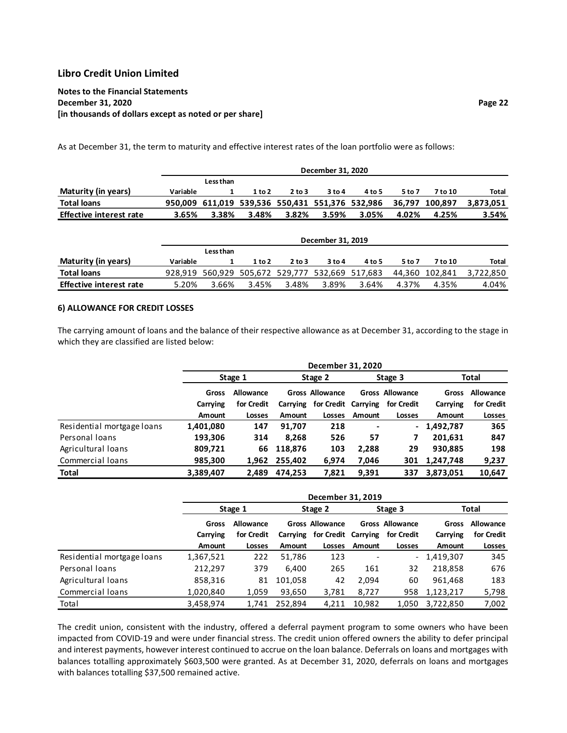# Notes to the Financial Statements December 31, 2020 Page 22 [in thousands of dollars except as noted or per share]

|                                | December 31, 2020 |           |        |        |        |                                                 |        |         |           |
|--------------------------------|-------------------|-----------|--------|--------|--------|-------------------------------------------------|--------|---------|-----------|
|                                |                   | Less than |        |        |        |                                                 |        |         |           |
| Maturity (in years)            | Variable          |           | 1 to 2 | 2 to 3 | 3 to 4 | 4 to 5                                          | 5 to 7 | 7 to 10 | Total     |
| <b>Total loans</b>             |                   |           |        |        |        | 950,009 611,019 539,536 550,431 551,376 532,986 | 36.797 | 100.897 | 3.873.051 |
| <b>Effective interest rate</b> | 3.65%             | 3.38%     | 3.48%  | 3.82%  | 3.59%  | 3.05%                                           | 4.02%  | 4.25%   | 3.54%     |

| <b>Libro Credit Union Limited</b><br><b>Notes to the Financial Statements</b><br>December 31, 2020<br>[in thousands of dollars except as noted or per share] |                                |                  |                                                 |            |                   |        |        |                |           |
|--------------------------------------------------------------------------------------------------------------------------------------------------------------|--------------------------------|------------------|-------------------------------------------------|------------|-------------------|--------|--------|----------------|-----------|
|                                                                                                                                                              |                                |                  |                                                 |            |                   |        |        |                |           |
|                                                                                                                                                              |                                |                  |                                                 |            |                   |        |        |                | Page 22   |
| As at December 31, the term to maturity and effective interest rates of the loan portfolio were as follows:                                                  |                                |                  |                                                 |            |                   |        |        |                |           |
|                                                                                                                                                              |                                |                  |                                                 |            | December 31, 2020 |        |        |                |           |
|                                                                                                                                                              |                                | <b>Less than</b> |                                                 |            |                   |        |        |                |           |
| Maturity (in years)                                                                                                                                          | Variable                       |                  | 1 to 2                                          | $2$ to $3$ | 3 to 4            | 4 to 5 | 5 to 7 | 7 to 10        | Total     |
| <b>Total loans</b>                                                                                                                                           |                                |                  | 950,009 611,019 539,536 550,431 551,376 532,986 |            |                   |        | 36,797 | 100,897        | 3,873,051 |
| <b>Effective interest rate</b>                                                                                                                               | 3.65%                          | 3.38%            | 3.48%                                           | 3.82%      | 3.59%             | 3.05%  | 4.02%  | 4.25%          | 3.54%     |
|                                                                                                                                                              |                                |                  |                                                 |            | December 31, 2019 |        |        |                |           |
|                                                                                                                                                              |                                | <b>Less than</b> |                                                 |            |                   |        |        |                |           |
| Maturity (in years)                                                                                                                                          | Variable                       |                  | 1 to 2                                          | 2 to 3     | 3 to 4            | 4 to 5 | 5 to 7 | 7 to 10        | Total     |
| <b>Total loans</b>                                                                                                                                           | 928,919                        |                  | 560,929 505,672                                 | 529,777    | 532,669 517,683   |        |        | 44,360 102,841 | 3,722,850 |
| <b>Effective interest rate</b>                                                                                                                               | 5.20%                          | 3.66%            | 3.45%                                           | 3.48%      | 3.89%             | 3.64%  | 4.37%  | 4.35%          | 4.04%     |
|                                                                                                                                                              | 6) ALLOWANCE FOR CREDIT LOSSES |                  |                                                 |            |                   |        |        |                |           |

### 6) ALLOWANCE FOR CREDIT LOSSES

|                            |           |            |               | December 31, 2020      |                |                                         |              |              |
|----------------------------|-----------|------------|---------------|------------------------|----------------|-----------------------------------------|--------------|--------------|
|                            |           | Stage 1    |               | Stage 2                |                | Stage 3                                 |              | <b>Total</b> |
|                            | Gross     | Allowance  |               | <b>Gross Allowance</b> |                | <b>Gross Allowance</b>                  | Gross        | Allowance    |
|                            | Carrying  | for Credit |               |                        |                | Carrying for Credit Carrying for Credit | Carrying     | for Credit   |
|                            | Amount    | Losses     | <b>Amount</b> | Losses                 | Amount         | <b>Losses</b>                           | Amount       | Losses       |
| Residential mortgage loans | 1,401,080 | 147        | 91,707        | 218                    | $\blacksquare$ |                                         | $-1,492,787$ | 365          |
| Personal loans             | 193,306   | 314        | 8.268         | 526                    | 57             |                                         | 201,631      | 847          |
| Agricultural loans         | 809,721   | 66         | 118,876       | 103                    | 2,288          | 29                                      | 930.885      | 198          |
| Commercial loans           | 985,300   | 1,962      | 255,402       | 6,974                  | 7,046          | 301                                     | 1,247,748    | 9,237        |
| Total                      | 3,389,407 | 2,489      | 474,253       | 7,821                  | 9,391          | 337                                     | 3,873,051    | 10,647       |

|                            |           |            |         | December 31, 2019      |                          |                                         |              |            |
|----------------------------|-----------|------------|---------|------------------------|--------------------------|-----------------------------------------|--------------|------------|
|                            |           | Stage 1    |         | Stage 2                |                          | Stage 3                                 |              | Total      |
|                            | Gross     | Allowance  |         | <b>Gross Allowance</b> |                          | <b>Gross Allowance</b>                  | Gross        | Allowance  |
|                            | Carrying  | for Credit |         |                        |                          | Carrying for Credit Carrying for Credit | Carrying     | for Credit |
|                            | Amount    | Losses     | Amount  | Losses                 | Amount                   | <b>Losses</b>                           | Amount       | Losses     |
| Residential mortgage loans | 1,367,521 | 222        | 51,786  | 123                    | $\overline{\phantom{a}}$ |                                         | $-1,419,307$ | 345        |
| Personal loans             | 212,297   | 379        | 6.400   | 265                    | 161                      | 32                                      | 218,858      | 676        |
| Agricultural loans         | 858,316   | 81         | 101,058 | 42                     | 2,094                    | 60                                      | 961,468      | 183        |
| Commercial loans           | 1,020,840 | 1,059      | 93,650  | 3.781                  | 8,727                    | 958                                     | 1,123,217    | 5,798      |
| Total                      | 3,458,974 | 1,741      | 252,894 | 4,211                  | 10,982                   | 1,050                                   | 3,722,850    | 7,002      |

The credit union, consistent with the industry, offered a deferral payment program to some owners who have been impacted from COVID-19 and were under financial stress. The credit union offered owners the ability to defer principal and interest payments, however interest continued to accrue on the loan balance. Deferrals on loans and mortgages with balances totalling approximately \$603,500 were granted. As at December 31, 2020, deferrals on loans and mortgages with balances totalling \$37,500 remained active.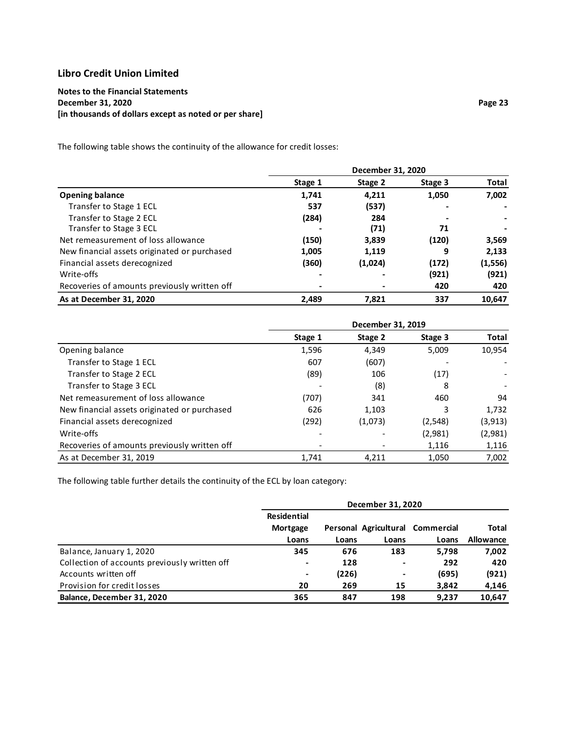# Notes to the Financial Statements December 31, 2020 Page 23 [in thousands of dollars except as noted or per share]

| PECENINEI JI, LULU<br>[in thousands of dollars except as noted or per share] |         |                   |         | <b>س</b> ع ع |
|------------------------------------------------------------------------------|---------|-------------------|---------|--------------|
| The following table shows the continuity of the allowance for credit losses: |         |                   |         |              |
|                                                                              |         | December 31, 2020 |         |              |
|                                                                              | Stage 1 | Stage 2           | Stage 3 | <b>Total</b> |
| <b>Opening balance</b>                                                       | 1,741   | 4,211             | 1,050   | 7,002        |
| Transfer to Stage 1 ECL                                                      | 537     | (537)             |         |              |
| Transfer to Stage 2 ECL                                                      | (284)   | 284               |         |              |
| Transfer to Stage 3 ECL                                                      |         | (71)              | 71      |              |
| Net remeasurement of loss allowance                                          | (150)   | 3,839             | (120)   | 3,569        |
| New financial assets originated or purchased                                 | 1,005   | 1,119             | q       | 2,133        |
| Financial assets derecognized                                                | (360)   | (1,024)           | (172)   | (1, 556)     |
| Write-offs                                                                   |         |                   | (921)   | (921)        |
| Recoveries of amounts previously written off                                 |         |                   | 420     | 420          |
| As at December 31, 2020                                                      | 2,489   | 7,821             | 337     | 10,647       |
|                                                                              |         | December 31, 2019 |         |              |
|                                                                              | Stage 1 | Stage 2           | Stage 3 | <b>Total</b> |
| Opening balance                                                              | 1,596   | 4,349             | 5,009   | 10,954       |
| Transfer to Stage 1 ECL                                                      | 607     | (607)             |         |              |
| Transfer to Stage 2 ECL                                                      | (89)    | 106               | (17)    |              |
| Transfer to Stage 3 ECL                                                      |         | (8)               | 8       |              |
| Net remeasurement of loss allowance                                          | (707)   | 341               | 460     | 94           |
|                                                                              |         |                   |         |              |

|                                              |                          | December 31, 2019        |          |          |
|----------------------------------------------|--------------------------|--------------------------|----------|----------|
|                                              | Stage 1                  | Stage 2                  | Stage 3  | Total    |
| Opening balance                              | 1,596                    | 4.349                    | 5,009    | 10,954   |
| Transfer to Stage 1 ECL                      | 607                      | (607)                    |          |          |
| Transfer to Stage 2 ECL                      | (89)                     | 106                      | (17)     |          |
| Transfer to Stage 3 ECL                      | $\overline{\phantom{a}}$ | (8)                      | 8        |          |
| Net remeasurement of loss allowance          | (707)                    | 341                      | 460      | 94       |
| New financial assets originated or purchased | 626                      | 1,103                    | 3        | 1,732    |
| Financial assets derecognized                | (292)                    | (1,073)                  | (2, 548) | (3, 913) |
| Write-offs                                   | $\overline{\phantom{a}}$ |                          | (2,981)  | (2,981)  |
| Recoveries of amounts previously written off | $\overline{\phantom{a}}$ | $\overline{\phantom{a}}$ | 1,116    | 1,116    |
| As at December 31, 2019                      | 1,741                    | 4,211                    | 1,050    | 7,002    |

The following table further details the continuity of the ECL by loan category:

|                                               |                    |       | December 31, 2020                                                                                                                                 |                                  |           |
|-----------------------------------------------|--------------------|-------|---------------------------------------------------------------------------------------------------------------------------------------------------|----------------------------------|-----------|
|                                               | <b>Residential</b> |       |                                                                                                                                                   |                                  |           |
|                                               | Mortgage           |       |                                                                                                                                                   | Personal Agricultural Commercial | Total     |
|                                               | Loans              | Loans | Loans                                                                                                                                             | Loans                            | Allowance |
| Balance, January 1, 2020                      | 345                | 676   | 183                                                                                                                                               | 5.798                            | 7,002     |
| Collection of accounts previously written off | $\,$               | 128   | $\qquad \qquad \blacksquare$                                                                                                                      | 292                              | 420       |
| Accounts written off                          | $\blacksquare$     | (226) | $\hskip1.6pt\hskip1.6pt\hskip1.6pt\hskip1.6pt\hskip1.6pt\hskip1.6pt\hskip1.6pt\hskip1.6pt\hskip1.6pt\hskip1.6pt\hskip1.6pt\hskip1.6pt\hskip1.6pt$ | (695)                            | (921)     |
| Provision for credit losses                   | 20                 | 269   | 15                                                                                                                                                | 3,842                            | 4,146     |
| Balance, December 31, 2020                    | 365                | 847   | 198                                                                                                                                               | 9,237                            | 10,647    |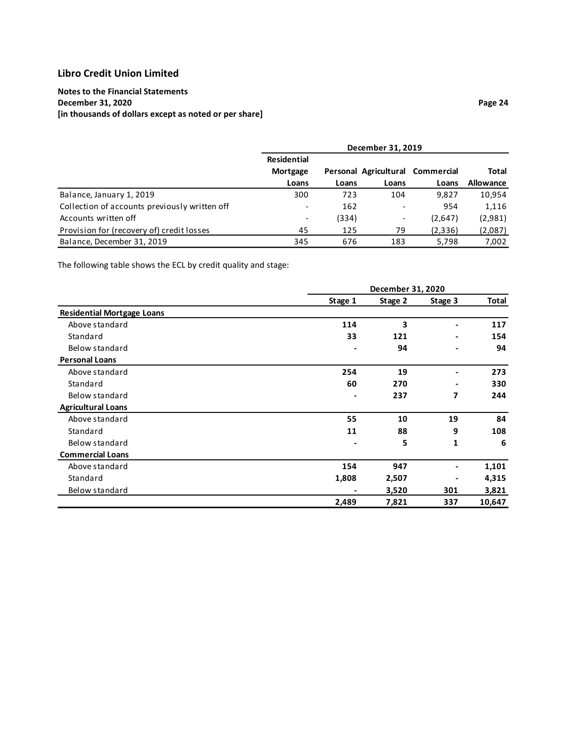# Notes to the Financial Statements December 31, 2020 Page 24 [in thousands of dollars except as noted or per share]

|                                               |                          |       | December 31, 2019        |            |           |
|-----------------------------------------------|--------------------------|-------|--------------------------|------------|-----------|
|                                               | <b>Residential</b>       |       |                          |            |           |
|                                               | Mortgage                 |       | Personal Agricultural    | Commercial | Total     |
|                                               | Loans                    | Loans | Loans                    | Loans      | Allowance |
| Balance, January 1, 2019                      | 300                      | 723   | 104                      | 9,827      | 10,954    |
| Collection of accounts previously written off | $\overline{\phantom{a}}$ | 162   |                          | 954        | 1,116     |
| Accounts written off                          | -                        | (334) | $\overline{\phantom{a}}$ | (2,647)    | (2,981)   |
| Provision for (recovery of) credit losses     | 45                       | 125   | 79                       | (2,336)    | (2,087)   |
| Balance, December 31, 2019                    | 345                      | 676   | 183                      | 5,798      | 7,002     |

The following table shows the ECL by credit quality and stage:

|                                   |                          | December 31, 2020 |                   |        |
|-----------------------------------|--------------------------|-------------------|-------------------|--------|
|                                   | Stage 1                  | Stage 2           | Stage 3           | Total  |
| <b>Residential Mortgage Loans</b> |                          |                   |                   |        |
| Above standard                    | 114                      | 3                 | $\blacksquare$    | 117    |
| Standard                          | 33                       | 121               | $\hbox{\small -}$ | 154    |
| Below standard                    |                          | 94                | $\hbox{\small -}$ | 94     |
| <b>Personal Loans</b>             |                          |                   |                   |        |
| Above standard                    | 254                      | 19                | $\blacksquare$    | 273    |
| Standard                          | 60                       | 270               | $\blacksquare$    | 330    |
| Below standard                    | $\overline{\phantom{a}}$ | 237               | 7                 | 244    |
| <b>Agricultural Loans</b>         |                          |                   |                   |        |
| Above standard                    | 55                       | 10                | 19                | 84     |
| Standard                          | 11                       | 88                | 9                 | 108    |
| Below standard                    | $\overline{\phantom{0}}$ | 5                 | 1                 | 6      |
| <b>Commercial Loans</b>           |                          |                   |                   |        |
| Above standard                    | 154                      | 947               | $\hbox{\small -}$ | 1,101  |
| Standard                          | 1,808                    | 2,507             | $\blacksquare$    | 4,315  |
| Below standard                    |                          | 3,520             | 301               | 3,821  |
|                                   | 2,489                    | 7,821             | 337               | 10,647 |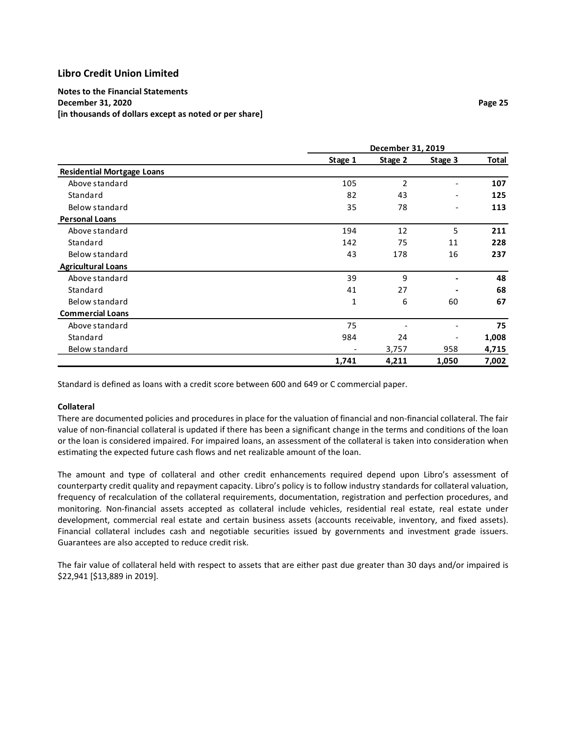Notes to the Financial Statements December 31, 2020 Page 25 [in thousands of dollars except as noted or per share]

|                                   |                          | December 31, 2019 |                          |              |
|-----------------------------------|--------------------------|-------------------|--------------------------|--------------|
|                                   | Stage 1                  | Stage 2           | Stage 3                  | <b>Total</b> |
| <b>Residential Mortgage Loans</b> |                          |                   |                          |              |
| Above standard                    | 105                      | $\overline{2}$    | $\overline{\phantom{a}}$ | 107          |
| Standard                          | 82                       | 43                | $\overline{\phantom{a}}$ | 125          |
| Below standard                    | 35                       | 78                | $\overline{\phantom{a}}$ | 113          |
| <b>Personal Loans</b>             |                          |                   |                          |              |
| Above standard                    | 194                      | 12                | 5                        | 211          |
| Standard                          | 142                      | 75                | 11                       | 228          |
| Below standard                    | 43                       | 178               | 16                       | 237          |
| <b>Agricultural Loans</b>         |                          |                   |                          |              |
| Above standard                    | 39                       | 9                 | $\overline{\phantom{0}}$ | 48           |
| Standard                          | 41                       | 27                |                          | 68           |
| Below standard                    | $\mathbf 1$              | 6                 | 60                       | 67           |
| <b>Commercial Loans</b>           |                          |                   |                          |              |
| Above standard                    | 75                       |                   | $\overline{\phantom{a}}$ | 75           |
| Standard                          | 984                      | 24                | $\overline{\phantom{a}}$ | 1,008        |
| Below standard                    | $\overline{\phantom{a}}$ | 3,757             | 958                      | 4,715        |
|                                   | 1,741                    | 4,211             | 1,050                    | 7,002        |

Standard is defined as loans with a credit score between 600 and 649 or C commercial paper.

### Collateral

There are documented policies and procedures in place for the valuation of financial and non-financial collateral. The fair value of non-financial collateral is updated if there has been a significant change in the terms and conditions of the loan or the loan is considered impaired. For impaired loans, an assessment of the collateral is taken into consideration when estimating the expected future cash flows and net realizable amount of the loan.

The amount and type of collateral and other credit enhancements required depend upon Libro's assessment of counterparty credit quality and repayment capacity. Libro's policy is to follow industry standards for collateral valuation, frequency of recalculation of the collateral requirements, documentation, registration and perfection procedures, and monitoring. Non-financial assets accepted as collateral include vehicles, residential real estate, real estate under development, commercial real estate and certain business assets (accounts receivable, inventory, and fixed assets). Financial collateral includes cash and negotiable securities issued by governments and investment grade issuers. Guarantees are also accepted to reduce credit risk.

The fair value of collateral held with respect to assets that are either past due greater than 30 days and/or impaired is \$22,941 [\$13,889 in 2019].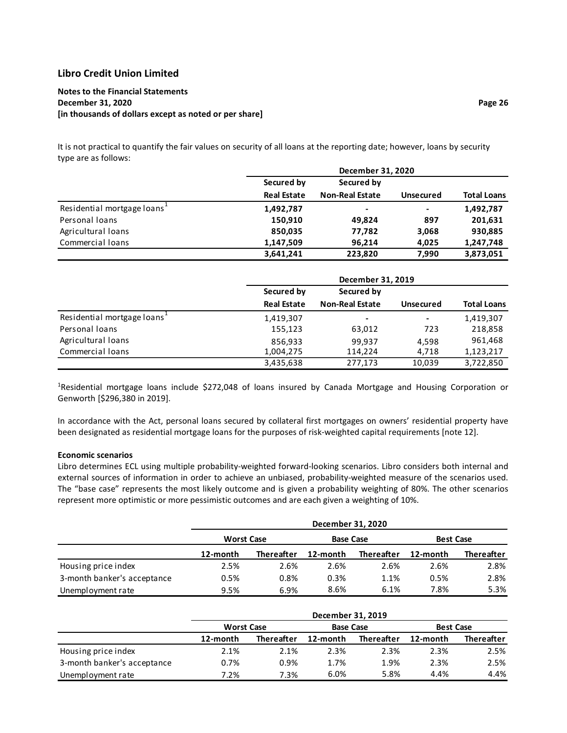# Notes to the Financial Statements December 31, 2020 Page 26 [in thousands of dollars except as noted or per share]

| <b>Libro Credit Union Limited</b>                                                                                                                  |                        |                        |                  |                        |
|----------------------------------------------------------------------------------------------------------------------------------------------------|------------------------|------------------------|------------------|------------------------|
| <b>Notes to the Financial Statements</b>                                                                                                           |                        |                        |                  |                        |
| December 31, 2020                                                                                                                                  |                        |                        |                  | Page 26                |
| [in thousands of dollars except as noted or per share]                                                                                             |                        |                        |                  |                        |
|                                                                                                                                                    |                        |                        |                  |                        |
|                                                                                                                                                    |                        |                        |                  |                        |
|                                                                                                                                                    |                        |                        |                  |                        |
| It is not practical to quantify the fair values on security of all loans at the reporting date; however, loans by security<br>type are as follows: |                        |                        |                  |                        |
|                                                                                                                                                    |                        | December 31, 2020      |                  |                        |
|                                                                                                                                                    | Secured by             | Secured by             |                  |                        |
|                                                                                                                                                    | <b>Real Estate</b>     | <b>Non-Real Estate</b> | <b>Unsecured</b> | <b>Total Loans</b>     |
| Residential mortgage loans <sup>1</sup>                                                                                                            | 1,492,787              |                        | $\blacksquare$   | 1,492,787              |
| Personal loans                                                                                                                                     | 150,910                | 49,824                 | 897              | 201,631                |
| Agricultural loans                                                                                                                                 | 850,035                | 77,782                 | 3,068            | 930,885                |
| Commercial loans                                                                                                                                   | 1,147,509<br>3,641,241 | 96,214<br>223,820      | 4,025<br>7,990   | 1,247,748<br>3,873,051 |

| Libro Credit Union Limited                                                                                                                         |                    |                        |                  |                    |
|----------------------------------------------------------------------------------------------------------------------------------------------------|--------------------|------------------------|------------------|--------------------|
| <b>Notes to the Financial Statements</b><br>December 31, 2020<br>[in thousands of dollars except as noted or per share]                            |                    |                        |                  | Page 26            |
| It is not practical to quantify the fair values on security of all loans at the reporting date; however, loans by security<br>type are as follows: |                    |                        |                  |                    |
|                                                                                                                                                    |                    | December 31, 2020      |                  |                    |
|                                                                                                                                                    | Secured by         | Secured by             |                  |                    |
|                                                                                                                                                    | <b>Real Estate</b> | <b>Non-Real Estate</b> | <b>Unsecured</b> | <b>Total Loans</b> |
| Residential mortgage loans <sup>1</sup>                                                                                                            | 1,492,787          |                        |                  | 1,492,787          |
| Personal loans                                                                                                                                     | 150,910            | 49,824                 | 897              | 201,631            |
| Agricultural loans                                                                                                                                 | 850,035            | 77,782                 | 3,068            | 930,885            |
| Commercial loans                                                                                                                                   | 1,147,509          | 96,214                 | 4,025            | 1,247,748          |
|                                                                                                                                                    | 3,641,241          | 223,820                | 7,990            | 3,873,051          |
|                                                                                                                                                    |                    | December 31, 2019      |                  |                    |
|                                                                                                                                                    | Secured by         | Secured by             |                  |                    |
|                                                                                                                                                    | <b>Real Estate</b> | <b>Non-Real Estate</b> | <b>Unsecured</b> | <b>Total Loans</b> |
| Residential mortgage loans <sup>1</sup>                                                                                                            | 1,419,307          |                        |                  | 1,419,307          |
| Personal loans                                                                                                                                     | 155,123            | 63,012                 | 723              | 218,858            |
| Agricultural loans                                                                                                                                 | 856,933            | 99,937                 | 4,598            | 961,468            |
| Commercial loans                                                                                                                                   | 1,004,275          | 114,224                | 4,718            | 1,123,217          |
|                                                                                                                                                    | 3,435,638          | 277,173                | 10,039           | 3,722,850          |

### Economic scenarios

| Personal loans                                                                                                                                                                                                                                |                   | 155,123             |                   | 63,012            | 723                                                | 218,858           |
|-----------------------------------------------------------------------------------------------------------------------------------------------------------------------------------------------------------------------------------------------|-------------------|---------------------|-------------------|-------------------|----------------------------------------------------|-------------------|
|                                                                                                                                                                                                                                               |                   |                     |                   |                   |                                                    |                   |
| Agricultural loans                                                                                                                                                                                                                            |                   | 856,933             |                   | 99,937            | 4,598                                              | 961,468           |
| Commercial loans                                                                                                                                                                                                                              |                   | 1,004,275           |                   | 114,224           | 4,718                                              | 1,123,217         |
|                                                                                                                                                                                                                                               |                   | 3,435,638           |                   | 277,173           |                                                    | 3,722,850         |
| <sup>1</sup> Residential mortgage loans include \$272,048 of loans insured by Canada Mortgage and Housing Corporation or<br>Genworth [\$296,380 in 2019].                                                                                     |                   |                     |                   |                   | 10,039<br><b>Best Case</b><br>2.6%<br>0.5%<br>7.8% |                   |
| In accordance with the Act, personal loans secured by collateral first mortgages on owners' residential property have<br>been designated as residential mortgage loans for the purposes of risk-weighted capital requirements [note 12].      |                   |                     |                   |                   |                                                    |                   |
| <b>Economic scenarios</b>                                                                                                                                                                                                                     |                   |                     |                   |                   |                                                    |                   |
| Libro determines ECL using multiple probability-weighted forward-looking scenarios. Libro considers both internal and<br>external sources of information in order to achieve an unbiased, probability-weighted measure of the scenarios used. |                   |                     |                   |                   |                                                    |                   |
| The "base case" represents the most likely outcome and is given a probability weighting of 80%. The other scenarios                                                                                                                           |                   |                     |                   |                   |                                                    |                   |
| represent more optimistic or more pessimistic outcomes and are each given a weighting of 10%.                                                                                                                                                 |                   |                     |                   |                   |                                                    |                   |
|                                                                                                                                                                                                                                               |                   |                     |                   |                   |                                                    |                   |
|                                                                                                                                                                                                                                               |                   |                     |                   |                   |                                                    |                   |
|                                                                                                                                                                                                                                               |                   |                     | December 31, 2020 |                   |                                                    |                   |
|                                                                                                                                                                                                                                               | <b>Worst Case</b> |                     | <b>Base Case</b>  |                   |                                                    |                   |
|                                                                                                                                                                                                                                               | 12-month          | Thereafter 12-month |                   | <b>Thereafter</b> | 12-month                                           | <b>Thereafter</b> |
| Housing price index                                                                                                                                                                                                                           | 2.5%              | 2.6%                | 2.6%              | 2.6%              |                                                    | 2.8%              |
| 3-month banker's acceptance                                                                                                                                                                                                                   | 0.5%              | 0.8%                | 0.3%              | 1.1%              |                                                    | 2.8%              |
| Unemployment rate                                                                                                                                                                                                                             | 9.5%              | 6.9%                | 8.6%              | 6.1%              |                                                    | 5.3%              |
|                                                                                                                                                                                                                                               |                   |                     |                   |                   |                                                    |                   |
|                                                                                                                                                                                                                                               |                   |                     | December 31, 2019 |                   |                                                    |                   |
|                                                                                                                                                                                                                                               | <b>Worst Case</b> |                     | <b>Base Case</b>  |                   | <b>Best Case</b>                                   |                   |
|                                                                                                                                                                                                                                               | 12-month          | <b>Thereafter</b>   | 12-month          | <b>Thereafter</b> | 12-month                                           | Thereafter        |
| Housing price index                                                                                                                                                                                                                           | 2.1%              | 2.1%                | 2.3%              | 2.3%              | 2.3%                                               | 2.5%              |
| 3-month banker's acceptance<br>Unemployment rate                                                                                                                                                                                              | 0.7%<br>7.2%      | 0.9%<br>7.3%        | 1.7%<br>6.0%      | 1.9%<br>5.8%      | 2.3%<br>4.4%                                       | 2.5%<br>4.4%      |

|                             |                   |                   | December 31, 2019 |            |                  |                   |
|-----------------------------|-------------------|-------------------|-------------------|------------|------------------|-------------------|
|                             | <b>Worst Case</b> |                   | <b>Base Case</b>  |            | <b>Best Case</b> |                   |
|                             | 12-month          | <b>Thereafter</b> | 12-month          | Thereafter | 12-month         | <b>Thereafter</b> |
| Housing price index         | 2.1%              | 2.1%              | 2.3%              | 2.3%       | 2.3%             | 2.5%              |
| 3-month banker's acceptance | 0.7%              | 0.9%              | 1.7%              | 1.9%       | 2.3%             | 2.5%              |
| Unemployment rate           | 7.2%              | 7.3%              | 6.0%              | 5.8%       | 4.4%             | 4.4%              |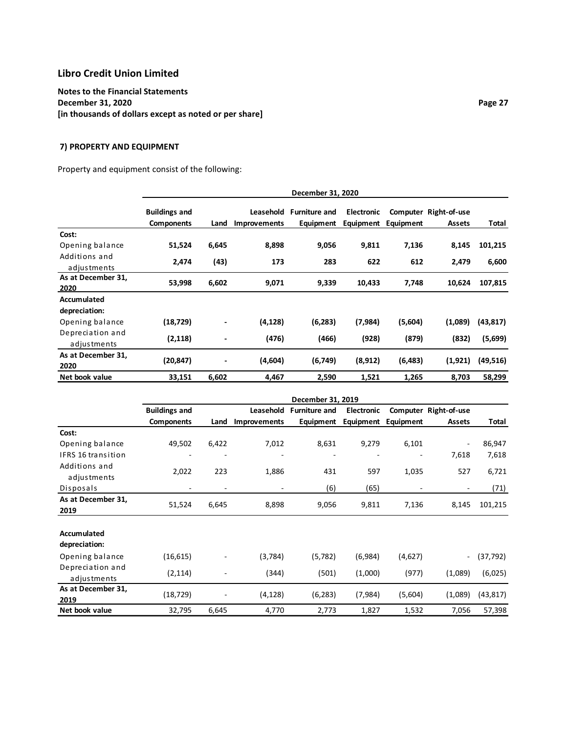# 7) PROPERTY AND EQUIPMENT

| <b>Libro Credit Union Limited</b>                                                                                       |                                           |               |                          |                          |                                                    |                          |                                        |                  |
|-------------------------------------------------------------------------------------------------------------------------|-------------------------------------------|---------------|--------------------------|--------------------------|----------------------------------------------------|--------------------------|----------------------------------------|------------------|
| <b>Notes to the Financial Statements</b><br>December 31, 2020<br>[in thousands of dollars except as noted or per share] |                                           |               |                          |                          |                                                    |                          |                                        | Page 27          |
| 7) PROPERTY AND EQUIPMENT                                                                                               |                                           |               |                          |                          |                                                    |                          |                                        |                  |
| Property and equipment consist of the following:                                                                        |                                           |               |                          |                          |                                                    |                          |                                        |                  |
|                                                                                                                         |                                           |               |                          | December 31, 2020        |                                                    |                          |                                        |                  |
|                                                                                                                         | <b>Buildings and</b><br><b>Components</b> |               | Land Improvements        | Leasehold Furniture and  | Electronic<br>Equipment Equipment Equipment        |                          | Computer Right-of-use<br><b>Assets</b> | Total            |
| Cost:                                                                                                                   |                                           |               |                          |                          |                                                    |                          |                                        |                  |
| Opening balance<br>Additions and<br>adjustments                                                                         | 51,524<br>2,474                           | 6,645<br>(43) | 8,898<br>173             | 9,056<br>283             | 9,811<br>622                                       | 7,136<br>612             | 8,145<br>2,479                         | 101,215<br>6,600 |
| As at December 31,<br>2020                                                                                              | 53,998                                    | 6,602         | 9,071                    | 9,339                    | 10,433                                             | 7,748                    |                                        | 10,624 107,815   |
| Accumulated<br>depreciation:                                                                                            |                                           |               |                          |                          |                                                    |                          |                                        |                  |
| Opening balance                                                                                                         | (18, 729)                                 |               | (4, 128)                 | (6, 283)                 | (7,984)                                            | (5,604)                  | (1,089)                                | (43, 817)        |
| Depreciation and<br>adjustments                                                                                         | (2, 118)                                  |               | (476)                    | (466)                    | (928)                                              | (879)                    | (832)                                  | (5,699)          |
| As at December 31,<br>2020                                                                                              | (20, 847)                                 |               | (4,604)                  | (6, 749)                 | (8, 912)                                           | (6, 483)                 | (1, 921)                               | (49, 516)        |
| Net book value                                                                                                          | 33,151                                    | 6,602         | 4,467                    | 2,590                    | 1,521                                              | 1,265                    | 8,703                                  | 58,299           |
|                                                                                                                         |                                           |               |                          | December 31, 2019        |                                                    |                          |                                        |                  |
|                                                                                                                         | <b>Buildings and</b><br><b>Components</b> |               | Land Improvements        | Leasehold Furniture and  | Electronic<br><b>Equipment Equipment Equipment</b> |                          | Computer Right-of-use<br>Assets        | Total            |
| Cost:                                                                                                                   |                                           |               |                          |                          |                                                    |                          |                                        |                  |
| Opening balance                                                                                                         | 49,502                                    | 6,422         | 7,012                    | 8,631                    | 9,279                                              | 6,101                    |                                        | 86,947           |
| IFRS 16 transition                                                                                                      | $\blacksquare$                            |               | $\overline{\phantom{a}}$ | $\overline{\phantom{a}}$ | $\sim$                                             | $\overline{\phantom{a}}$ | 7,618                                  | 7,618            |
| Additions and<br>adjustments                                                                                            | 2,022                                     | 223           | 1,886                    | 431                      | 597                                                | 1,035                    | 527                                    | 6,721            |
| Disposals                                                                                                               | $\blacksquare$                            |               | $\sim$                   | (6)                      | (65)                                               | $\sim$                   | $\overline{\phantom{a}}$               | (71)             |
| As at December 31,<br>2019                                                                                              | 51,524                                    | 6,645         | 8,898                    | 9,056                    | 9,811                                              | 7,136                    |                                        | 8,145 101,215    |

| Opening balance                   | 51,524               | 6,645                       | 8,898                    | 9,056                    | 9,811                         | 7,136                    | 8,145                 | 101,215              |
|-----------------------------------|----------------------|-----------------------------|--------------------------|--------------------------|-------------------------------|--------------------------|-----------------------|----------------------|
| Additions and<br>adjustments      | 2,474                | (43)                        | 173                      | 283                      | 622                           | 612                      | 2,479                 | 6,600                |
| As at December 31,<br>2020        | 53,998               | 6,602                       | 9,071                    | 9,339                    | 10,433                        | 7,748                    |                       | 10,624 107,815       |
| Accumulated                       |                      |                             |                          |                          |                               |                          |                       |                      |
| depreciation:                     |                      |                             |                          |                          |                               |                          |                       |                      |
| Opening balance                   | (18, 729)            | $\blacksquare$              | (4, 128)                 | (6, 283)                 | (7,984)                       | (5,604)                  | (1,089)               | (43, 817)            |
| Depreciation and                  | (2, 118)             | $\sim$                      | (476)                    | (466)                    | (928)                         | (879)                    | (832)                 | (5,699)              |
| adjustments<br>As at December 31, |                      |                             |                          |                          |                               |                          |                       |                      |
| 2020                              | (20, 847)            | $\sim$                      | (4,604)                  | (6, 749)                 | (8, 912)                      | (6, 483)                 | (1, 921)              | (49, 516)            |
| Net book value                    | 33,151               | 6,602                       | 4,467                    | 2,590                    | 1,521                         | 1,265                    | 8,703                 | 58,299               |
|                                   |                      |                             |                          | December 31, 2019        |                               |                          |                       |                      |
|                                   | <b>Buildings and</b> |                             | Leasehold                | <b>Furniture and</b>     | Electronic                    |                          | Computer Right-of-use |                      |
|                                   | <b>Components</b>    |                             | Land Improvements        |                          | Equipment Equipment Equipment |                          | Assets                | Total                |
| Cost:                             |                      |                             |                          |                          |                               |                          |                       |                      |
| Opening balance                   | 49,502               | 6,422                       | 7,012                    | 8,631                    | 9,279                         | 6,101                    | $\blacksquare$        | 86,947               |
| IFRS 16 transition                | $\overline{a}$       |                             | $\overline{\phantom{a}}$ | $\overline{\phantom{a}}$ | $\overline{\phantom{a}}$      | $\overline{\phantom{a}}$ | 7,618                 | 7,618                |
| Additions and                     | 2,022                | 223                         | 1,886                    | 431                      | 597                           | 1,035                    | 527                   | 6,721                |
| adjustments                       |                      |                             |                          |                          |                               |                          |                       |                      |
| Disposals                         | $\sim$               | $\sim$                      | $\blacksquare$           | (6)                      | (65)                          | $\blacksquare$           | $\sim$                | (71)                 |
| As at December 31,<br>2019        | 51,524               | 6,645                       | 8,898                    | 9,056                    | 9,811                         | 7,136                    |                       | 8,145 101,215        |
| Accumulated<br>depreciation:      |                      |                             |                          |                          |                               |                          |                       |                      |
| Opening balance                   | (16, 615)            | $\mathcal{L}_{\mathcal{A}}$ | (3,784)                  | (5, 782)                 | (6,984)                       | (4,627)                  |                       | $-$ (37,792)         |
| Depreciation and                  | (2, 114)             | $\sim$                      | (344)                    | (501)                    | (1,000)                       | (977)                    | (1,089)               | (6,025)              |
| adjustments                       |                      |                             |                          |                          | (7,984)                       | (5,604)                  |                       | $(1,089)$ $(43,817)$ |
| As at December 31,<br>2019        | (18, 729)            | $\blacksquare$              | (4, 128)                 | (6, 283)                 |                               |                          |                       |                      |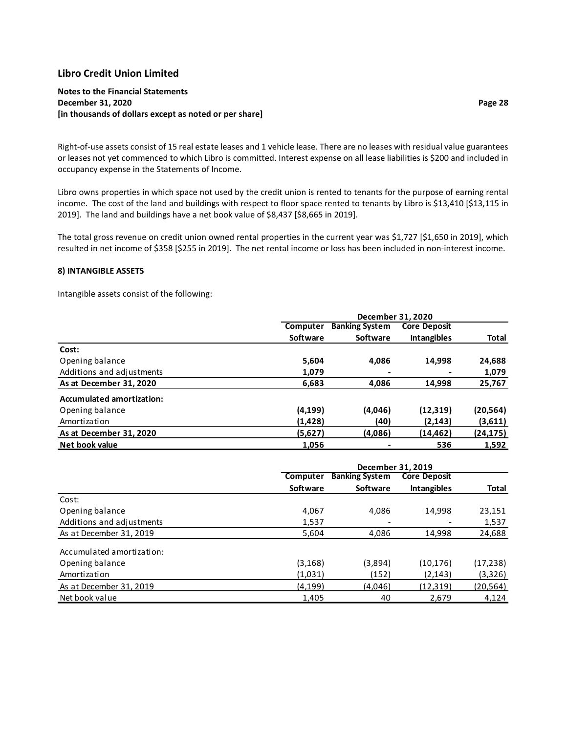# Notes to the Financial Statements December 31, 2020 Page 28 [in thousands of dollars except as noted or per share]

Right-of-use assets consist of 15 real estate leases and 1 vehicle lease. There are no leases with residual value guarantees or leases not yet commenced to which Libro is committed. Interest expense on all lease liabilities is \$200 and included in occupancy expense in the Statements of Income.

Libro owns properties in which space not used by the credit union is rented to tenants for the purpose of earning rental income. The cost of the land and buildings with respect to floor space rented to tenants by Libro is \$13,410 [\$13,115 in 2019]. The land and buildings have a net book value of \$8,437 [\$8,665 in 2019].

The total gross revenue on credit union owned rental properties in the current year was \$1,727 [\$1,650 in 2019], which resulted in net income of \$358 [\$255 in 2019]. The net rental income or loss has been included in non-interest income.

### 8) INTANGIBLE ASSETS

Intangible assets consist of the following:

|                                  |          |                       | December 31, 2020   |              |
|----------------------------------|----------|-----------------------|---------------------|--------------|
|                                  | Computer | <b>Banking System</b> | <b>Core Deposit</b> |              |
|                                  | Software | Software              | <b>Intangibles</b>  | <b>Total</b> |
| Cost:                            |          |                       |                     |              |
| Opening balance                  | 5,604    | 4,086                 | 14,998              | 24,688       |
| Additions and adjustments        | 1,079    |                       |                     | 1,079        |
| As at December 31, 2020          | 6,683    | 4,086                 | 14,998              | 25,767       |
| <b>Accumulated amortization:</b> |          |                       |                     |              |
| Opening balance                  | (4, 199) | (4,046)               | (12, 319)           | (20, 564)    |
| Amortization                     | (1, 428) | (40)                  | (2, 143)            | (3,611)      |
| As at December 31, 2020          | (5,627)  | (4,086)               | (14, 462)           | (24, 175)    |
| Net book value                   | 1,056    |                       | 536                 | 1,592        |

|                           |          |                       | December 31, 2019   |              |
|---------------------------|----------|-----------------------|---------------------|--------------|
|                           | Computer | <b>Banking System</b> | <b>Core Deposit</b> |              |
|                           | Software | Software              | <b>Intangibles</b>  | <b>Total</b> |
| Cost:                     |          |                       |                     |              |
| Opening balance           | 4.067    | 4,086                 | 14,998              | 23,151       |
| Additions and adjustments | 1,537    |                       |                     | 1,537        |
| As at December 31, 2019   | 5,604    | 4,086                 | 14,998              | 24,688       |
| Accumulated amortization: |          |                       |                     |              |
| Opening balance           | (3, 168) | (3,894)               | (10, 176)           | (17, 238)    |
| Amortization              | (1,031)  | (152)                 | (2, 143)            | (3,326)      |
| As at December 31, 2019   | (4, 199) | (4,046)               | (12, 319)           | (20, 564)    |
| Net book value            | 1,405    | 40                    | 2,679               | 4,124        |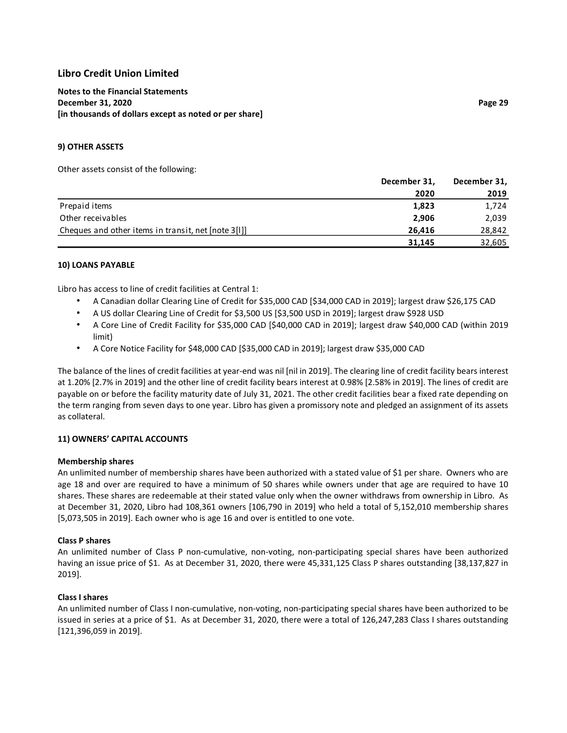Notes to the Financial Statements December 31, 2020 Page 29 [in thousands of dollars except as noted or per share]

# 9) OTHER ASSETS

Other assets consist of the following:

|                                                     | December 31, | December 31, |
|-----------------------------------------------------|--------------|--------------|
|                                                     | 2020         | 2019         |
| Prepaid items                                       | 1,823        | 1,724        |
| Other receivables                                   | 2,906        | 2,039        |
| Cheques and other items in transit, net [note 3[1]] | 26.416       | 28,842       |
|                                                     | 31,145       | 32,605       |

# 10) LOANS PAYABLE

Libro has access to line of credit facilities at Central 1:

- A Canadian dollar Clearing Line of Credit for \$35,000 CAD [\$34,000 CAD in 2019]; largest draw \$26,175 CAD
- A US dollar Clearing Line of Credit for \$3,500 US [\$3,500 USD in 2019]; largest draw \$928 USD
- A Core Line of Credit Facility for \$35,000 CAD [\$40,000 CAD in 2019]; largest draw \$40,000 CAD (within 2019 limit)
- A Core Notice Facility for \$48,000 CAD [\$35,000 CAD in 2019]; largest draw \$35,000 CAD

The balance of the lines of credit facilities at year-end was nil [nil in 2019]. The clearing line of credit facility bears interest at 1.20% [2.7% in 2019] and the other line of credit facility bears interest at 0.98% [2.58% in 2019]. The lines of credit are payable on or before the facility maturity date of July 31, 2021. The other credit facilities bear a fixed rate depending on the term ranging from seven days to one year. Libro has given a promissory note and pledged an assignment of its assets as collateral.

# 11) OWNERS' CAPITAL ACCOUNTS

# Membership shares

An unlimited number of membership shares have been authorized with a stated value of \$1 per share. Owners who are age 18 and over are required to have a minimum of 50 shares while owners under that age are required to have 10 shares. These shares are redeemable at their stated value only when the owner withdraws from ownership in Libro. As at December 31, 2020, Libro had 108,361 owners [106,790 in 2019] who held a total of 5,152,010 membership shares [5,073,505 in 2019]. Each owner who is age 16 and over is entitled to one vote.

# Class P shares

An unlimited number of Class P non-cumulative, non-voting, non-participating special shares have been authorized having an issue price of \$1. As at December 31, 2020, there were 45,331,125 Class P shares outstanding [38,137,827 in 2019].

# Class I shares

An unlimited number of Class I non-cumulative, non-voting, non-participating special shares have been authorized to be issued in series at a price of \$1. As at December 31, 2020, there were a total of 126,247,283 Class I shares outstanding [121,396,059 in 2019].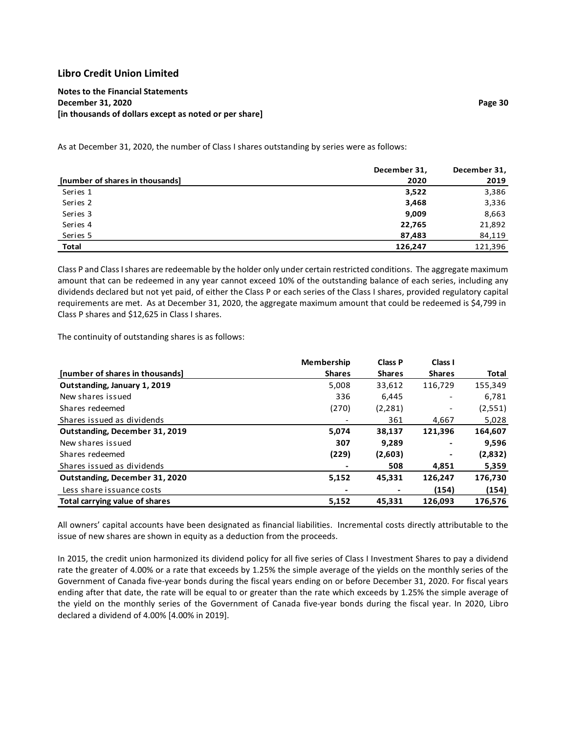# Notes to the Financial Statements December 31, 2020 Page 30 [in thousands of dollars except as noted or per share]

As at December 31, 2020, the number of Class I shares outstanding by series were as follows:

|                                 | December 31, | December 31, |
|---------------------------------|--------------|--------------|
| [number of shares in thousands] | 2020         | 2019         |
| Series 1                        | 3,522        | 3,386        |
| Series 2                        | 3,468        | 3,336        |
| Series 3                        | 9,009        | 8,663        |
| Series 4                        | 22,765       | 21,892       |
| Series 5                        | 87,483       | 84,119       |
| Total                           | 126,247      | 121,396      |

|                                                                                                                                                                                                                                                                                                                                                                                                                          |               | December 31,   |               | December 31, |
|--------------------------------------------------------------------------------------------------------------------------------------------------------------------------------------------------------------------------------------------------------------------------------------------------------------------------------------------------------------------------------------------------------------------------|---------------|----------------|---------------|--------------|
| [number of shares in thousands]                                                                                                                                                                                                                                                                                                                                                                                          |               |                | 2020          | 2019         |
| Series 1                                                                                                                                                                                                                                                                                                                                                                                                                 |               |                | 3,522         | 3,386        |
| Series 2                                                                                                                                                                                                                                                                                                                                                                                                                 |               |                | 3,468         | 3,336        |
| Series 3                                                                                                                                                                                                                                                                                                                                                                                                                 |               |                | 9,009         | 8,663        |
| Series 4                                                                                                                                                                                                                                                                                                                                                                                                                 |               |                | 22,765        | 21,892       |
| Series 5                                                                                                                                                                                                                                                                                                                                                                                                                 |               |                | 87,483        | 84,119       |
| <b>Total</b>                                                                                                                                                                                                                                                                                                                                                                                                             |               | 126,247        |               | 121,396      |
| amount that can be redeemed in any year cannot exceed 10% of the outstanding balance of each series, including any<br>dividends declared but not yet paid, of either the Class P or each series of the Class I shares, provided regulatory capital<br>requirements are met. As at December 31, 2020, the aggregate maximum amount that could be redeemed is \$4,799 in<br>Class P shares and \$12,625 in Class I shares. |               |                |               |              |
|                                                                                                                                                                                                                                                                                                                                                                                                                          |               |                |               |              |
| The continuity of outstanding shares is as follows:                                                                                                                                                                                                                                                                                                                                                                      | Membership    | <b>Class P</b> | Class I       |              |
| [number of shares in thousands]                                                                                                                                                                                                                                                                                                                                                                                          | <b>Shares</b> | <b>Shares</b>  | <b>Shares</b> | Total        |
| Outstanding, January 1, 2019                                                                                                                                                                                                                                                                                                                                                                                             | 5,008         | 33,612         | 116,729       | 155,349      |
| New shares issued                                                                                                                                                                                                                                                                                                                                                                                                        | 336           | 6,445          |               | 6,781        |
| Shares redeemed                                                                                                                                                                                                                                                                                                                                                                                                          | (270)         | (2, 281)       |               | (2, 551)     |
| Shares issued as dividends                                                                                                                                                                                                                                                                                                                                                                                               |               | 361            | 4,667         | 5,028        |
| Outstanding, December 31, 2019                                                                                                                                                                                                                                                                                                                                                                                           | 5,074         | 38,137         | 121,396       | 164,607      |
| New shares issued                                                                                                                                                                                                                                                                                                                                                                                                        | 307           | 9,289          |               | 9,596        |
| Shares redeemed                                                                                                                                                                                                                                                                                                                                                                                                          | (229)         | (2,603)        |               | (2,832)      |
| Shares issued as dividends                                                                                                                                                                                                                                                                                                                                                                                               |               | 508            | 4,851         | 5,359        |
| Outstanding, December 31, 2020                                                                                                                                                                                                                                                                                                                                                                                           | 5,152         | 45,331         | 126,247       | 176,730      |
| Less share issuance costs                                                                                                                                                                                                                                                                                                                                                                                                |               |                | (154)         | (154)        |

In 2015, the credit union harmonized its dividend policy for all five series of Class I Investment Shares to pay a dividend rate the greater of 4.00% or a rate that exceeds by 1.25% the simple average of the yields on the monthly series of the Government of Canada five-year bonds during the fiscal years ending on or before December 31, 2020. For fiscal years ending after that date, the rate will be equal to or greater than the rate which exceeds by 1.25% the simple average of the yield on the monthly series of the Government of Canada five-year bonds during the fiscal year. In 2020, Libro declared a dividend of 4.00% [4.00% in 2019].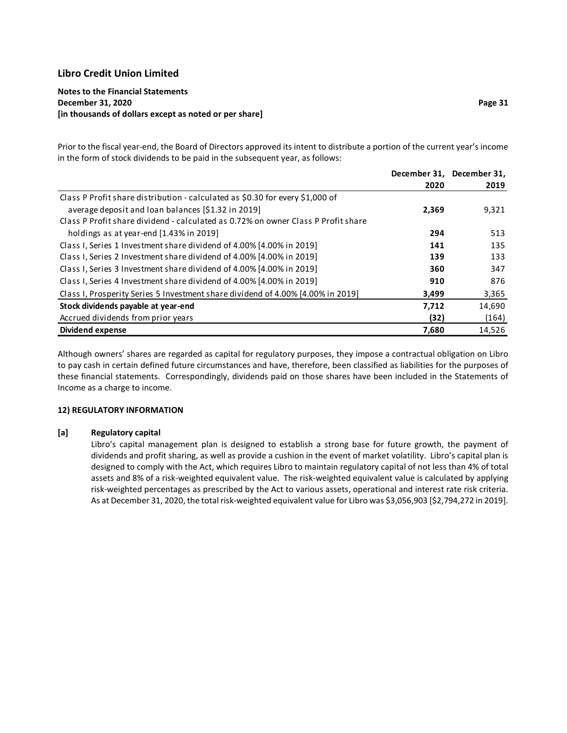# Notes to the Financial Statements December 31, 2020 Page 31 [in thousands of dollars except as noted or per share]

Prior to the fiscal year-end, the Board of Directors approved its intent to distribute a portion of the current year's income in the form of stock dividends to be paid in the subsequent year, as follows:

|                                                                                   |       | December 31, December 31, |
|-----------------------------------------------------------------------------------|-------|---------------------------|
|                                                                                   | 2020  | 2019                      |
| Class P Profit share distribution - calculated as \$0.30 for every \$1,000 of     |       |                           |
| average deposit and loan balances [\$1.32 in 2019]                                | 2,369 | 9,321                     |
| Class P Profit share dividend - calculated as 0.72% on owner Class P Profit share |       |                           |
| holdings as at year-end [1.43% in 2019]                                           | 294   | 513                       |
| Class I, Series 1 Investment share dividend of 4.00% [4.00% in 2019]              | 141   | 135                       |
| Class I, Series 2 Investment share dividend of 4.00% [4.00% in 2019]              | 139   | 133                       |
| Class I, Series 3 Investment share dividend of 4.00% [4.00% in 2019]              | 360   | 347                       |
| Class I, Series 4 Investment share dividend of 4.00% [4.00% in 2019]              | 910   | 876                       |
| Class I, Prosperity Series 5 Investment share dividend of 4.00% [4.00% in 2019]   | 3,499 | 3,365                     |
| Stock dividends payable at year-end                                               | 7,712 | 14,690                    |
| Accrued dividends from prior years                                                | (32)  | (164)                     |
| Dividend expense                                                                  | 7,680 | 14,526                    |

Although owners' shares are regarded as capital for regulatory purposes, they impose a contractual obligation on Libro to pay cash in certain defined future circumstances and have, therefore, been classified as liabilities for the purposes of these financial statements. Correspondingly, dividends paid on those shares have been included in the Statements of Income as a charge to income.

# 12) REGULATORY INFORMATION

# [a] Regulatory capital

Libro's capital management plan is designed to establish a strong base for future growth, the payment of dividends and profit sharing, as well as provide a cushion in the event of market volatility. Libro's capital plan is designed to comply with the Act, which requires Libro to maintain regulatory capital of not less than 4% of total assets and 8% of a risk-weighted equivalent value. The risk-weighted equivalent value is calculated by applying risk-weighted percentages as prescribed by the Act to various assets, operational and interest rate risk criteria. As at December 31, 2020, the total risk-weighted equivalent value for Libro was \$3,056,903 [\$2,794,272 in 2019].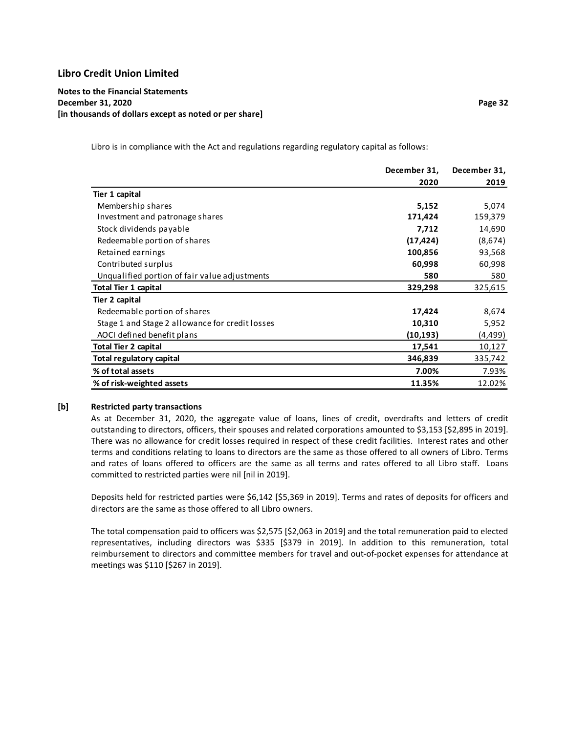# Notes to the Financial Statements December 31, 2020 Page 32 [in thousands of dollars except as noted or per share]

Libro is in compliance with the Act and regulations regarding regulatory capital as follows:

|                                                 | December 31, | December 31, |
|-------------------------------------------------|--------------|--------------|
|                                                 | 2020         | 2019         |
| Tier 1 capital                                  |              |              |
| Membership shares                               | 5,152        | 5,074        |
| Investment and patronage shares                 | 171,424      | 159,379      |
| Stock dividends payable                         | 7,712        | 14,690       |
| Redeemable portion of shares                    | (17, 424)    | (8,674)      |
| Retained earnings                               | 100,856      | 93,568       |
| Contributed surplus                             | 60,998       | 60,998       |
| Unqualified portion of fair value adjustments   | 580          | 580          |
| <b>Total Tier 1 capital</b>                     | 329,298      | 325,615      |
| Tier 2 capital                                  |              |              |
| Redeemable portion of shares                    | 17,424       | 8,674        |
| Stage 1 and Stage 2 allowance for credit losses | 10,310       | 5,952        |
| AOCI defined benefit plans                      | (10, 193)    | (4, 499)     |
| <b>Total Tier 2 capital</b>                     | 17,541       | 10,127       |
| Total regulatory capital                        | 346,839      | 335,742      |
| % of total assets                               | 7.00%        | 7.93%        |
| % of risk-weighted assets                       | 11.35%       | 12.02%       |

# [b] Restricted party transactions

As at December 31, 2020, the aggregate value of loans, lines of credit, overdrafts and letters of credit outstanding to directors, officers, their spouses and related corporations amounted to \$3,153 [\$2,895 in 2019]. There was no allowance for credit losses required in respect of these credit facilities. Interest rates and other terms and conditions relating to loans to directors are the same as those offered to all owners of Libro. Terms and rates of loans offered to officers are the same as all terms and rates offered to all Libro staff. Loans committed to restricted parties were nil [nil in 2019].

Deposits held for restricted parties were \$6,142 [\$5,369 in 2019]. Terms and rates of deposits for officers and directors are the same as those offered to all Libro owners.

The total compensation paid to officers was \$2,575 [\$2,063 in 2019] and the total remuneration paid to elected representatives, including directors was \$335 [\$379 in 2019]. In addition to this remuneration, total reimbursement to directors and committee members for travel and out-of-pocket expenses for attendance at meetings was \$110 [\$267 in 2019].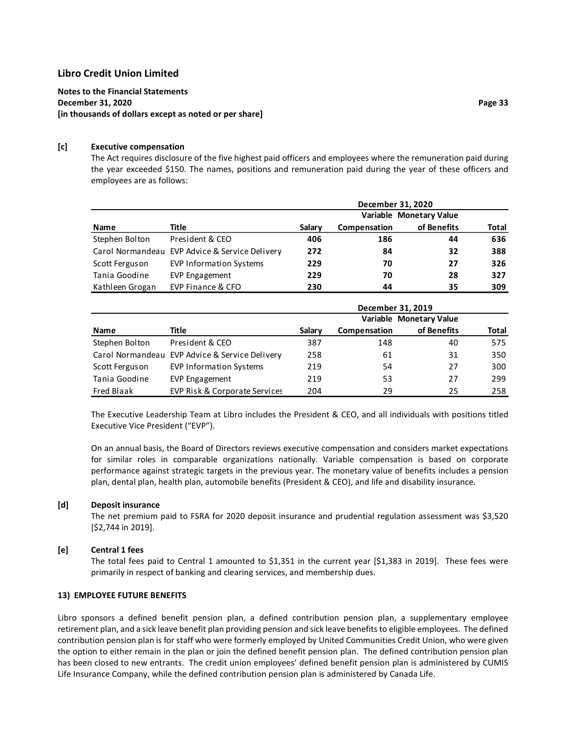# Notes to the Financial Statements December 31, 2020 Page 33 [in thousands of dollars except as noted or per share]

### [c] Executive compensation

| redit Union Limited                                        |                                                                                                                                                                                                                             |        |                   |                         |              |
|------------------------------------------------------------|-----------------------------------------------------------------------------------------------------------------------------------------------------------------------------------------------------------------------------|--------|-------------------|-------------------------|--------------|
| the Financial Statements<br>er 31, 2020                    |                                                                                                                                                                                                                             |        |                   |                         | Page 33      |
|                                                            | sands of dollars except as noted or per share]                                                                                                                                                                              |        |                   |                         |              |
|                                                            |                                                                                                                                                                                                                             |        |                   |                         |              |
| <b>Executive compensation</b><br>employees are as follows: | The Act requires disclosure of the five highest paid officers and employees where the remuneration paid during<br>the year exceeded \$150. The names, positions and remuneration paid during the year of these officers and |        | December 31, 2020 |                         |              |
|                                                            |                                                                                                                                                                                                                             |        |                   | Variable Monetary Value |              |
| Name                                                       | <b>Title</b>                                                                                                                                                                                                                | Salary | Compensation      | of Benefits             | <b>Total</b> |
| Stephen Bolton                                             | President & CEO                                                                                                                                                                                                             | 406    | 186               | 44                      | 636          |
|                                                            | Carol Normandeau EVP Advice & Service Delivery                                                                                                                                                                              | 272    | 84                | 32                      | 388          |
| Scott Ferguson                                             | <b>EVP Information Systems</b>                                                                                                                                                                                              | 229    | 70                | 27                      | 326          |
| Tania Goodine                                              | EVP Engagement                                                                                                                                                                                                              | 229    | 70                | 28                      | 327          |
| Kathleen Grogan                                            | EVP Finance & CFO                                                                                                                                                                                                           | 230    | 44                | 35                      | 309          |
|                                                            |                                                                                                                                                                                                                             |        | December 31, 2019 |                         |              |
|                                                            |                                                                                                                                                                                                                             |        |                   | Variable Monetary Value |              |
| Name                                                       | <b>Title</b>                                                                                                                                                                                                                | Salary | Compensation      | of Benefits             | <b>Total</b> |
| Stephen Bolton                                             | President & CEO                                                                                                                                                                                                             | 387    | 148               | 40                      | 575          |
|                                                            | Carol Normandeau, FVP Advice & Service Delivery                                                                                                                                                                             | 258    | 61                | 31                      | 350          |

| <b>Executive compensation</b><br>employees are as follows: | The Act requires disclosure of the five highest paid officers and employees where the remuneration paid during<br>the year exceeded \$150. The names, positions and remuneration paid during the year of these officers and |            |                   |                         |            |
|------------------------------------------------------------|-----------------------------------------------------------------------------------------------------------------------------------------------------------------------------------------------------------------------------|------------|-------------------|-------------------------|------------|
|                                                            |                                                                                                                                                                                                                             |            | December 31, 2020 |                         |            |
|                                                            |                                                                                                                                                                                                                             |            |                   | Variable Monetary Value |            |
| Name                                                       | <b>Title</b>                                                                                                                                                                                                                | Salary     | Compensation      | of Benefits             | Total      |
| Stephen Bolton<br>Carol Normandeau                         | President & CEO                                                                                                                                                                                                             | 406        | 186               | 44<br>32                | 636        |
| Scott Ferguson                                             | EVP Advice & Service Delivery<br><b>EVP Information Systems</b>                                                                                                                                                             | 272<br>229 | 84<br>70          | 27                      | 388<br>326 |
| Tania Goodine                                              | EVP Engagement                                                                                                                                                                                                              | 229        | 70                | 28                      | 327        |
| Kathleen Grogan                                            | EVP Finance & CFO                                                                                                                                                                                                           | 230        | 44                | 35                      | 309        |
|                                                            |                                                                                                                                                                                                                             |            |                   |                         |            |
|                                                            |                                                                                                                                                                                                                             |            | December 31, 2019 | Variable Monetary Value |            |
| Name                                                       | <b>Title</b>                                                                                                                                                                                                                | Salary     | Compensation      | of Benefits             | Total      |
| Stephen Bolton                                             | President & CEO                                                                                                                                                                                                             | 387        | 148               | 40                      | 575        |
| Carol Normandeau                                           | EVP Advice & Service Delivery                                                                                                                                                                                               | 258        | 61                | 31                      | 350        |
| Scott Ferguson                                             | <b>EVP Information Systems</b>                                                                                                                                                                                              | 219        | 54                | 27                      | 300        |
| Tania Goodine                                              | EVP Engagement                                                                                                                                                                                                              | 219        | 53                | 27                      | 299        |
| Fred Blaak                                                 | EVP Risk & Corporate Services                                                                                                                                                                                               | 204        | 29                | 25                      | 258        |

On an annual basis, the Board of Directors reviews executive compensation and considers market expectations for similar roles in comparable organizations nationally. Variable compensation is based on corporate performance against strategic targets in the previous year. The monetary value of benefits includes a pension plan, dental plan, health plan, automobile benefits (President & CEO), and life and disability insurance.

### [d] Deposit insurance

The net premium paid to FSRA for 2020 deposit insurance and prudential regulation assessment was \$3,520 [\$2,744 in 2019].

### [e] Central 1 fees

The total fees paid to Central 1 amounted to \$1,351 in the current year [\$1,383 in 2019]. These fees were primarily in respect of banking and clearing services, and membership dues.

### 13) EMPLOYEE FUTURE BENEFITS

Libro sponsors a defined benefit pension plan, a defined contribution pension plan, a supplementary employee retirement plan, and a sick leave benefit plan providing pension and sick leave benefits to eligible employees. The defined contribution pension plan is for staff who were formerly employed by United Communities Credit Union, who were given the option to either remain in the plan or join the defined benefit pension plan. The defined contribution pension plan has been closed to new entrants. The credit union employees' defined benefit pension plan is administered by CUMIS Life Insurance Company, while the defined contribution pension plan is administered by Canada Life.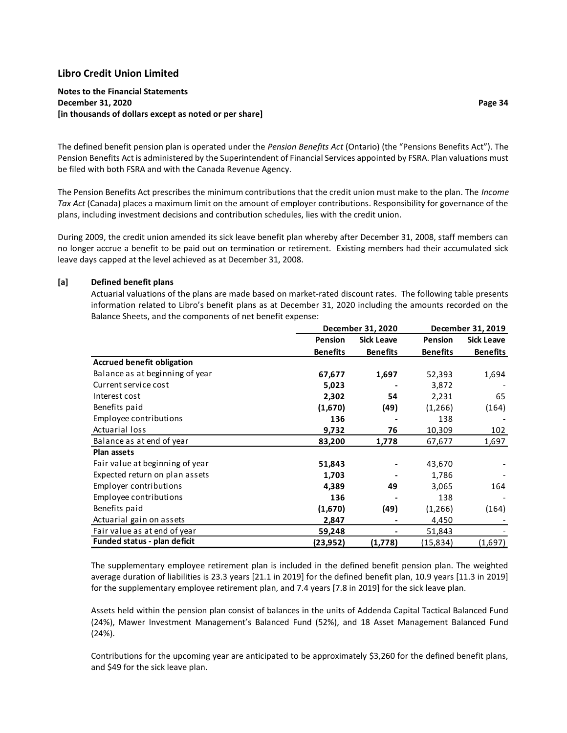# Notes to the Financial Statements December 31, 2020 Page 34 [in thousands of dollars except as noted or per share]

The defined benefit pension plan is operated under the Pension Benefits Act (Ontario) (the "Pensions Benefits Act"). The Pension Benefits Act is administered by the Superintendent of Financial Services appointed by FSRA. Plan valuations must be filed with both FSRA and with the Canada Revenue Agency.

The Pension Benefits Act prescribes the minimum contributions that the credit union must make to the plan. The Income Tax Act (Canada) places a maximum limit on the amount of employer contributions. Responsibility for governance of the plans, including investment decisions and contribution schedules, lies with the credit union.

During 2009, the credit union amended its sick leave benefit plan whereby after December 31, 2008, staff members can no longer accrue a benefit to be paid out on termination or retirement. Existing members had their accumulated sick leave days capped at the level achieved as at December 31, 2008.

### [a] Defined benefit plans

Actuarial valuations of the plans are made based on market-rated discount rates. The following table presents information related to Libro's benefit plans as at December 31, 2020 including the amounts recorded on the Balance Sheets, and the components of net benefit expense:

|                                   | December 31, 2020 | December 31, 2019 |                 |                   |  |
|-----------------------------------|-------------------|-------------------|-----------------|-------------------|--|
|                                   | <b>Pension</b>    | <b>Sick Leave</b> | <b>Pension</b>  | <b>Sick Leave</b> |  |
|                                   | <b>Benefits</b>   | <b>Benefits</b>   | <b>Benefits</b> | <b>Benefits</b>   |  |
| <b>Accrued benefit obligation</b> |                   |                   |                 |                   |  |
| Balance as at beginning of year   | 67,677            | 1,697             | 52,393          | 1,694             |  |
| Current service cost              | 5,023             |                   | 3,872           |                   |  |
| Interest cost                     | 2,302             | 54                | 2,231           | 65                |  |
| Benefits paid                     | (1,670)           | (49)              | (1,266)         | (164)             |  |
| Employee contributions            | 136               |                   | 138             |                   |  |
| Actuarial loss                    | 9,732             | 76                | 10,309          | 102               |  |
| Balance as at end of year         | 83,200            | 1,778             | 67,677          | 1,697             |  |
| Plan assets                       |                   |                   |                 |                   |  |
| Fair value at beginning of year   | 51,843            |                   | 43,670          |                   |  |
| Expected return on plan assets    | 1,703             |                   | 1,786           |                   |  |
| Employer contributions            | 4,389             | 49                | 3,065           | 164               |  |
| Employee contributions            | 136               |                   | 138             |                   |  |
| Benefits paid                     | (1,670)           | (49)              | (1,266)         | (164)             |  |
| Actuarial gain on assets          | 2,847             |                   | 4,450           |                   |  |
| Fair value as at end of year      | 59,248            |                   | 51,843          |                   |  |
| Funded status - plan deficit      | (23, 952)         | (1,778)           | (15,834)        | (1,697)           |  |

The supplementary employee retirement plan is included in the defined benefit pension plan. The weighted average duration of liabilities is 23.3 years [21.1 in 2019] for the defined benefit plan, 10.9 years [11.3 in 2019] for the supplementary employee retirement plan, and 7.4 years [7.8 in 2019] for the sick leave plan.

Assets held within the pension plan consist of balances in the units of Addenda Capital Tactical Balanced Fund (24%), Mawer Investment Management's Balanced Fund (52%), and 18 Asset Management Balanced Fund (24%).

Contributions for the upcoming year are anticipated to be approximately \$3,260 for the defined benefit plans, and \$49 for the sick leave plan.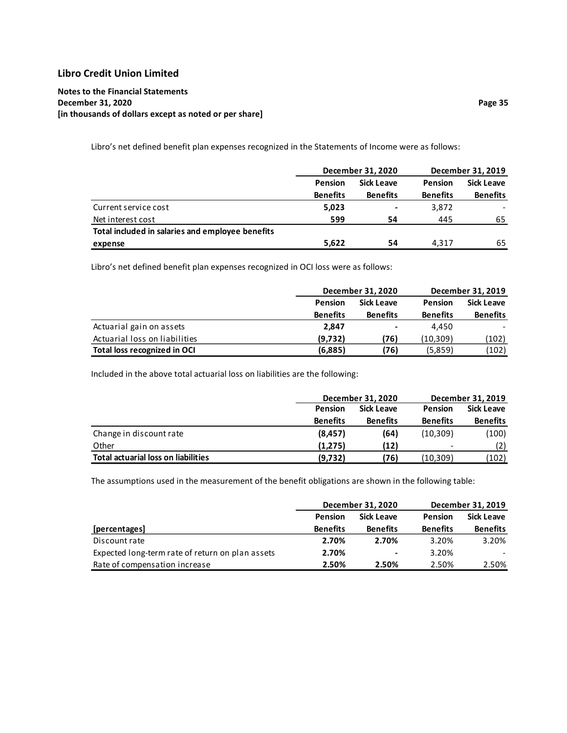# Notes to the Financial Statements December 31, 2020 Page 35 [in thousands of dollars except as noted or per share]

| redit Union Limited                                                                               |                 |                          |                 |                                |
|---------------------------------------------------------------------------------------------------|-----------------|--------------------------|-----------------|--------------------------------|
| the Financial Statements<br>er 31, 2020<br>sands of dollars except as noted or per share]         |                 |                          |                 | Page 35                        |
| Libro's net defined benefit plan expenses recognized in the Statements of Income were as follows: |                 |                          |                 |                                |
|                                                                                                   |                 | December 31, 2020        |                 | December 31, 2019              |
|                                                                                                   | Pension         | <b>Sick Leave</b>        | Pension         | <b>Sick Leave</b>              |
|                                                                                                   | <b>Benefits</b> | <b>Benefits</b>          | <b>Benefits</b> | <b>Benefits</b>                |
| Current service cost                                                                              | 5,023           |                          | 3,872           |                                |
| Net interest cost                                                                                 | 599             | 54                       | 445             | 65                             |
| Total included in salaries and employee benefits                                                  |                 |                          |                 |                                |
| expense                                                                                           | 5,622           | 54                       | 4,317           | 65                             |
| Libro's net defined benefit plan expenses recognized in OCI loss were as follows:                 |                 |                          |                 |                                |
|                                                                                                   |                 | December 31, 2020        |                 | December 31, 2019              |
|                                                                                                   | Pension         | <b>Sick Leave</b>        | <b>Pension</b>  | <b>Sick Leave</b>              |
|                                                                                                   | <b>Benefits</b> | <b>Benefits</b>          | <b>Benefits</b> | <b>Benefits</b>                |
| Actuarial gain on assets                                                                          | 2,847           | $\overline{\phantom{a}}$ | 4,450           |                                |
| Actuarial loss on liabilities                                                                     | (9, 732)        | (76)                     | (10, 309)       | (102)                          |
| <b>Total loss recognized in OCI</b>                                                               | (6,885)         | (76)                     | (5,859)         | (102)                          |
|                                                                                                   |                 |                          |                 |                                |
| Included in the above total actuarial loss on liabilities are the following:                      |                 |                          |                 |                                |
|                                                                                                   |                 | December 31, 2020        |                 | December 31, 2019              |
|                                                                                                   | Pension         | <b>Sick Leave</b>        | Pension         | <b>Sick Leave</b>              |
|                                                                                                   | .               | $\sim$ $\sim$ $\sim$     | $\sim$          | $\ddot{\phantom{a}}$<br>$\sim$ |

|                               | December 31, 2020 | December 31, 2019        |                 |                   |  |
|-------------------------------|-------------------|--------------------------|-----------------|-------------------|--|
|                               | <b>Pension</b>    | <b>Sick Leave</b>        | <b>Pension</b>  | <b>Sick Leave</b> |  |
|                               | <b>Benefits</b>   | <b>Benefits</b>          | <b>Benefits</b> | <b>Benefits</b>   |  |
| Actuarial gain on assets      | 2,847             | $\overline{\phantom{a}}$ | 4.450           |                   |  |
| Actuarial loss on liabilities | (9, 732)          | (76)                     | (10,309)        | (102)             |  |
| Total loss recognized in OCI  | (6,885)           | (76)                     | (5,859)         | (102)             |  |

| Current service cost                                                                                 | 5,023           |                   | 3,872           |                   |
|------------------------------------------------------------------------------------------------------|-----------------|-------------------|-----------------|-------------------|
| Net interest cost                                                                                    | 599             | 54                | 445             | 65                |
| Total included in salaries and employee benefits                                                     |                 |                   |                 |                   |
| expense                                                                                              | 5,622           | 54                | 4,317           | 65                |
|                                                                                                      |                 |                   |                 |                   |
| Libro's net defined benefit plan expenses recognized in OCI loss were as follows:                    |                 |                   |                 |                   |
|                                                                                                      |                 | December 31, 2020 |                 | December 31, 2019 |
|                                                                                                      | <b>Pension</b>  | <b>Sick Leave</b> | Pension         | <b>Sick Leave</b> |
|                                                                                                      | <b>Benefits</b> | <b>Benefits</b>   | <b>Benefits</b> | <b>Benefits</b>   |
| Actuarial gain on assets                                                                             | 2,847           |                   | 4,450           |                   |
| Actuarial loss on liabilities                                                                        | (9,732)         | (76)              | (10, 309)       | (102)             |
| <b>Total loss recognized in OCI</b>                                                                  | (6,885)         | (76)              | (5,859)         | (102)             |
| Included in the above total actuarial loss on liabilities are the following:                         |                 |                   |                 |                   |
|                                                                                                      |                 | December 31, 2020 |                 | December 31, 2019 |
|                                                                                                      | Pension         | <b>Sick Leave</b> | Pension         | <b>Sick Leave</b> |
|                                                                                                      | <b>Benefits</b> | <b>Benefits</b>   | <b>Benefits</b> | <b>Benefits</b>   |
| Change in discount rate                                                                              | (8, 457)        | (64)              | (10, 309)       | (100)             |
| Other                                                                                                | (1, 275)        | (12)              |                 | (2)               |
|                                                                                                      |                 |                   |                 |                   |
| <b>Total actuarial loss on liabilities</b>                                                           | (9, 732)        | (76)              | (10, 309)       | (102)             |
| The assumptions used in the measurement of the benefit obligations are shown in the following table: |                 |                   |                 |                   |
|                                                                                                      |                 | December 31, 2020 |                 | December 31, 2019 |
|                                                                                                      | Pension         | <b>Sick Leave</b> | Pension         | <b>Sick Leave</b> |

| Actuarial loss on liabilities                                                                                                                      | (9, 732)          | (76)              | (10, 309)       | (102)             |
|----------------------------------------------------------------------------------------------------------------------------------------------------|-------------------|-------------------|-----------------|-------------------|
| <b>Total loss recognized in OCI</b>                                                                                                                | (6,885)           | (76)              | (5,859)         | (102)             |
| Included in the above total actuarial loss on liabilities are the following:                                                                       |                   |                   |                 |                   |
|                                                                                                                                                    | December 31, 2020 |                   |                 | December 31, 2019 |
|                                                                                                                                                    | Pension           | <b>Sick Leave</b> | Pension         | <b>Sick Leave</b> |
|                                                                                                                                                    | <b>Benefits</b>   | <b>Benefits</b>   | <b>Benefits</b> | <b>Benefits</b>   |
| Change in discount rate                                                                                                                            | (8, 457)          | (64)              | (10, 309)       | (100)             |
|                                                                                                                                                    |                   |                   |                 |                   |
| Other                                                                                                                                              | (1, 275)          | (12)              |                 | (2)               |
| <b>Total actuarial loss on liabilities</b><br>The assumptions used in the measurement of the benefit obligations are shown in the following table: | (9, 732)          | (76)              | (10, 309)       | (102)             |
|                                                                                                                                                    |                   | December 31, 2020 |                 | December 31, 2019 |
|                                                                                                                                                    | Pension           | <b>Sick Leave</b> | Pension         | <b>Sick Leave</b> |
| [percentages]                                                                                                                                      | <b>Benefits</b>   | <b>Benefits</b>   | <b>Benefits</b> | <b>Benefits</b>   |
| Discount rate                                                                                                                                      | 2.70%             | 2.70%             | 3.20%           | 3.20%             |
| Expected long-term rate of return on plan assets                                                                                                   | 2.70%             |                   | 3.20%           |                   |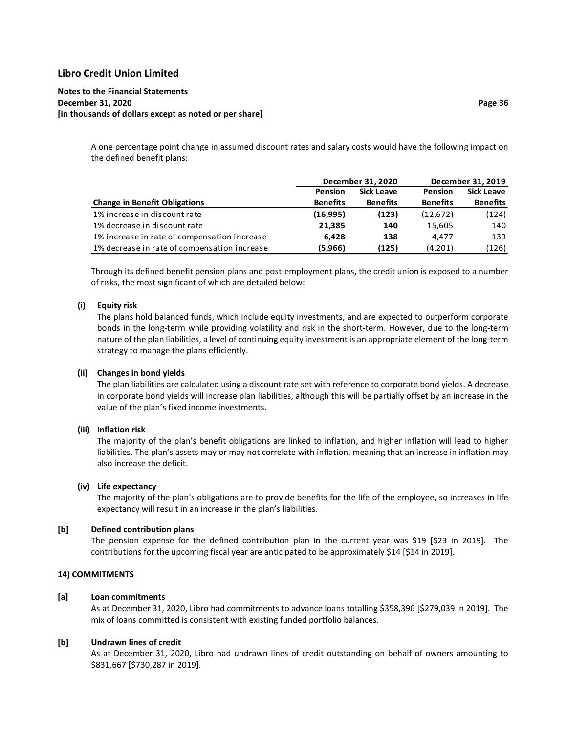# Notes to the Financial Statements December 31, 2020 Page 36 [in thousands of dollars except as noted or per share]

| redit Union Limited                                                                                         |                    |                   |                     |                   |
|-------------------------------------------------------------------------------------------------------------|--------------------|-------------------|---------------------|-------------------|
| the Financial Statements<br>er 31, 2020<br>sands of dollars except as noted or per share]                   |                    |                   |                     | Page 36           |
| the defined benefit plans:                                                                                  |                    |                   |                     |                   |
| A one percentage point change in assumed discount rates and salary costs would have the following impact on |                    |                   |                     |                   |
|                                                                                                             |                    | December 31, 2020 |                     | December 31, 2019 |
|                                                                                                             | Pension            | <b>Sick Leave</b> | Pension             | <b>Sick Leave</b> |
| <b>Change in Benefit Obligations</b><br>1% increase in discount rate                                        | <b>Benefits</b>    | <b>Benefits</b>   | <b>Benefits</b>     | <b>Benefits</b>   |
| 1% decrease in discount rate                                                                                | (16,995)<br>21,385 | (123)<br>140      | (12, 672)<br>15,605 | (124)<br>140      |
| 1% increase in rate of compensation increase                                                                | 6,428              | 138               | 4,477               | 139               |

### (i) Equity risk

The plans hold balanced funds, which include equity investments, and are expected to outperform corporate bonds in the long-term while providing volatility and risk in the short-term. However, due to the long-term nature of the plan liabilities, a level of continuing equity investment is an appropriate element of the long-term strategy to manage the plans efficiently.

### (ii) Changes in bond yields

The plan liabilities are calculated using a discount rate set with reference to corporate bond yields. A decrease in corporate bond yields will increase plan liabilities, although this will be partially offset by an increase in the value of the plan's fixed income investments.

### (iii) Inflation risk

The majority of the plan's benefit obligations are linked to inflation, and higher inflation will lead to higher liabilities. The plan's assets may or may not correlate with inflation, meaning that an increase in inflation may also increase the deficit.

### (iv) Life expectancy

The majority of the plan's obligations are to provide benefits for the life of the employee, so increases in life expectancy will result in an increase in the plan's liabilities.

### [b] Defined contribution plans

The pension expense for the defined contribution plan in the current year was \$19 [\$23 in 2019]. The contributions for the upcoming fiscal year are anticipated to be approximately \$14 [\$14 in 2019].

### 14) COMMITMENTS

### [a] Loan commitments

As at December 31, 2020, Libro had commitments to advance loans totalling \$358,396 [\$279,039 in 2019]. The mix of loans committed is consistent with existing funded portfolio balances.

### [b] Undrawn lines of credit

As at December 31, 2020, Libro had undrawn lines of credit outstanding on behalf of owners amounting to \$831,667 [\$730,287 in 2019].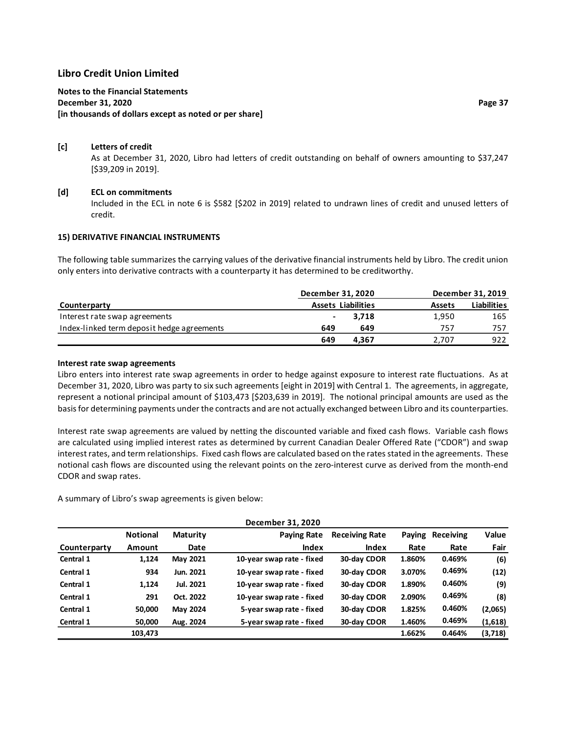# Notes to the Financial Statements December 31, 2020 Page 37 [in thousands of dollars except as noted or per share]

### [c] Letters of credit

### [d] ECL on commitments

### 15) DERIVATIVE FINANCIAL INSTRUMENTS

|     | [in thousands of dollars except as noted or per share]                                                                                                                                                                        |                   |                           |               |                    |
|-----|-------------------------------------------------------------------------------------------------------------------------------------------------------------------------------------------------------------------------------|-------------------|---------------------------|---------------|--------------------|
| [c] | Letters of credit<br>As at December 31, 2020, Libro had letters of credit outstanding on behalf of owners amounting to \$37,247<br>[\$39,209 in 2019].                                                                        |                   |                           |               |                    |
| [d] | <b>ECL on commitments</b><br>Included in the ECL in note 6 is \$582 [\$202 in 2019] related to undrawn lines of credit and unused letters of<br>credit.                                                                       |                   |                           |               |                    |
|     |                                                                                                                                                                                                                               |                   |                           |               |                    |
|     | 15) DERIVATIVE FINANCIAL INSTRUMENTS                                                                                                                                                                                          |                   |                           |               |                    |
|     | The following table summarizes the carrying values of the derivative financial instruments held by Libro. The credit union<br>only enters into derivative contracts with a counterparty it has determined to be creditworthy. |                   |                           |               |                    |
|     |                                                                                                                                                                                                                               | December 31, 2020 |                           |               | December 31, 2019  |
|     | Counterparty                                                                                                                                                                                                                  |                   | <b>Assets Liabilities</b> | <b>Assets</b> | <b>Liabilities</b> |
|     | Interest rate swap agreements                                                                                                                                                                                                 |                   | 3,718                     | 1,950         | 165                |
|     | Index-linked term deposit hedge agreements                                                                                                                                                                                    | 649               | 649                       | 757           | 757                |

### Interest rate swap agreements

|                                                      |                 | Index-linked term deposit hedge agreements |                                                                                                                            | 649<br>649            |                | 757              | 757         |
|------------------------------------------------------|-----------------|--------------------------------------------|----------------------------------------------------------------------------------------------------------------------------|-----------------------|----------------|------------------|-------------|
|                                                      |                 |                                            |                                                                                                                            | 649<br>4,367          |                | 2,707            | 922         |
| Interest rate swap agreements                        |                 |                                            |                                                                                                                            |                       |                |                  |             |
|                                                      |                 |                                            | Libro enters into interest rate swap agreements in order to hedge against exposure to interest rate fluctuations. As at    |                       |                |                  |             |
|                                                      |                 |                                            | December 31, 2020, Libro was party to six such agreements [eight in 2019] with Central 1. The agreements, in aggregate,    |                       |                |                  |             |
|                                                      |                 |                                            | represent a notional principal amount of \$103,473 [\$203,639 in 2019]. The notional principal amounts are used as the     |                       |                |                  |             |
|                                                      |                 |                                            | basis for determining payments under the contracts and are not actually exchanged between Libro and its counterparties.    |                       |                |                  |             |
|                                                      |                 |                                            | Interest rate swap agreements are valued by netting the discounted variable and fixed cash flows. Variable cash flows      |                       |                |                  |             |
|                                                      |                 |                                            | are calculated using implied interest rates as determined by current Canadian Dealer Offered Rate ("CDOR") and swap        |                       |                |                  |             |
|                                                      |                 |                                            | interest rates, and term relationships. Fixed cash flows are calculated based on the rates stated in the agreements. These |                       |                |                  |             |
|                                                      |                 |                                            | notional cash flows are discounted using the relevant points on the zero-interest curve as derived from the month-end      |                       |                |                  |             |
| CDOR and swap rates.                                 |                 |                                            |                                                                                                                            |                       |                |                  |             |
| A summary of Libro's swap agreements is given below: |                 |                                            |                                                                                                                            |                       |                |                  |             |
|                                                      |                 |                                            | December 31, 2020                                                                                                          |                       |                |                  | Value       |
|                                                      | <b>Notional</b> | Maturity                                   | <b>Paying Rate</b><br><b>Index</b>                                                                                         | <b>Receiving Rate</b> |                | Paying Receiving |             |
| Counterparty<br>Central 1                            | Amount<br>1,124 | Date<br>May 2021                           | 10-year swap rate - fixed                                                                                                  | Index<br>30-day CDOR  | Rate<br>1.860% | Rate<br>0.469%   | Fair        |
| Central 1                                            | 934             | Jun. 2021                                  | 10-year swap rate - fixed                                                                                                  | 30-day CDOR           | 3.070%         | 0.469%           | (6)<br>(12) |
| Central 1                                            | 1,124           | Jul. 2021                                  | 10-year swap rate - fixed                                                                                                  | 30-day CDOR           | 1.890%         | 0.460%           | (9)         |
| Central 1                                            | 291             | Oct. 2022                                  | 10-year swap rate - fixed                                                                                                  | 30-day CDOR           | 2.090%         | 0.469%           | (8)         |
| Central 1                                            | 50,000          | May 2024                                   | 5-year swap rate - fixed                                                                                                   | 30-day CDOR           | 1.825%         | 0.460%           | (2,065)     |
| Central 1                                            | 50,000          | Aug. 2024                                  | 5-year swap rate - fixed                                                                                                   | 30-day CDOR           | 1.460%         | 0.469%           | (1,618)     |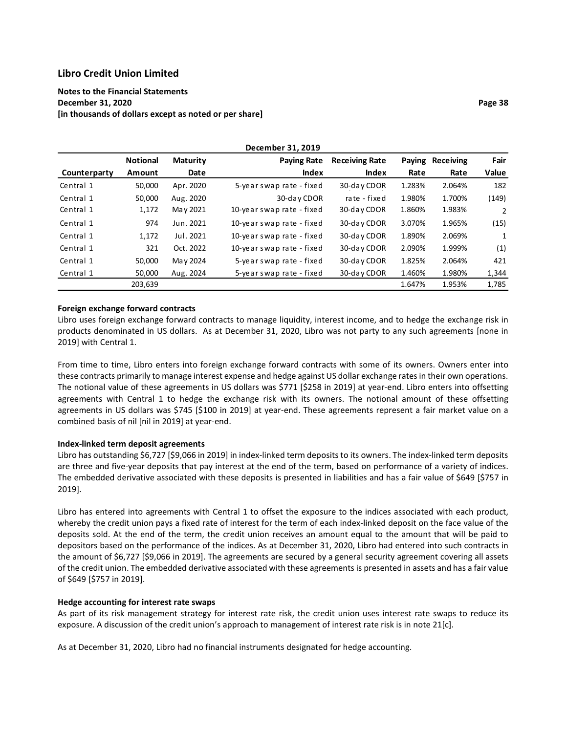Notes to the Financial Statements December 31, 2020 Page 38 [in thousands of dollars except as noted or per share]

Notional Maturity Paying Rate Receiving Rate Paying Receiving Fair Counterparty Amount Date Index Index Rate Rate Value Central 1 50,000 Apr. 2020 5-year swap rate - fixed 30-day CDOR 1.283% 2.064% 182 Central 1 50,000 Aug. 2020 30-day CDOR rate - fixed 1.980% 1.700% **Page 38**<br> **Ceiving Rate Paying Receiving Fair**<br> **Index Rate Rate Value**<br>
30-day CDOR 1.283% 2.064% 182<br>
rate - fixed 1.980% 1.700% (149)<br>
30-day CDOR 1.860% 1.983% 2<br>
30-day CDOR 3.070% 1.965% (15)<br>
30-day CDOR 1.890% 2.0 rate - fixed 1.980% 1.700% (149) Libro Credit Union Limited<br>
Votes to the Financial Statements<br>
The Moussands of dollars except as noted or per share)<br>
Notional Maturity<br>
Notional Maturity<br>
Peying Receving Rate Paying Receiving<br>
Counterparty Amount<br>
Count Central 1 974 Jun. 2021 10-year swap rate - fixed 30-day CDOR 3.070% 1.965% (15) Central 1 1,172 Jul. 2021 10-year swap rate - fixed 30-day CDOR 1.890% 2.069% 1 Central 1 321 Oct. 2022 10-year swap rate - fixed 30-day CDOR 2.090% 1.999% (1) Central 1 50,000 May 2024 5-year swap rate - fixed 30-day CDOR 1.825% 2.064% 421 Central 1 50,000 Aug. 2024 5-year swap rate - fixed 30-day CDOR 1.460% 1.980% 1,344 **Drightine 1.1.122**<br> **December 31, 2019**<br> **December 31, 2019**<br> **December 31, 2019**<br> **December 31, 2019**<br> **December 31, 2019**<br> **December 31, 2019**<br> **December 31, 2019**<br> **December 31, 2019**<br> **December 31, 2019**<br> **December 31** December 31, 2019

### Foreign exchange forward contracts

Libro uses foreign exchange forward contracts to manage liquidity, interest income, and to hedge the exchange risk in products denominated in US dollars. As at December 31, 2020, Libro was not party to any such agreements [none in 2019] with Central 1.

From time to time, Libro enters into foreign exchange forward contracts with some of its owners. Owners enter into these contracts primarily to manage interest expense and hedge against US dollar exchange rates in their own operations. The notional value of these agreements in US dollars was \$771 [\$258 in 2019] at year-end. Libro enters into offsetting agreements with Central 1 to hedge the exchange risk with its owners. The notional amount of these offsetting agreements in US dollars was \$745 [\$100 in 2019] at year-end. These agreements represent a fair market value on a combined basis of nil [nil in 2019] at year-end.

#### Index-linked term deposit agreements

Libro has outstanding \$6,727 [\$9,066 in 2019] in index-linked term deposits to its owners. The index-linked term deposits are three and five-year deposits that pay interest at the end of the term, based on performance of a variety of indices. The embedded derivative associated with these deposits is presented in liabilities and has a fair value of \$649 [\$757 in 2019].

Libro has entered into agreements with Central 1 to offset the exposure to the indices associated with each product, whereby the credit union pays a fixed rate of interest for the term of each index-linked deposit on the face value of the deposits sold. At the end of the term, the credit union receives an amount equal to the amount that will be paid to depositors based on the performance of the indices. As at December 31, 2020, Libro had entered into such contracts in the amount of \$6,727 [\$9,066 in 2019]. The agreements are secured by a general security agreement covering all assets of the credit union. The embedded derivative associated with these agreements is presented in assets and has a fair value of \$649 [\$757 in 2019].

#### Hedge accounting for interest rate swaps

As part of its risk management strategy for interest rate risk, the credit union uses interest rate swaps to reduce its exposure. A discussion of the credit union's approach to management of interest rate risk is in note 21[c].

As at December 31, 2020, Libro had no financial instruments designated for hedge accounting.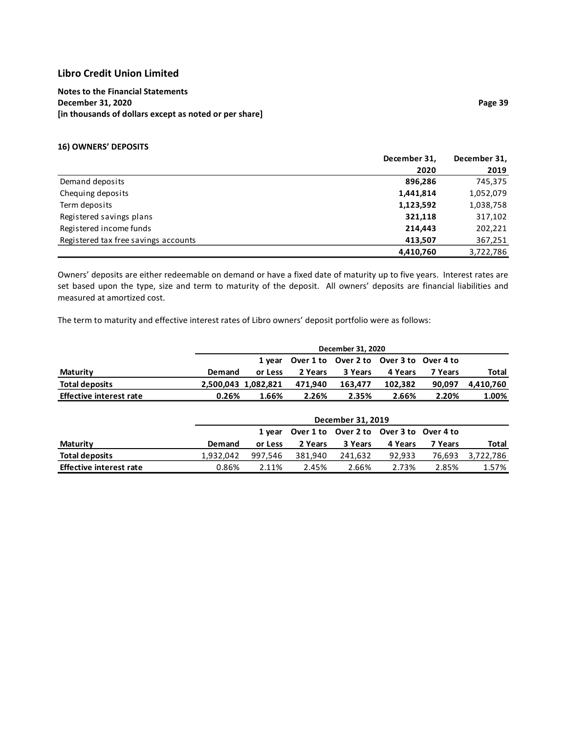Notes to the Financial Statements December 31, 2020 Page 39 [in thousands of dollars except as noted or per share]

### 16) OWNERS' DEPOSITS

|                                      | December 31, | December 31, |
|--------------------------------------|--------------|--------------|
|                                      | 2020         | 2019         |
| Demand deposits                      | 896,286      | 745,375      |
| Chequing deposits                    | 1,441,814    | 1,052,079    |
| Term deposits                        | 1,123,592    | 1,038,758    |
| Registered savings plans             | 321,118      | 317,102      |
| Registered income funds              | 214,443      | 202,221      |
| Registered tax free savings accounts | 413,507      | 367,251      |
|                                      | 4,410,760    | 3,722,786    |

| Registered tax free savings accounts                                                                                                                                                                                                                                           |           |                     |                      |                   |                                          | 413,507 | 367,251      |
|--------------------------------------------------------------------------------------------------------------------------------------------------------------------------------------------------------------------------------------------------------------------------------|-----------|---------------------|----------------------|-------------------|------------------------------------------|---------|--------------|
|                                                                                                                                                                                                                                                                                |           |                     |                      |                   | 4,410,760                                |         | 3,722,786    |
| Owners' deposits are either redeemable on demand or have a fixed date of maturity up to five years. Interest rates are<br>set based upon the type, size and term to maturity of the deposit. All owners' deposits are financial liabilities and<br>measured at amortized cost. |           |                     |                      |                   |                                          |         |              |
| The term to maturity and effective interest rates of Libro owners' deposit portfolio were as follows:                                                                                                                                                                          |           |                     |                      |                   |                                          |         |              |
|                                                                                                                                                                                                                                                                                |           |                     |                      | December 31, 2020 |                                          |         |              |
| Maturity                                                                                                                                                                                                                                                                       | Demand    | 1 year<br>or Less   | Over 1 to<br>2 Years | 3 Years           | Over 2 to Over 3 to Over 4 to<br>4 Years | 7 Years | Total        |
| <b>Total deposits</b>                                                                                                                                                                                                                                                          |           | 2,500,043 1,082,821 | 471,940              | 163,477           | 102,382                                  | 90,097  | 4,410,760    |
| <b>Effective interest rate</b>                                                                                                                                                                                                                                                 | 0.26%     | 1.66%               | 2.26%                | 2.35%             | 2.66%                                    | 2.20%   | 1.00%        |
|                                                                                                                                                                                                                                                                                |           |                     |                      | December 31, 2019 |                                          |         |              |
|                                                                                                                                                                                                                                                                                |           | 1 year              | Over 1 to            |                   | Over 2 to Over 3 to Over 4 to            |         |              |
| <b>Maturity</b>                                                                                                                                                                                                                                                                | Demand    | or Less             | 2 Years              | 3 Years           | 4 Years                                  | 7 Years | <b>Total</b> |
| <b>Total deposits</b>                                                                                                                                                                                                                                                          | 1,932,042 | 997,546             | 381,940              | 241,632           | 92,933                                   | 76,693  | 3,722,786    |
|                                                                                                                                                                                                                                                                                | 0.86%     | 2.11%               | 2.45%                | 2.66%             | 2.73%                                    | 2.85%   | 1.57%        |

|                                |           | December 31, 2019 |         |         |         |                                         |              |
|--------------------------------|-----------|-------------------|---------|---------|---------|-----------------------------------------|--------------|
|                                |           | 1 vear            |         |         |         | Over 1 to Over 2 to Over 3 to Over 4 to |              |
| Maturity                       | Demand    | or Less           | 2 Years | 3 Years | 4 Years | 7 Years                                 | <b>Total</b> |
| <b>Total deposits</b>          | 1.932.042 | 997.546           | 381.940 | 241,632 | 92.933  | 76.693                                  | 3.722.786    |
| <b>Effective interest rate</b> | 0.86%     | 2.11%             | 2.45%   | 2.66%   | 2.73%   | 2.85%                                   | 1.57%        |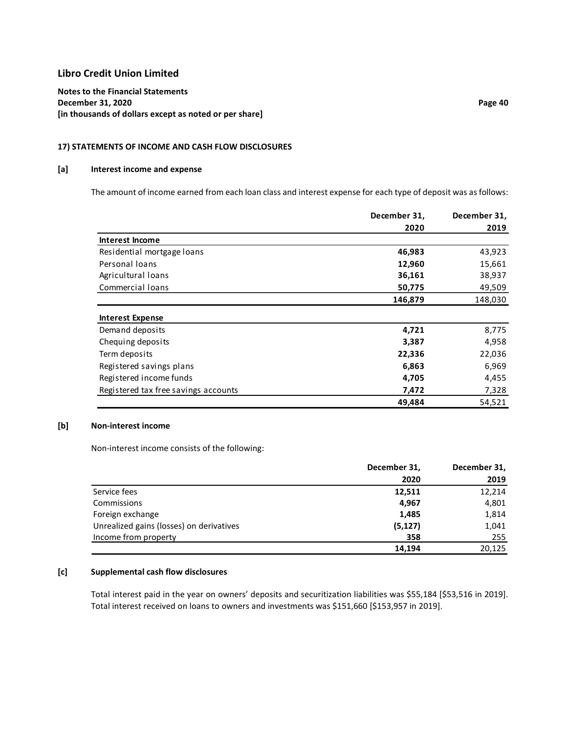Notes to the Financial Statements December 31, 2020 Page 40 [in thousands of dollars except as noted or per share]

### 17) STATEMENTS OF INCOME AND CASH FLOW DISCLOSURES

# [a] Interest income and expense

The amount of income earned from each loan class and interest expense for each type of deposit was as follows:

|                                      | December 31, | December 31, |
|--------------------------------------|--------------|--------------|
|                                      | 2020         | 2019         |
| Interest Income                      |              |              |
| Residential mortgage loans           | 46,983       | 43,923       |
| Personal loans                       | 12,960       | 15,661       |
| Agricultural loans                   | 36,161       | 38,937       |
| Commercial loans                     | 50,775       | 49,509       |
|                                      | 146,879      | 148,030      |
| <b>Interest Expense</b>              |              |              |
| Demand deposits                      | 4,721        | 8,775        |
| Chequing deposits                    | 3,387        | 4,958        |
| Term deposits                        | 22,336       | 22,036       |
| Registered savings plans             | 6,863        | 6,969        |
| Registered income funds              | 4,705        | 4,455        |
| Registered tax free savings accounts | 7,472        | 7,328        |
|                                      | 49,484       | 54,521       |

### [b] Non-interest income

Non-interest income consists of the following:

|                                          | December 31, | December 31, |  |
|------------------------------------------|--------------|--------------|--|
|                                          | 2020         | 2019         |  |
| Service fees                             | 12,511       | 12,214       |  |
| Commissions                              | 4,967        | 4,801        |  |
| Foreign exchange                         | 1,485        | 1,814        |  |
| Unrealized gains (losses) on derivatives | (5, 127)     | 1,041        |  |
| Income from property                     | 358          | 255          |  |
|                                          | 14,194       | 20.125       |  |

### [c] Supplemental cash flow disclosures

Total interest paid in the year on owners' deposits and securitization liabilities was \$55,184 [\$53,516 in 2019]. Total interest received on loans to owners and investments was \$151,660 [\$153,957 in 2019].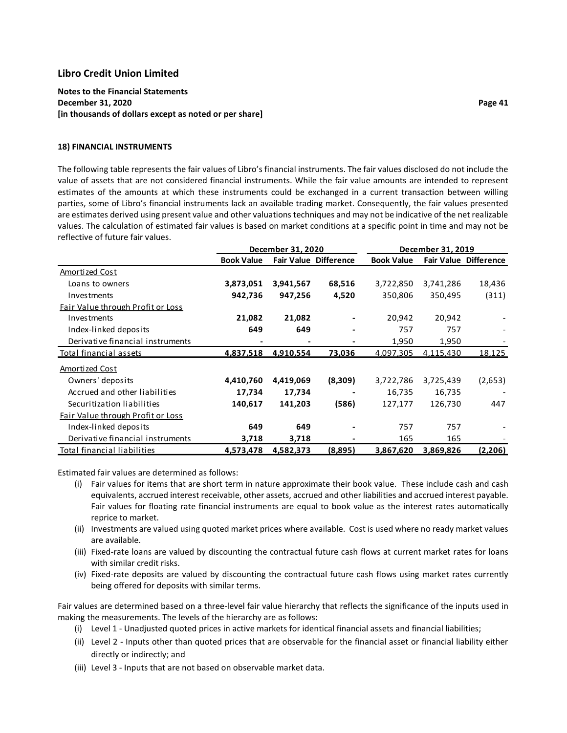Notes to the Financial Statements December 31, 2020 Page 41 [in thousands of dollars except as noted or per share]

### 18) FINANCIAL INSTRUMENTS

The following table represents the fair values of Libro's financial instruments. The fair values disclosed do not include the value of assets that are not considered financial instruments. While the fair value amounts are intended to represent estimates of the amounts at which these instruments could be exchanged in a current transaction between willing parties, some of Libro's financial instruments lack an available trading market. Consequently, the fair values presented are estimates derived using present value and other valuations techniques and may not be indicative of the net realizable values. The calculation of estimated fair values is based on market conditions at a specific point in time and may not be reflective of future fair values.

|                                   |                   | December 31, 2020 |                              |                   | December 31, 2019 |                              |  |
|-----------------------------------|-------------------|-------------------|------------------------------|-------------------|-------------------|------------------------------|--|
|                                   | <b>Book Value</b> |                   | <b>Fair Value Difference</b> | <b>Book Value</b> |                   | <b>Fair Value Difference</b> |  |
| Amortized Cost                    |                   |                   |                              |                   |                   |                              |  |
| Loans to owners                   | 3,873,051         | 3,941,567         | 68,516                       | 3,722,850         | 3,741,286         | 18,436                       |  |
| <b>Investments</b>                | 942,736           | 947,256           | 4,520                        | 350,806           | 350,495           | (311)                        |  |
| Fair Value through Profit or Loss |                   |                   |                              |                   |                   |                              |  |
| <b>Investments</b>                | 21,082            | 21,082            |                              | 20,942            | 20,942            |                              |  |
| Index-linked deposits             | 649               | 649               |                              | 757               | 757               |                              |  |
| Derivative financial instruments  |                   |                   |                              | 1,950             | 1,950             |                              |  |
| Total financial assets            | 4,837,518         | 4,910,554         | 73,036                       | 4,097,305         | 4,115,430         | 18,125                       |  |
| Amortized Cost                    |                   |                   |                              |                   |                   |                              |  |
| Owners' deposits                  | 4,410,760         | 4,419,069         | (8,309)                      | 3,722,786         | 3,725,439         | (2,653)                      |  |
| Accrued and other liabilities     | 17,734            | 17,734            |                              | 16,735            | 16,735            |                              |  |
| Securitization liabilities        | 140,617           | 141,203           | (586)                        | 127,177           | 126,730           | 447                          |  |
| Fair Value through Profit or Loss |                   |                   |                              |                   |                   |                              |  |
| Index-linked deposits             | 649               | 649               |                              | 757               | 757               |                              |  |
| Derivative financial instruments  | 3,718             | 3,718             |                              | 165               | 165               |                              |  |
| Total financial liabilities       | 4,573,478         | 4,582,373         | (8,895)                      | 3,867,620         | 3,869,826         | (2,206)                      |  |

Estimated fair values are determined as follows:

- (i) Fair values for items that are short term in nature approximate their book value. These include cash and cash equivalents, accrued interest receivable, other assets, accrued and other liabilities and accrued interest payable. Fair values for floating rate financial instruments are equal to book value as the interest rates automatically reprice to market.
- (ii) Investments are valued using quoted market prices where available. Cost is used where no ready market values are available.
- (iii) Fixed-rate loans are valued by discounting the contractual future cash flows at current market rates for loans with similar credit risks.
- (iv) Fixed-rate deposits are valued by discounting the contractual future cash flows using market rates currently being offered for deposits with similar terms.

Fair values are determined based on a three-level fair value hierarchy that reflects the significance of the inputs used in making the measurements. The levels of the hierarchy are as follows:

- (i) Level 1 Unadjusted quoted prices in active markets for identical financial assets and financial liabilities;
- (ii) Level 2 Inputs other than quoted prices that are observable for the financial asset or financial liability either directly or indirectly; and
- (iii) Level 3 Inputs that are not based on observable market data.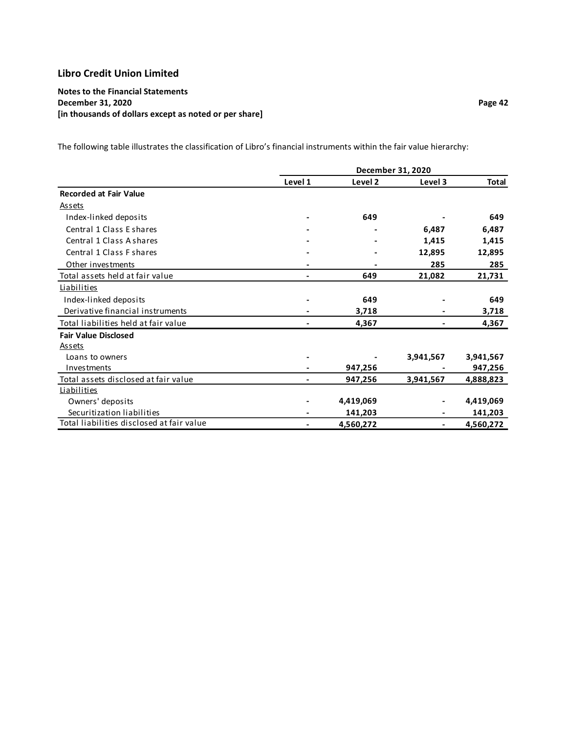# Notes to the Financial Statements December 31, 2020 Page 42 [in thousands of dollars except as noted or per share]

The following table illustrates the classification of Libro's financial instruments within the fair value hierarchy:

|                                           |         | December 31, 2020 |           |           |  |  |  |  |
|-------------------------------------------|---------|-------------------|-----------|-----------|--|--|--|--|
|                                           | Level 1 | Level 2           | Level 3   | Total     |  |  |  |  |
| <b>Recorded at Fair Value</b>             |         |                   |           |           |  |  |  |  |
| <u>Assets</u>                             |         |                   |           |           |  |  |  |  |
| Index-linked deposits                     |         | 649               |           | 649       |  |  |  |  |
| Central 1 Class E shares                  |         |                   | 6,487     | 6,487     |  |  |  |  |
| Central 1 Class A shares                  |         |                   | 1,415     | 1,415     |  |  |  |  |
| Central 1 Class F shares                  |         |                   | 12,895    | 12,895    |  |  |  |  |
| Other investments                         |         |                   | 285       | 285       |  |  |  |  |
| Total assets held at fair value           |         | 649               | 21,082    | 21,731    |  |  |  |  |
| <b>Liabilities</b>                        |         |                   |           |           |  |  |  |  |
| Index-linked deposits                     |         | 649               |           | 649       |  |  |  |  |
| Derivative financial instruments          |         | 3,718             |           | 3,718     |  |  |  |  |
| Total liabilities held at fair value      |         | 4,367             |           | 4,367     |  |  |  |  |
| <b>Fair Value Disclosed</b>               |         |                   |           |           |  |  |  |  |
| Assets                                    |         |                   |           |           |  |  |  |  |
| Loans to owners                           |         |                   | 3,941,567 | 3,941,567 |  |  |  |  |
| Investments                               |         | 947,256           |           | 947,256   |  |  |  |  |
| Total assets disclosed at fair value      |         | 947,256           | 3,941,567 | 4,888,823 |  |  |  |  |
| <b>Liabilities</b>                        |         |                   |           |           |  |  |  |  |
| Owners' deposits                          |         | 4,419,069         |           | 4,419,069 |  |  |  |  |
| Securitization liabilities                |         | 141,203           |           | 141,203   |  |  |  |  |
| Total liabilities disclosed at fair value |         | 4,560,272         |           | 4,560,272 |  |  |  |  |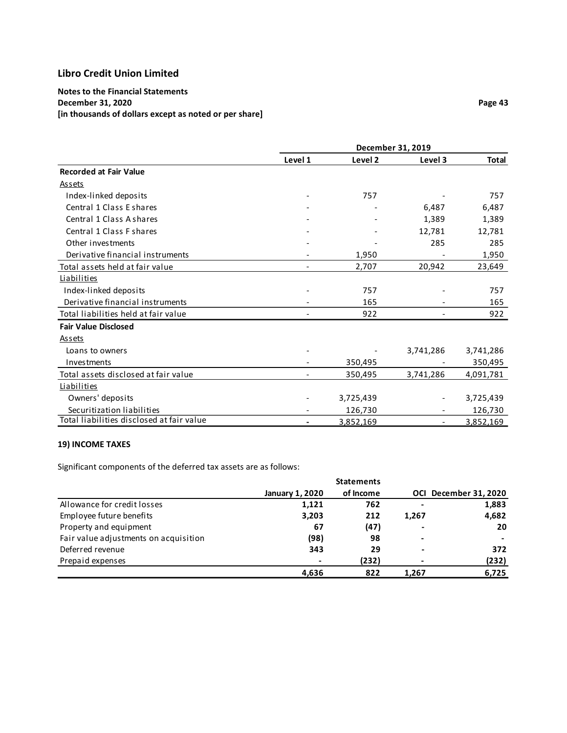# Notes to the Financial Statements December 31, 2020 Page 43 [in thousands of dollars except as noted or per share]

|                                                                   |                        |                          | December 31, 2019        |                                |
|-------------------------------------------------------------------|------------------------|--------------------------|--------------------------|--------------------------------|
|                                                                   | Level 1                | Level 2                  | Level 3                  | <b>Total</b>                   |
| <b>Recorded at Fair Value</b>                                     |                        |                          |                          |                                |
| <u>Assets</u>                                                     |                        |                          |                          |                                |
| Index-linked deposits                                             |                        | 757                      | $\overline{\phantom{a}}$ | 757                            |
| Central 1 Class E shares                                          |                        |                          | 6,487                    | 6,487                          |
| Central 1 Class A shares                                          |                        |                          | 1,389                    | 1,389                          |
| Central 1 Class F shares                                          |                        | $\overline{\phantom{a}}$ | 12,781                   | 12,781                         |
| Other investments                                                 |                        | $\tilde{\phantom{a}}$    | 285                      | 285                            |
| Derivative financial instruments                                  | $\blacksquare$         | 1,950                    |                          | 1,950                          |
| Total assets held at fair value                                   | $\sim$                 | 2,707                    | 20,942                   | 23,649                         |
| <b>Liabilities</b>                                                |                        |                          |                          |                                |
| Index-linked deposits                                             |                        | 757                      |                          | 757                            |
| Derivative financial instruments                                  |                        | 165                      |                          | 165                            |
| Total liabilities held at fair value                              |                        | 922                      | $\overline{a}$           | 922                            |
| <b>Fair Value Disclosed</b>                                       |                        |                          |                          |                                |
| <b>Assets</b>                                                     |                        |                          |                          |                                |
| Loans to owners                                                   |                        | $\overline{\phantom{a}}$ | 3,741,286                | 3,741,286                      |
| Investments                                                       | $\blacksquare$         | 350,495                  | $\overline{\phantom{a}}$ | 350,495                        |
| Total assets disclosed at fair value                              | $\blacksquare$         | 350,495                  | 3,741,286                | 4,091,781                      |
| Liabilities                                                       |                        |                          |                          |                                |
| Owners' deposits                                                  |                        | 3,725,439                | $\overline{\phantom{a}}$ | 3,725,439                      |
| Securitization liabilities                                        | $\blacksquare$         | 126,730                  | $\overline{\phantom{a}}$ | 126,730                        |
| Total liabilities disclosed at fair value                         |                        | 3,852,169                |                          | 3,852,169                      |
|                                                                   |                        |                          |                          |                                |
| <b>19) INCOME TAXES</b>                                           |                        |                          |                          |                                |
|                                                                   |                        |                          |                          |                                |
| Significant components of the deferred tax assets are as follows: |                        |                          |                          |                                |
|                                                                   |                        | <b>Statements</b>        |                          |                                |
|                                                                   |                        |                          |                          |                                |
|                                                                   | <b>January 1, 2020</b> | of Income                |                          |                                |
| Allowance for credit losses                                       | 1,121                  | 762                      |                          | OCI December 31, 2020<br>1,883 |
| Employee future benefits                                          | 3,203                  | 212                      | 1,267                    | 4,682                          |
| Property and equipment                                            | 67                     | (47)                     |                          | 20                             |
| Fair value adjustments on acquisition                             | (98)                   | 98                       |                          |                                |
| Deferred revenue                                                  | 343                    | 29                       |                          | 372                            |
| Prepaid expenses                                                  | $\blacksquare$         | (232)                    |                          | (232)                          |

# 19) INCOME TAXES

|                                       |                 | <b>Statements</b> |       |                          |
|---------------------------------------|-----------------|-------------------|-------|--------------------------|
|                                       | January 1, 2020 | of Income         | OCI   | <b>December 31, 2020</b> |
| Allowance for credit losses           | 1,121           | 762               |       | 1,883                    |
| Employee future benefits              | 3,203           | 212               | 1,267 | 4,682                    |
| Property and equipment                | 67              | (47)              |       | 20                       |
| Fair value adjustments on acquisition | (98)            | 98                |       |                          |
| Deferred revenue                      | 343             | 29                |       | 372                      |
| Prepaid expenses                      |                 | (232)             |       | (232)                    |
|                                       | 4,636           | 822               | 1,267 | 6,725                    |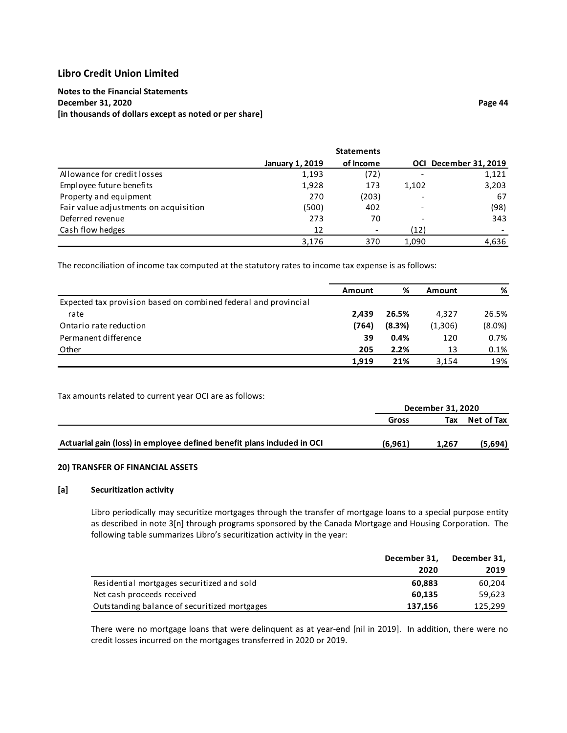# Notes to the Financial Statements December 31, 2020 **Page 44** [in thousands of dollars except as noted or per share]

| <b>Libro Credit Union Limited</b><br><b>Notes to the Financial Statements</b><br>December 31, 2020<br>[in thousands of dollars except as noted or per share]<br><b>Statements</b><br><b>January 1, 2019</b><br>of Income<br>Allowance for credit losses<br>(72)<br>1,193<br>$\blacksquare$<br>Employee future benefits<br>1,928<br>173<br>1,102<br>270<br>(203)<br>Property and equipment<br>(500)<br>402<br>Fair value adjustments on acquisition<br>Deferred revenue<br>70<br>273<br>Cash flow hedges<br>12<br>(12)<br>$\overline{\phantom{a}}$<br>3,176<br>1,090<br>370<br>The reconciliation of income tax computed at the statutory rates to income tax expense is as follows:<br>%<br>Amount<br>Expected tax provision based on combined federal and provincial<br>2,439<br>26.5%<br>rate<br>Ontario rate reduction<br>(764)<br>(8.3%)<br>Permanent difference<br>39<br>0.4%<br>205<br>2.2%<br>Other<br>1,919<br>21%<br>Tax amounts related to current year OCI are as follows:<br>December 31, 2020 |                       |                          |
|------------------------------------------------------------------------------------------------------------------------------------------------------------------------------------------------------------------------------------------------------------------------------------------------------------------------------------------------------------------------------------------------------------------------------------------------------------------------------------------------------------------------------------------------------------------------------------------------------------------------------------------------------------------------------------------------------------------------------------------------------------------------------------------------------------------------------------------------------------------------------------------------------------------------------------------------------------------------------------------------------------|-----------------------|--------------------------|
|                                                                                                                                                                                                                                                                                                                                                                                                                                                                                                                                                                                                                                                                                                                                                                                                                                                                                                                                                                                                            |                       |                          |
|                                                                                                                                                                                                                                                                                                                                                                                                                                                                                                                                                                                                                                                                                                                                                                                                                                                                                                                                                                                                            |                       |                          |
|                                                                                                                                                                                                                                                                                                                                                                                                                                                                                                                                                                                                                                                                                                                                                                                                                                                                                                                                                                                                            |                       |                          |
|                                                                                                                                                                                                                                                                                                                                                                                                                                                                                                                                                                                                                                                                                                                                                                                                                                                                                                                                                                                                            |                       |                          |
|                                                                                                                                                                                                                                                                                                                                                                                                                                                                                                                                                                                                                                                                                                                                                                                                                                                                                                                                                                                                            |                       |                          |
|                                                                                                                                                                                                                                                                                                                                                                                                                                                                                                                                                                                                                                                                                                                                                                                                                                                                                                                                                                                                            |                       | Page 44                  |
|                                                                                                                                                                                                                                                                                                                                                                                                                                                                                                                                                                                                                                                                                                                                                                                                                                                                                                                                                                                                            |                       |                          |
|                                                                                                                                                                                                                                                                                                                                                                                                                                                                                                                                                                                                                                                                                                                                                                                                                                                                                                                                                                                                            |                       |                          |
|                                                                                                                                                                                                                                                                                                                                                                                                                                                                                                                                                                                                                                                                                                                                                                                                                                                                                                                                                                                                            |                       |                          |
|                                                                                                                                                                                                                                                                                                                                                                                                                                                                                                                                                                                                                                                                                                                                                                                                                                                                                                                                                                                                            | OCI December 31, 2019 |                          |
|                                                                                                                                                                                                                                                                                                                                                                                                                                                                                                                                                                                                                                                                                                                                                                                                                                                                                                                                                                                                            |                       | 1,121                    |
|                                                                                                                                                                                                                                                                                                                                                                                                                                                                                                                                                                                                                                                                                                                                                                                                                                                                                                                                                                                                            |                       | 3,203                    |
|                                                                                                                                                                                                                                                                                                                                                                                                                                                                                                                                                                                                                                                                                                                                                                                                                                                                                                                                                                                                            |                       | 67                       |
|                                                                                                                                                                                                                                                                                                                                                                                                                                                                                                                                                                                                                                                                                                                                                                                                                                                                                                                                                                                                            |                       | (98)                     |
|                                                                                                                                                                                                                                                                                                                                                                                                                                                                                                                                                                                                                                                                                                                                                                                                                                                                                                                                                                                                            |                       | 343                      |
|                                                                                                                                                                                                                                                                                                                                                                                                                                                                                                                                                                                                                                                                                                                                                                                                                                                                                                                                                                                                            |                       | $\overline{\phantom{a}}$ |
|                                                                                                                                                                                                                                                                                                                                                                                                                                                                                                                                                                                                                                                                                                                                                                                                                                                                                                                                                                                                            |                       | 4,636                    |
|                                                                                                                                                                                                                                                                                                                                                                                                                                                                                                                                                                                                                                                                                                                                                                                                                                                                                                                                                                                                            |                       |                          |
|                                                                                                                                                                                                                                                                                                                                                                                                                                                                                                                                                                                                                                                                                                                                                                                                                                                                                                                                                                                                            |                       |                          |
|                                                                                                                                                                                                                                                                                                                                                                                                                                                                                                                                                                                                                                                                                                                                                                                                                                                                                                                                                                                                            | Amount                | %                        |
|                                                                                                                                                                                                                                                                                                                                                                                                                                                                                                                                                                                                                                                                                                                                                                                                                                                                                                                                                                                                            |                       |                          |
|                                                                                                                                                                                                                                                                                                                                                                                                                                                                                                                                                                                                                                                                                                                                                                                                                                                                                                                                                                                                            | 4,327                 | 26.5%                    |
|                                                                                                                                                                                                                                                                                                                                                                                                                                                                                                                                                                                                                                                                                                                                                                                                                                                                                                                                                                                                            | (1,306)               | (8.0%)                   |
|                                                                                                                                                                                                                                                                                                                                                                                                                                                                                                                                                                                                                                                                                                                                                                                                                                                                                                                                                                                                            | 120                   | 0.7%                     |
|                                                                                                                                                                                                                                                                                                                                                                                                                                                                                                                                                                                                                                                                                                                                                                                                                                                                                                                                                                                                            | 13                    | 0.1%                     |
|                                                                                                                                                                                                                                                                                                                                                                                                                                                                                                                                                                                                                                                                                                                                                                                                                                                                                                                                                                                                            | 3,154                 | 19%                      |
|                                                                                                                                                                                                                                                                                                                                                                                                                                                                                                                                                                                                                                                                                                                                                                                                                                                                                                                                                                                                            |                       |                          |
|                                                                                                                                                                                                                                                                                                                                                                                                                                                                                                                                                                                                                                                                                                                                                                                                                                                                                                                                                                                                            |                       |                          |
|                                                                                                                                                                                                                                                                                                                                                                                                                                                                                                                                                                                                                                                                                                                                                                                                                                                                                                                                                                                                            |                       |                          |
|                                                                                                                                                                                                                                                                                                                                                                                                                                                                                                                                                                                                                                                                                                                                                                                                                                                                                                                                                                                                            |                       |                          |
| <b>Gross</b>                                                                                                                                                                                                                                                                                                                                                                                                                                                                                                                                                                                                                                                                                                                                                                                                                                                                                                                                                                                               | Tax                   | Net of Tax               |

| $. 8.1. 1.8.1. 8.8.1. 8.0.1. 8.0.1. 8.0.1. 8.0.1. 8.0.1. 8.0.1. 8.0.1. 8.0.1. 8.0.1. 8.0.1. 8.0.1. 8.0.1. 8.0.1. 8.0.1. 8.0.1. 8.0.1. 8.0.1. 8.0.1. 8.0.1. 8.0.1. 8.0.1. 8.0.1. 8.0.1. 8.0.1. 8.0.1. 8.0.1. 8.0.1. 8.0.1. 8.0$ | $\sim$ $\sim$ $\sim$ $\sim$ $\sim$ |        |              |                   | $\sim$ $\sim$ $\prime$ |
|--------------------------------------------------------------------------------------------------------------------------------------------------------------------------------------------------------------------------------|------------------------------------|--------|--------------|-------------------|------------------------|
| Deferred revenue                                                                                                                                                                                                               | 273                                | 70     |              |                   | 343                    |
| Cash flow hedges                                                                                                                                                                                                               | 12                                 |        |              | (12)              |                        |
|                                                                                                                                                                                                                                | 3,176                              | 370    | 1,090        |                   | 4,636                  |
|                                                                                                                                                                                                                                |                                    |        |              |                   |                        |
| The reconciliation of income tax computed at the statutory rates to income tax expense is as follows:                                                                                                                          |                                    |        |              |                   |                        |
|                                                                                                                                                                                                                                |                                    |        |              |                   |                        |
|                                                                                                                                                                                                                                |                                    | Amount | %            | Amount            | %                      |
| Expected tax provision based on combined federal and provincial                                                                                                                                                                |                                    |        |              |                   |                        |
| rate                                                                                                                                                                                                                           |                                    | 2,439  | 26.5%        | 4,327             | 26.5%                  |
| Ontario rate reduction                                                                                                                                                                                                         |                                    | (764)  | (8.3%)       | (1,306)           | (8.0%)                 |
| Permanent difference                                                                                                                                                                                                           |                                    | 39     | 0.4%         | 120               | 0.7%                   |
| Other                                                                                                                                                                                                                          |                                    | 205    | 2.2%         | 13                | 0.1%                   |
|                                                                                                                                                                                                                                |                                    | 1,919  | 21%          | 3,154             | 19%                    |
|                                                                                                                                                                                                                                |                                    |        |              |                   |                        |
|                                                                                                                                                                                                                                |                                    |        |              |                   |                        |
| Tax amounts related to current year OCI are as follows:                                                                                                                                                                        |                                    |        |              |                   |                        |
|                                                                                                                                                                                                                                |                                    |        |              | December 31, 2020 |                        |
|                                                                                                                                                                                                                                |                                    |        | <b>Gross</b> | Tax               | Net of Tax             |
|                                                                                                                                                                                                                                |                                    |        |              |                   |                        |
| Actuarial gain (loss) in employee defined benefit plans included in OCI                                                                                                                                                        |                                    |        | (6, 961)     | 1,267             | (5,694)                |
|                                                                                                                                                                                                                                |                                    |        |              |                   |                        |
| 20) TRANSFER OF FINANCIAL ASSETS                                                                                                                                                                                               |                                    |        |              |                   |                        |
|                                                                                                                                                                                                                                |                                    |        |              |                   |                        |
| [a]<br><b>Securitization activity</b>                                                                                                                                                                                          |                                    |        |              |                   |                        |
|                                                                                                                                                                                                                                |                                    |        |              |                   |                        |
| Libro periodically may securitize mortgages through the transfer of mortgage loans to a special nurnose entity                                                                                                                 |                                    |        |              |                   |                        |

### Tax amounts related to current year OCI are as follows:

|                                                                         | December 31, 2020 |       |            |
|-------------------------------------------------------------------------|-------------------|-------|------------|
|                                                                         | Gross             | Tax   | Net of Tax |
| Actuarial gain (loss) in employee defined benefit plans included in OCI | (6,961)           | 1,267 | (5.694)    |

### 20) TRANSFER OF FINANCIAL ASSETS

### [a] Securitization activity

Libro periodically may securitize mortgages through the transfer of mortgage loans to a special purpose entity as described in note 3[n] through programs sponsored by the Canada Mortgage and Housing Corporation. The following table summarizes Libro's securitization activity in the year:

|                                              | December 31, | December 31. |
|----------------------------------------------|--------------|--------------|
|                                              | 2020         | 2019         |
| Residential mortgages securitized and sold   | 60.883       | 60,204       |
| Net cash proceeds received                   | 60,135       | 59.623       |
| Outstanding balance of securitized mortgages | 137.156      | 125.299      |

There were no mortgage loans that were delinquent as at year-end [nil in 2019]. In addition, there were no credit losses incurred on the mortgages transferred in 2020 or 2019.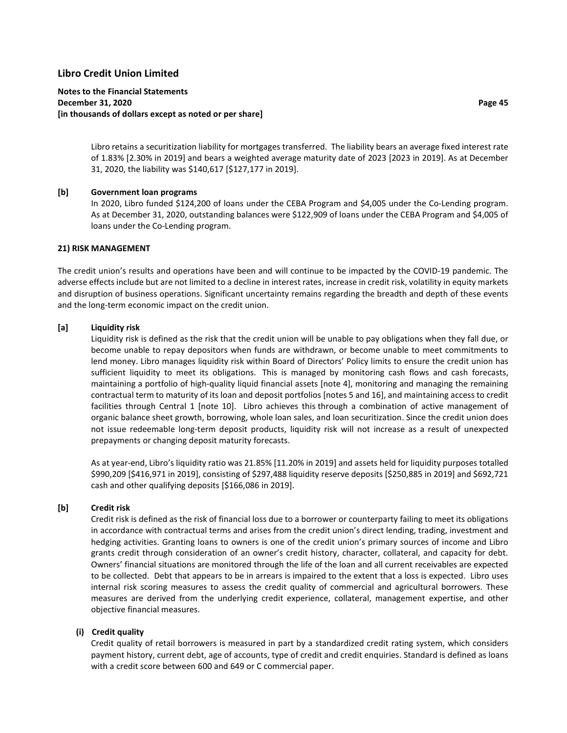### Notes to the Financial Statements December 31, 2020 Page 45 [in thousands of dollars except as noted or per share]

Libro retains a securitization liability for mortgages transferred. The liability bears an average fixed interest rate of 1.83% [2.30% in 2019] and bears a weighted average maturity date of 2023 [2023 in 2019]. As at December 31, 2020, the liability was \$140,617 [\$127,177 in 2019].

### [b] Government loan programs

In 2020, Libro funded \$124,200 of loans under the CEBA Program and \$4,005 under the Co-Lending program. As at December 31, 2020, outstanding balances were \$122,909 of loans under the CEBA Program and \$4,005 of loans under the Co-Lending program.

### 21) RISK MANAGEMENT

The credit union's results and operations have been and will continue to be impacted by the COVID-19 pandemic. The adverse effects include but are not limited to a decline in interest rates, increase in credit risk, volatility in equity markets and disruption of business operations. Significant uncertainty remains regarding the breadth and depth of these events and the long-term economic impact on the credit union.

### [a] Liquidity risk

Liquidity risk is defined as the risk that the credit union will be unable to pay obligations when they fall due, or become unable to repay depositors when funds are withdrawn, or become unable to meet commitments to lend money. Libro manages liquidity risk within Board of Directors' Policy limits to ensure the credit union has sufficient liquidity to meet its obligations. This is managed by monitoring cash flows and cash forecasts, maintaining a portfolio of high-quality liquid financial assets [note 4], monitoring and managing the remaining contractual term to maturity of its loan and deposit portfolios [notes 5 and 16], and maintaining access to credit facilities through Central 1 [note 10]. Libro achieves this through a combination of active management of organic balance sheet growth, borrowing, whole loan sales, and loan securitization. Since the credit union does not issue redeemable long-term deposit products, liquidity risk will not increase as a result of unexpected prepayments or changing deposit maturity forecasts.

As at year-end, Libro's liquidity ratio was 21.85% [11.20% in 2019] and assets held for liquidity purposes totalled \$990,209 [\$416,971 in 2019], consisting of \$297,488 liquidity reserve deposits [\$250,885 in 2019] and \$692,721 cash and other qualifying deposits [\$166,086 in 2019].

### [b] Credit risk

Credit risk is defined as the risk of financial loss due to a borrower or counterparty failing to meet its obligations in accordance with contractual terms and arises from the credit union's direct lending, trading, investment and hedging activities. Granting loans to owners is one of the credit union's primary sources of income and Libro grants credit through consideration of an owner's credit history, character, collateral, and capacity for debt. Owners' financial situations are monitored through the life of the loan and all current receivables are expected to be collected. Debt that appears to be in arrears is impaired to the extent that a loss is expected. Libro uses internal risk scoring measures to assess the credit quality of commercial and agricultural borrowers. These measures are derived from the underlying credit experience, collateral, management expertise, and other objective financial measures.

### (i) Credit quality

Credit quality of retail borrowers is measured in part by a standardized credit rating system, which considers payment history, current debt, age of accounts, type of credit and credit enquiries. Standard is defined as loans with a credit score between 600 and 649 or C commercial paper.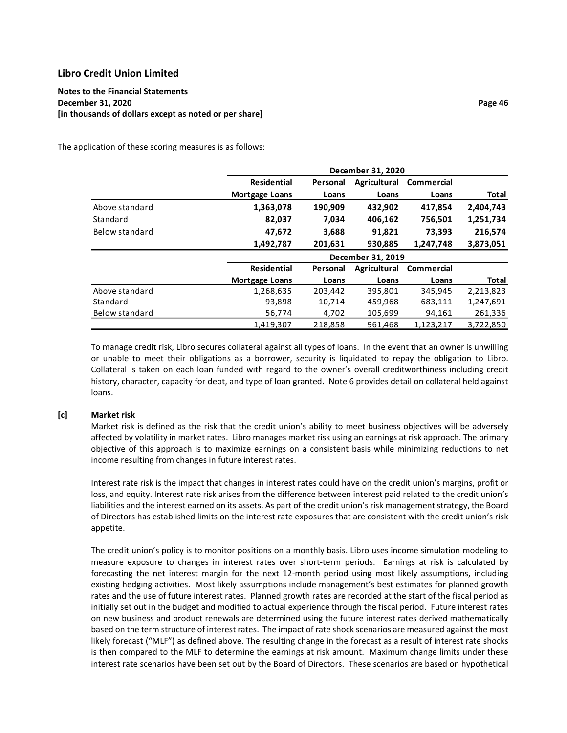# Notes to the Financial Statements December 31, 2020 Page 46 [in thousands of dollars except as noted or per share]

The application of these scoring measures is as follows:

|                |                       |          | December 31, 2020 |            |           |
|----------------|-----------------------|----------|-------------------|------------|-----------|
|                | <b>Residential</b>    | Personal | Agricultural      | Commercial |           |
|                | <b>Mortgage Loans</b> | Loans    | Loans             | Loans      | Total     |
| Above standard | 1,363,078             | 190,909  | 432,902           | 417,854    | 2,404,743 |
| Standard       | 82,037                | 7,034    | 406,162           | 756,501    | 1,251,734 |
| Below standard | 47,672                | 3,688    | 91,821            | 73,393     | 216,574   |
|                | 1,492,787             | 201,631  | 930,885           | 1,247,748  | 3,873,051 |
|                |                       |          | December 31, 2019 |            |           |
|                | <b>Residential</b>    | Personal | Agricultural      | Commercial |           |
|                | <b>Mortgage Loans</b> | Loans    | Loans             | Loans      | Total     |
| Above standard | 1,268,635             | 203,442  | 395,801           | 345,945    | 2,213,823 |
| Standard       | 93,898                | 10.714   | 459,968           | 683,111    | 1,247,691 |
| Below standard | 56,774                | 4,702    | 105,699           | 94,161     | 261,336   |
|                | 1,419,307             | 218,858  | 961,468           | 1,123,217  | 3,722,850 |

To manage credit risk, Libro secures collateral against all types of loans. In the event that an owner is unwilling or unable to meet their obligations as a borrower, security is liquidated to repay the obligation to Libro. Collateral is taken on each loan funded with regard to the owner's overall creditworthiness including credit history, character, capacity for debt, and type of loan granted. Note 6 provides detail on collateral held against loans.

### [c] Market risk

Market risk is defined as the risk that the credit union's ability to meet business objectives will be adversely affected by volatility in market rates. Libro manages market risk using an earnings at risk approach. The primary objective of this approach is to maximize earnings on a consistent basis while minimizing reductions to net income resulting from changes in future interest rates.

Interest rate risk is the impact that changes in interest rates could have on the credit union's margins, profit or loss, and equity. Interest rate risk arises from the difference between interest paid related to the credit union's liabilities and the interest earned on its assets. As part of the credit union's risk management strategy, the Board of Directors has established limits on the interest rate exposures that are consistent with the credit union's risk appetite.

The credit union's policy is to monitor positions on a monthly basis. Libro uses income simulation modeling to measure exposure to changes in interest rates over short-term periods. Earnings at risk is calculated by forecasting the net interest margin for the next 12-month period using most likely assumptions, including existing hedging activities. Most likely assumptions include management's best estimates for planned growth rates and the use of future interest rates. Planned growth rates are recorded at the start of the fiscal period as initially set out in the budget and modified to actual experience through the fiscal period. Future interest rates on new business and product renewals are determined using the future interest rates derived mathematically based on the term structure of interest rates. The impact of rate shock scenarios are measured against the most likely forecast ("MLF") as defined above. The resulting change in the forecast as a result of interest rate shocks is then compared to the MLF to determine the earnings at risk amount. Maximum change limits under these interest rate scenarios have been set out by the Board of Directors. These scenarios are based on hypothetical